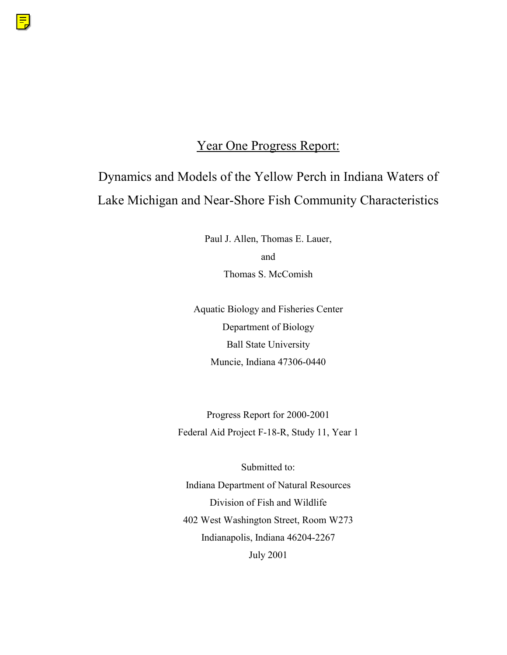## Year One Progress Report:

# Dynamics and Models of the Yellow Perch in Indiana Waters of Lake Michigan and Near-Shore Fish Community Characteristics

Paul J. Allen, Thomas E. Lauer, and Thomas S. McComish

Aquatic Biology and Fisheries Center Department of Biology Ball State University Muncie, Indiana 47306-0440

Progress Report for 2000-2001 Federal Aid Project F-18-R, Study 11, Year 1

Submitted to: Indiana Department of Natural Resources Division of Fish and Wildlife 402 West Washington Street, Room W273 Indianapolis, Indiana 46204-2267 July 2001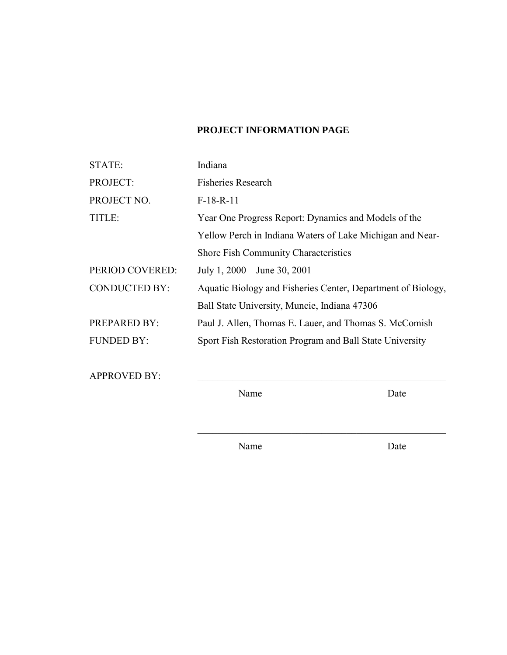## **PROJECT INFORMATION PAGE**

| STATE:               | Indiana                                                      |
|----------------------|--------------------------------------------------------------|
| PROJECT:             | <b>Fisheries Research</b>                                    |
| PROJECT NO.          | $F-18-R-11$                                                  |
| TITLE:               | Year One Progress Report: Dynamics and Models of the         |
|                      | Yellow Perch in Indiana Waters of Lake Michigan and Near-    |
|                      | <b>Shore Fish Community Characteristics</b>                  |
| PERIOD COVERED:      | July 1, $2000 -$ June 30, $2001$                             |
| <b>CONDUCTED BY:</b> | Aquatic Biology and Fisheries Center, Department of Biology, |
|                      | Ball State University, Muncie, Indiana 47306                 |
| <b>PREPARED BY:</b>  | Paul J. Allen, Thomas E. Lauer, and Thomas S. McComish       |
| <b>FUNDED BY:</b>    | Sport Fish Restoration Program and Ball State University     |
|                      |                                                              |

APPROVED BY:

Name Date

Name Date

 $\mathcal{L}_\text{max}$  , and the set of the set of the set of the set of the set of the set of the set of the set of the set of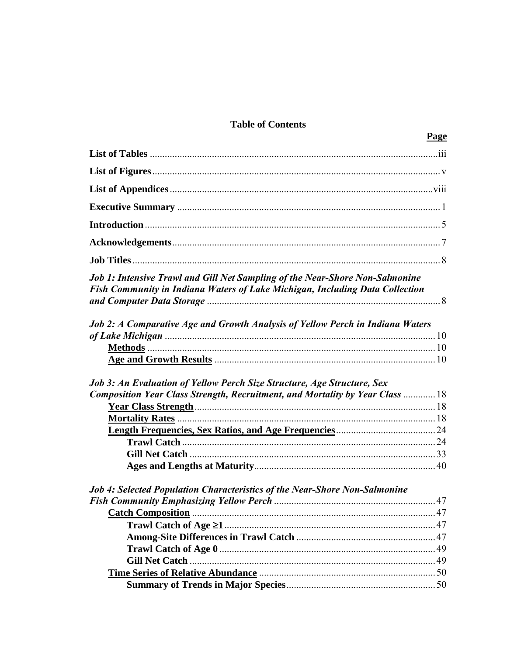## **Table of Contents**

Page

| <b>Job 1: Intensive Trawl and Gill Net Sampling of the Near-Shore Non-Salmonine</b><br>Fish Community in Indiana Waters of Lake Michigan, Including Data Collection |  |
|---------------------------------------------------------------------------------------------------------------------------------------------------------------------|--|
| Job 2: A Comparative Age and Growth Analysis of Yellow Perch in Indiana Waters                                                                                      |  |
|                                                                                                                                                                     |  |
|                                                                                                                                                                     |  |
| Job 3: An Evaluation of Yellow Perch Size Structure, Age Structure, Sex                                                                                             |  |
| Composition Year Class Strength, Recruitment, and Mortality by Year Class  18                                                                                       |  |
|                                                                                                                                                                     |  |
|                                                                                                                                                                     |  |
|                                                                                                                                                                     |  |
|                                                                                                                                                                     |  |
|                                                                                                                                                                     |  |
|                                                                                                                                                                     |  |
| <b>Job 4: Selected Population Characteristics of the Near-Shore Non-Salmonine</b>                                                                                   |  |
|                                                                                                                                                                     |  |
| . 47                                                                                                                                                                |  |
|                                                                                                                                                                     |  |
|                                                                                                                                                                     |  |
|                                                                                                                                                                     |  |
|                                                                                                                                                                     |  |
|                                                                                                                                                                     |  |
|                                                                                                                                                                     |  |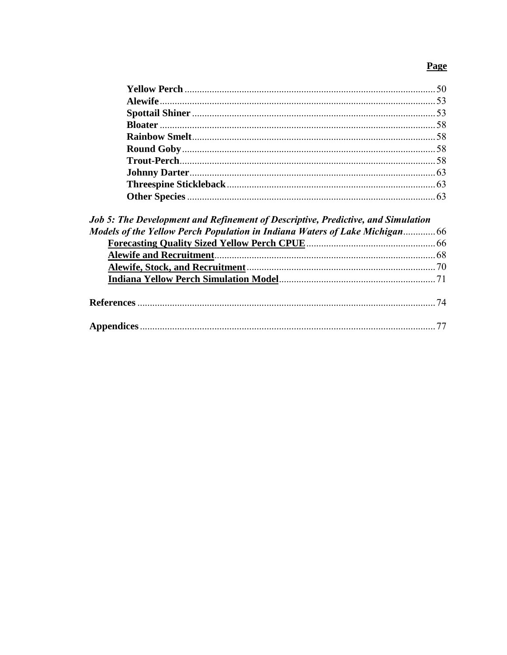## **Page**

| <b>Job 5: The Development and Refinement of Descriptive, Predictive, and Simulation</b> |  |
|-----------------------------------------------------------------------------------------|--|
|                                                                                         |  |
|                                                                                         |  |
|                                                                                         |  |
|                                                                                         |  |
|                                                                                         |  |
|                                                                                         |  |
|                                                                                         |  |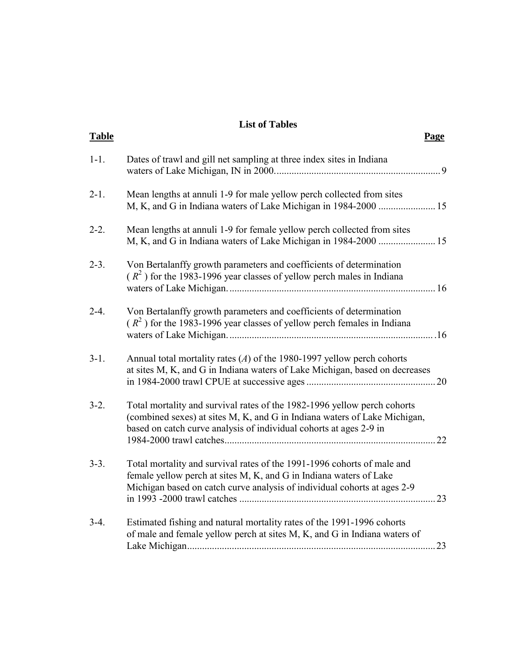## **List of Tables**

| <b>Table</b> |                                                                                                                                                                                                                             | <b>Page</b> |
|--------------|-----------------------------------------------------------------------------------------------------------------------------------------------------------------------------------------------------------------------------|-------------|
| $1 - 1$ .    | Dates of trawl and gill net sampling at three index sites in Indiana                                                                                                                                                        | 9           |
| $2-1.$       | Mean lengths at annuli 1-9 for male yellow perch collected from sites                                                                                                                                                       |             |
| $2-2.$       | Mean lengths at annuli 1-9 for female yellow perch collected from sites<br>M, K, and G in Indiana waters of Lake Michigan in 1984-2000  15                                                                                  |             |
| $2 - 3$ .    | Von Bertalanffy growth parameters and coefficients of determination<br>$(R2)$ for the 1983-1996 year classes of yellow perch males in Indiana                                                                               | .16         |
| $2-4.$       | Von Bertalanffy growth parameters and coefficients of determination<br>$(R2)$ for the 1983-1996 year classes of yellow perch females in Indiana                                                                             |             |
| $3-1.$       | Annual total mortality rates $(A)$ of the 1980-1997 yellow perch cohorts<br>at sites M, K, and G in Indiana waters of Lake Michigan, based on decreases                                                                     |             |
| $3-2.$       | Total mortality and survival rates of the 1982-1996 yellow perch cohorts<br>(combined sexes) at sites M, K, and G in Indiana waters of Lake Michigan,<br>based on catch curve analysis of individual cohorts at ages 2-9 in | 22          |
| $3-3.$       | Total mortality and survival rates of the 1991-1996 cohorts of male and<br>female yellow perch at sites M, K, and G in Indiana waters of Lake<br>Michigan based on catch curve analysis of individual cohorts at ages 2-9   | 23          |
| $3-4.$       | Estimated fishing and natural mortality rates of the 1991-1996 cohorts<br>of male and female yellow perch at sites M, K, and G in Indiana waters of                                                                         | 23          |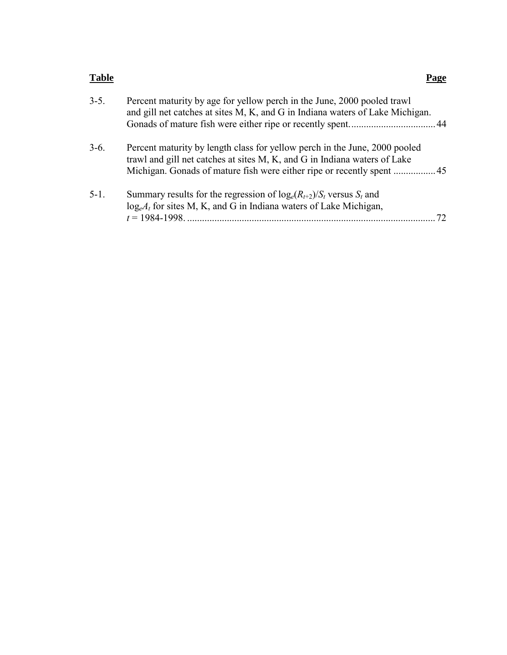#### **Table Page**

| $3 - 5$ . | Percent maturity by age for yellow perch in the June, 2000 pooled trawl<br>and gill net catches at sites M, K, and G in Indiana waters of Lake Michigan. |    |
|-----------|----------------------------------------------------------------------------------------------------------------------------------------------------------|----|
| $3-6.$    | Percent maturity by length class for yellow perch in the June, 2000 pooled<br>trawl and gill net catches at sites M, K, and G in Indiana waters of Lake  |    |
| $5-1$ .   | Summary results for the regression of $log_e(R_{t+2})/S_t$ versus $S_t$ and<br>$log_e A_t$ for sites M, K, and G in Indiana waters of Lake Michigan,     | 72 |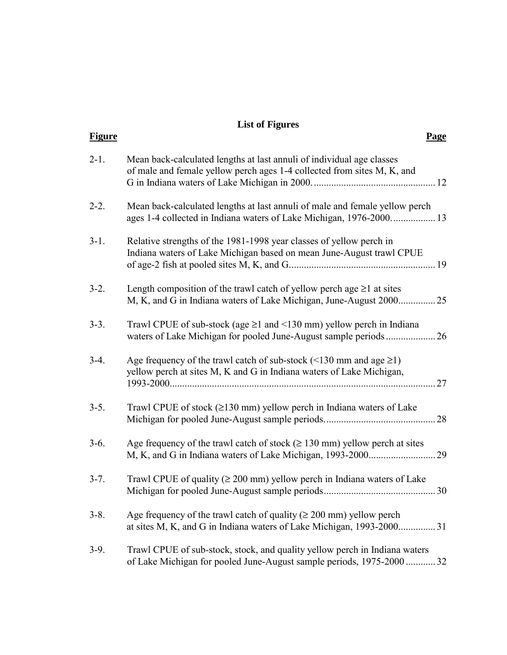## **List of Figures**

| <b>Figure</b> |                                                                                                                                                         | <b>Page</b> |
|---------------|---------------------------------------------------------------------------------------------------------------------------------------------------------|-------------|
| $2 - 1$ .     | Mean back-calculated lengths at last annuli of individual age classes<br>of male and female yellow perch ages 1-4 collected from sites M, K, and        |             |
| $2 - 2$ .     | Mean back-calculated lengths at last annuli of male and female yellow perch<br>ages 1-4 collected in Indiana waters of Lake Michigan, 1976-2000 13      |             |
| $3-1.$        | Relative strengths of the 1981-1998 year classes of yellow perch in<br>Indiana waters of Lake Michigan based on mean June-August trawl CPUE             |             |
| $3-2.$        | Length composition of the trawl catch of yellow perchage $\geq 1$ at sites<br>M, K, and G in Indiana waters of Lake Michigan, June-August 2000 25       |             |
| $3-3.$        | Trawl CPUE of sub-stock (age $\geq$ 1 and <130 mm) yellow perch in Indiana                                                                              |             |
| $3-4.$        | Age frequency of the trawl catch of sub-stock ( $\leq$ 130 mm and age $\geq$ 1)<br>yellow perch at sites M, K and G in Indiana waters of Lake Michigan, | 27          |
| $3-5.$        | Trawl CPUE of stock ( $\geq$ 130 mm) yellow perch in Indiana waters of Lake                                                                             | 28          |
| $3-6.$        | Age frequency of the trawl catch of stock ( $\geq 130$ mm) yellow perch at sites<br>M, K, and G in Indiana waters of Lake Michigan, 1993-2000           | 29          |
| $3 - 7$ .     | Trawl CPUE of quality ( $\geq 200$ mm) yellow perch in Indiana waters of Lake                                                                           |             |
| $3-8.$        | Age frequency of the trawl catch of quality ( $\geq 200$ mm) yellow perch<br>at sites M, K, and G in Indiana waters of Lake Michigan, 1993-2000 31      |             |
| $3-9.$        | Trawl CPUE of sub-stock, stock, and quality yellow perch in Indiana waters<br>of Lake Michigan for pooled June-August sample periods, 1975-2000  32     |             |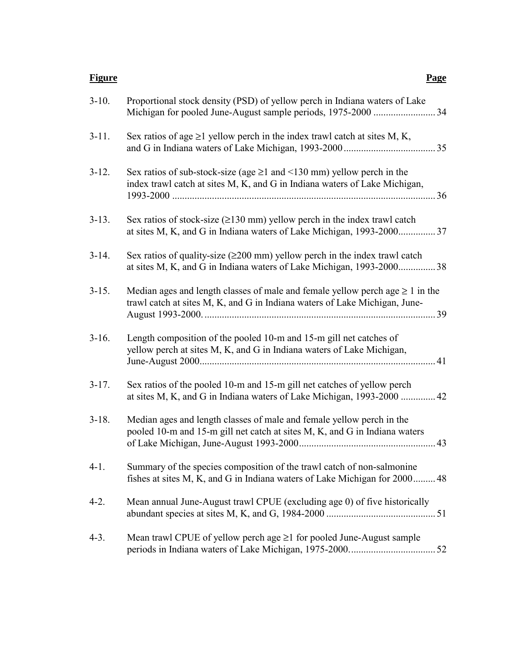#### **Figure Page**

| $3-10.$ | Proportional stock density (PSD) of yellow perch in Indiana waters of Lake                                                                                       |
|---------|------------------------------------------------------------------------------------------------------------------------------------------------------------------|
| $3-11.$ | Sex ratios of age $\geq 1$ yellow perch in the index trawl catch at sites M, K,                                                                                  |
| $3-12.$ | Sex ratios of sub-stock-size (age $\geq 1$ and $\leq 130$ mm) yellow perch in the<br>index trawl catch at sites M, K, and G in Indiana waters of Lake Michigan,  |
| $3-13.$ | Sex ratios of stock-size $(\geq 130 \text{ mm})$ yellow perch in the index trawl catch<br>at sites M, K, and G in Indiana waters of Lake Michigan, 1993-2000 37  |
| $3-14.$ | Sex ratios of quality-size $(\geq 200 \text{ mm})$ yellow perch in the index trawl catch<br>at sites M, K, and G in Indiana waters of Lake Michigan, 1993-200038 |
| $3-15.$ | Median ages and length classes of male and female yellow perchage $\geq 1$ in the<br>trawl catch at sites M, K, and G in Indiana waters of Lake Michigan, June-  |
| $3-16.$ | Length composition of the pooled 10-m and 15-m gill net catches of<br>yellow perch at sites M, K, and G in Indiana waters of Lake Michigan,                      |
| $3-17.$ | Sex ratios of the pooled 10-m and 15-m gill net catches of yellow perch<br>at sites M, K, and G in Indiana waters of Lake Michigan, 1993-2000  42                |
| $3-18.$ | Median ages and length classes of male and female yellow perch in the<br>pooled 10-m and 15-m gill net catch at sites M, K, and G in Indiana waters              |
| $4-1.$  | Summary of the species composition of the trawl catch of non-salmonine<br>fishes at sites M, K, and G in Indiana waters of Lake Michigan for 2000 48             |
| $4-2.$  | Mean annual June-August trawl CPUE (excluding age 0) of five historically                                                                                        |
| $4-3.$  | Mean trawl CPUE of yellow perch age $\geq 1$ for pooled June-August sample                                                                                       |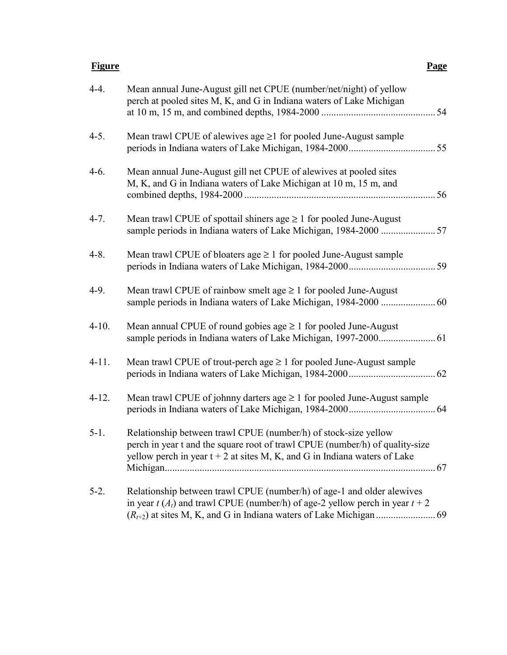#### **Figure Page**

| $4-4.$    | Mean annual June-August gill net CPUE (number/net/night) of yellow<br>perch at pooled sites M, K, and G in Indiana waters of Lake Michigan                                                                                     |
|-----------|--------------------------------------------------------------------------------------------------------------------------------------------------------------------------------------------------------------------------------|
| $4-5.$    | Mean trawl CPUE of alewives age ≥1 for pooled June-August sample                                                                                                                                                               |
| $4-6.$    | Mean annual June-August gill net CPUE of alewives at pooled sites<br>M, K, and G in Indiana waters of Lake Michigan at 10 m, 15 m, and                                                                                         |
| $4 - 7.$  | Mean trawl CPUE of spottail shiners age $\geq 1$ for pooled June-August                                                                                                                                                        |
| $4 - 8$ . | Mean trawl CPUE of bloaters age $\geq 1$ for pooled June-August sample                                                                                                                                                         |
| $4-9.$    | Mean trawl CPUE of rainbow smelt age $\geq 1$ for pooled June-August                                                                                                                                                           |
| $4-10.$   | Mean annual CPUE of round gobies age $\geq 1$ for pooled June-August                                                                                                                                                           |
| $4-11.$   | Mean trawl CPUE of trout-perch age $\geq 1$ for pooled June-August sample                                                                                                                                                      |
| $4-12.$   | Mean trawl CPUE of johnny darters age $\geq 1$ for pooled June-August sample                                                                                                                                                   |
| $5-1.$    | Relationship between trawl CPUE (number/h) of stock-size yellow<br>perch in year t and the square root of trawl CPUE (number/h) of quality-size<br>yellow perch in year $t + 2$ at sites M, K, and G in Indiana waters of Lake |
| $5-2.$    | Relationship between trawl CPUE (number/h) of age-1 and older alewives<br>in year $t(A_t)$ and trawl CPUE (number/h) of age-2 yellow perch in year $t + 2$                                                                     |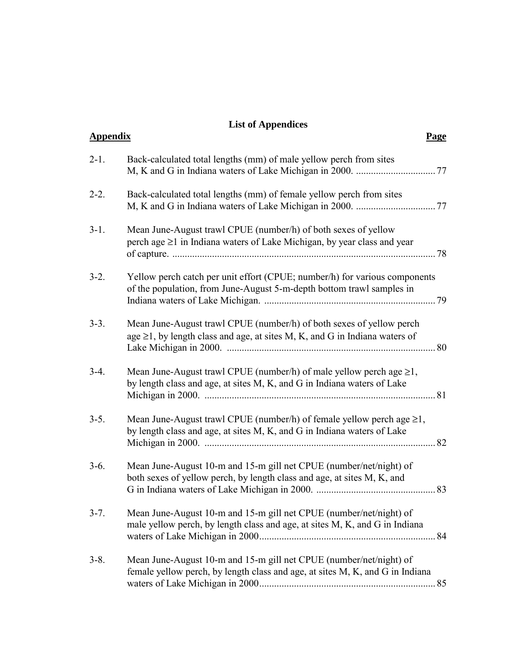## **List of Appendices**

| <b>Appendix</b> |                                                                                                                                                          | <u>Page</u> |
|-----------------|----------------------------------------------------------------------------------------------------------------------------------------------------------|-------------|
| $2-1.$          | Back-calculated total lengths (mm) of male yellow perch from sites                                                                                       |             |
| $2 - 2$ .       | Back-calculated total lengths (mm) of female yellow perch from sites                                                                                     |             |
| $3-1.$          | Mean June-August trawl CPUE (number/h) of both sexes of yellow<br>perch age $\geq 1$ in Indiana waters of Lake Michigan, by year class and year          |             |
| $3-2.$          | Yellow perch catch per unit effort (CPUE; number/h) for various components<br>of the population, from June-August 5-m-depth bottom trawl samples in      |             |
| $3-3.$          | Mean June-August trawl CPUE (number/h) of both sexes of yellow perch<br>age $\geq$ 1, by length class and age, at sites M, K, and G in Indiana waters of |             |
| $3-4.$          | Mean June-August trawl CPUE (number/h) of male yellow perch age $\geq 1$ ,<br>by length class and age, at sites M, K, and G in Indiana waters of Lake    | 81          |
| $3-5.$          | Mean June-August trawl CPUE (number/h) of female yellow perch age $\geq 1$ ,<br>by length class and age, at sites M, K, and G in Indiana waters of Lake  | 82          |
| $3-6.$          | Mean June-August 10-m and 15-m gill net CPUE (number/net/night) of<br>both sexes of yellow perch, by length class and age, at sites M, K, and            |             |
| $3 - 7$ .       | Mean June-August 10-m and 15-m gill net CPUE (number/net/night) of<br>male yellow perch, by length class and age, at sites M, K, and G in Indiana        |             |
| $3 - 8$ .       | Mean June-August 10-m and 15-m gill net CPUE (number/net/night) of<br>female yellow perch, by length class and age, at sites M, K, and G in Indiana      |             |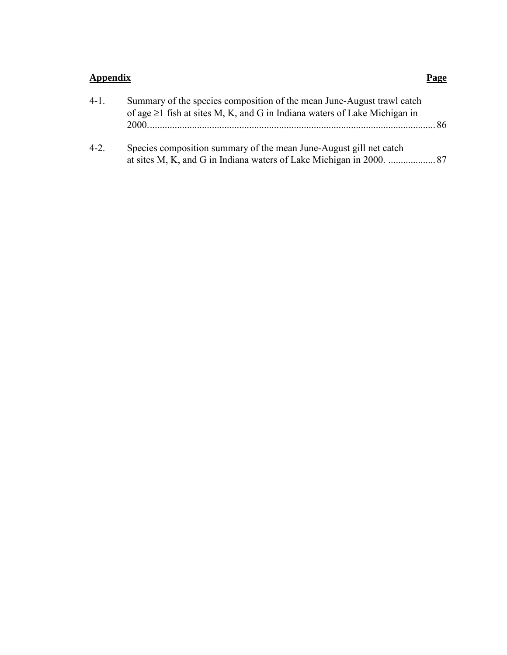## **Appendix Page**

| $4 - 1$ . | Summary of the species composition of the mean June-August trawl catch          |      |  |
|-----------|---------------------------------------------------------------------------------|------|--|
|           | of age $\geq 1$ fish at sites M, K, and G in Indiana waters of Lake Michigan in |      |  |
|           |                                                                                 | - 86 |  |
| $4-2.$    | Species composition summary of the mean June-August gill net catch              |      |  |
|           |                                                                                 |      |  |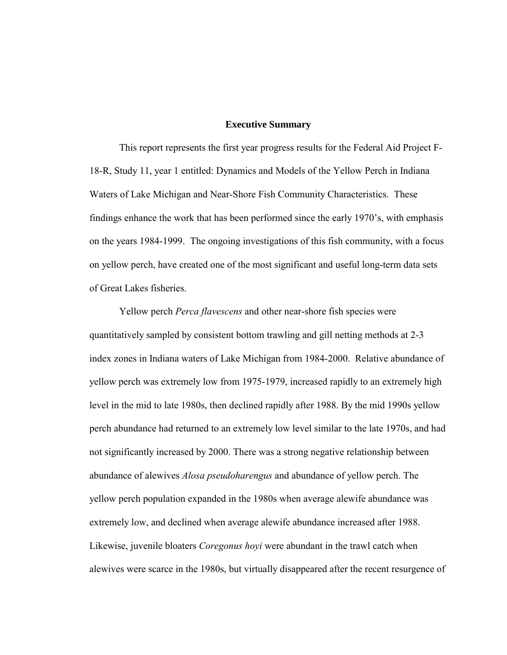#### **Executive Summary**

This report represents the first year progress results for the Federal Aid Project F-18-R, Study 11, year 1 entitled: Dynamics and Models of the Yellow Perch in Indiana Waters of Lake Michigan and Near-Shore Fish Community Characteristics. These findings enhance the work that has been performed since the early 1970's, with emphasis on the years 1984-1999. The ongoing investigations of this fish community, with a focus on yellow perch, have created one of the most significant and useful long-term data sets of Great Lakes fisheries.

Yellow perch *Perca flavescens* and other near-shore fish species were quantitatively sampled by consistent bottom trawling and gill netting methods at 2-3 index zones in Indiana waters of Lake Michigan from 1984-2000. Relative abundance of yellow perch was extremely low from 1975-1979, increased rapidly to an extremely high level in the mid to late 1980s, then declined rapidly after 1988. By the mid 1990s yellow perch abundance had returned to an extremely low level similar to the late 1970s, and had not significantly increased by 2000. There was a strong negative relationship between abundance of alewives *Alosa pseudoharengus* and abundance of yellow perch. The yellow perch population expanded in the 1980s when average alewife abundance was extremely low, and declined when average alewife abundance increased after 1988. Likewise, juvenile bloaters *Coregonus hoyi* were abundant in the trawl catch when alewives were scarce in the 1980s, but virtually disappeared after the recent resurgence of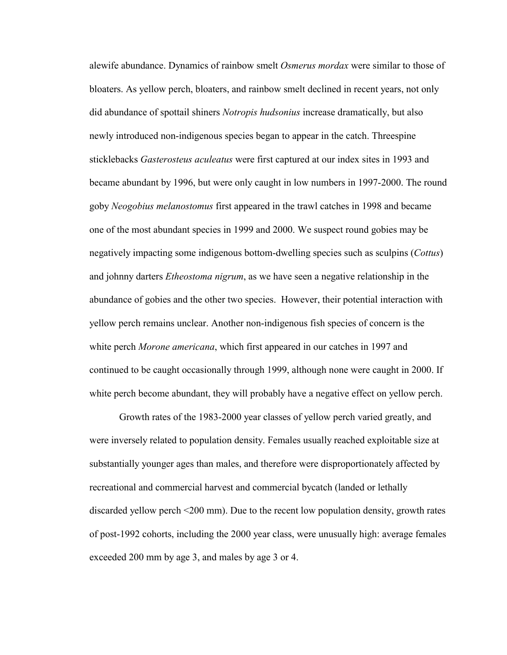alewife abundance. Dynamics of rainbow smelt *Osmerus mordax* were similar to those of bloaters. As yellow perch, bloaters, and rainbow smelt declined in recent years, not only did abundance of spottail shiners *Notropis hudsonius* increase dramatically, but also newly introduced non-indigenous species began to appear in the catch. Threespine sticklebacks *Gasterosteus aculeatus* were first captured at our index sites in 1993 and became abundant by 1996, but were only caught in low numbers in 1997-2000. The round goby *Neogobius melanostomus* first appeared in the trawl catches in 1998 and became one of the most abundant species in 1999 and 2000. We suspect round gobies may be negatively impacting some indigenous bottom-dwelling species such as sculpins (*Cottus*) and johnny darters *Etheostoma nigrum*, as we have seen a negative relationship in the abundance of gobies and the other two species. However, their potential interaction with yellow perch remains unclear. Another non-indigenous fish species of concern is the white perch *Morone americana*, which first appeared in our catches in 1997 and continued to be caught occasionally through 1999, although none were caught in 2000. If white perch become abundant, they will probably have a negative effect on yellow perch.

Growth rates of the 1983-2000 year classes of yellow perch varied greatly, and were inversely related to population density. Females usually reached exploitable size at substantially younger ages than males, and therefore were disproportionately affected by recreational and commercial harvest and commercial bycatch (landed or lethally discarded yellow perch <200 mm). Due to the recent low population density, growth rates of post-1992 cohorts, including the 2000 year class, were unusually high: average females exceeded 200 mm by age 3, and males by age 3 or 4.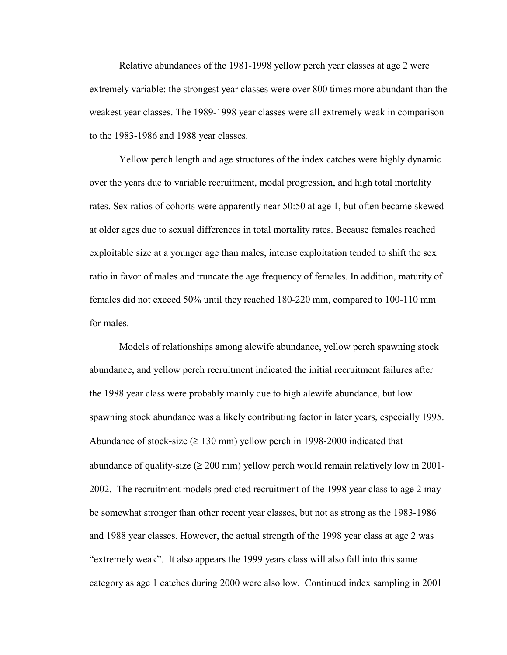Relative abundances of the 1981-1998 yellow perch year classes at age 2 were extremely variable: the strongest year classes were over 800 times more abundant than the weakest year classes. The 1989-1998 year classes were all extremely weak in comparison to the 1983-1986 and 1988 year classes.

Yellow perch length and age structures of the index catches were highly dynamic over the years due to variable recruitment, modal progression, and high total mortality rates. Sex ratios of cohorts were apparently near 50:50 at age 1, but often became skewed at older ages due to sexual differences in total mortality rates. Because females reached exploitable size at a younger age than males, intense exploitation tended to shift the sex ratio in favor of males and truncate the age frequency of females. In addition, maturity of females did not exceed 50% until they reached 180-220 mm, compared to 100-110 mm for males.

Models of relationships among alewife abundance, yellow perch spawning stock abundance, and yellow perch recruitment indicated the initial recruitment failures after the 1988 year class were probably mainly due to high alewife abundance, but low spawning stock abundance was a likely contributing factor in later years, especially 1995. Abundance of stock-size ( $\geq 130$  mm) yellow perch in 1998-2000 indicated that abundance of quality-size ( $\geq 200$  mm) yellow perch would remain relatively low in 2001-2002. The recruitment models predicted recruitment of the 1998 year class to age 2 may be somewhat stronger than other recent year classes, but not as strong as the 1983-1986 and 1988 year classes. However, the actual strength of the 1998 year class at age 2 was "extremely weak". It also appears the 1999 years class will also fall into this same category as age 1 catches during 2000 were also low. Continued index sampling in 2001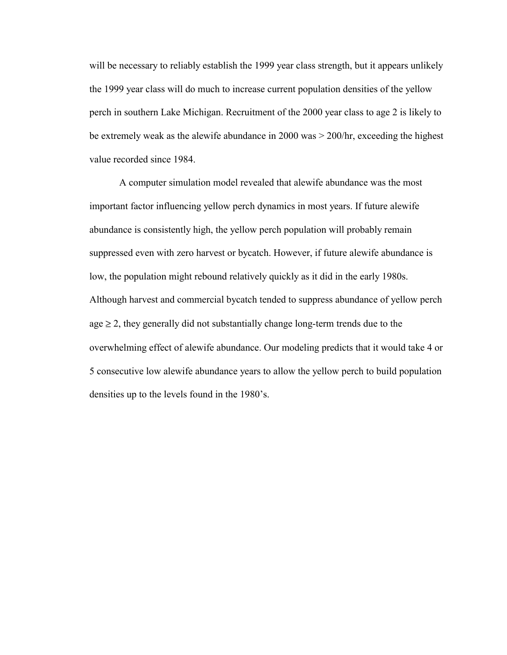will be necessary to reliably establish the 1999 year class strength, but it appears unlikely the 1999 year class will do much to increase current population densities of the yellow perch in southern Lake Michigan. Recruitment of the 2000 year class to age 2 is likely to be extremely weak as the alewife abundance in 2000 was > 200/hr, exceeding the highest value recorded since 1984.

A computer simulation model revealed that alewife abundance was the most important factor influencing yellow perch dynamics in most years. If future alewife abundance is consistently high, the yellow perch population will probably remain suppressed even with zero harvest or bycatch. However, if future alewife abundance is low, the population might rebound relatively quickly as it did in the early 1980s. Although harvest and commercial bycatch tended to suppress abundance of yellow perch  $age \geq 2$ , they generally did not substantially change long-term trends due to the overwhelming effect of alewife abundance. Our modeling predicts that it would take 4 or 5 consecutive low alewife abundance years to allow the yellow perch to build population densities up to the levels found in the 1980's.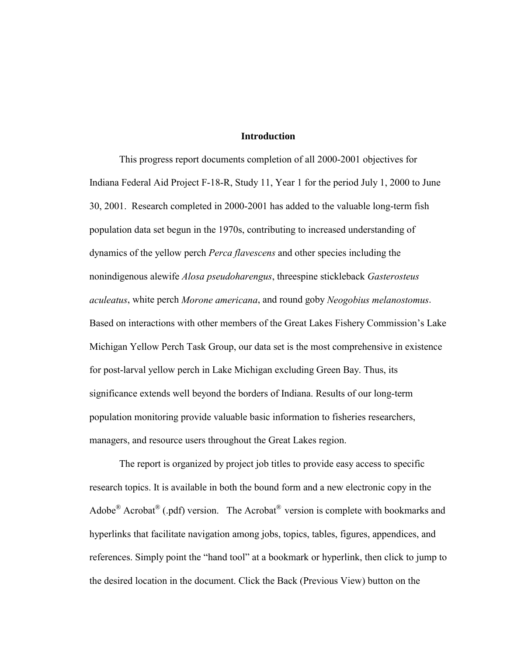#### **Introduction**

This progress report documents completion of all 2000-2001 objectives for Indiana Federal Aid Project F-18-R, Study 11, Year 1 for the period July 1, 2000 to June 30, 2001. Research completed in 2000-2001 has added to the valuable long-term fish population data set begun in the 1970s, contributing to increased understanding of dynamics of the yellow perch *Perca flavescens* and other species including the nonindigenous alewife *Alosa pseudoharengus*, threespine stickleback *Gasterosteus aculeatus*, white perch *Morone americana*, and round goby *Neogobius melanostomus*. Based on interactions with other members of the Great Lakes Fishery Commission's Lake Michigan Yellow Perch Task Group, our data set is the most comprehensive in existence for post-larval yellow perch in Lake Michigan excluding Green Bay. Thus, its significance extends well beyond the borders of Indiana. Results of our long-term population monitoring provide valuable basic information to fisheries researchers, managers, and resource users throughout the Great Lakes region.

The report is organized by project job titles to provide easy access to specific research topics. It is available in both the bound form and a new electronic copy in the Adobe<sup>®</sup> Acrobat<sup>®</sup> (.pdf) version. The Acrobat<sup>®</sup> version is complete with bookmarks and hyperlinks that facilitate navigation among jobs, topics, tables, figures, appendices, and references. Simply point the "hand tool" at a bookmark or hyperlink, then click to jump to the desired location in the document. Click the Back (Previous View) button on the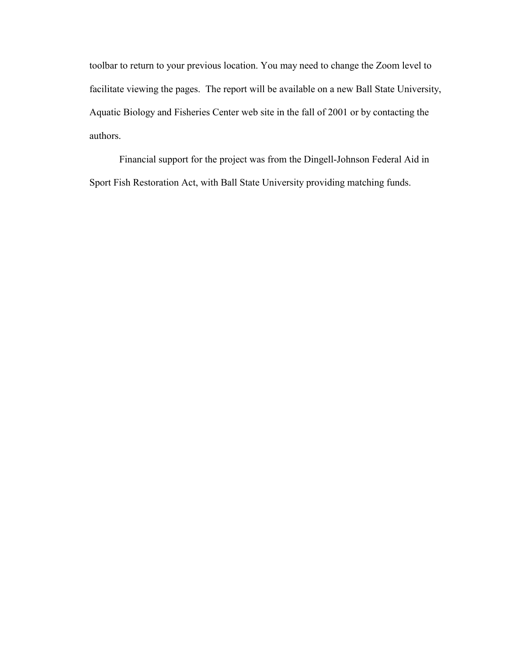toolbar to return to your previous location. You may need to change the Zoom level to facilitate viewing the pages. The report will be available on a new Ball State University, Aquatic Biology and Fisheries Center web site in the fall of 2001 or by contacting the authors.

Financial support for the project was from the Dingell-Johnson Federal Aid in Sport Fish Restoration Act, with Ball State University providing matching funds.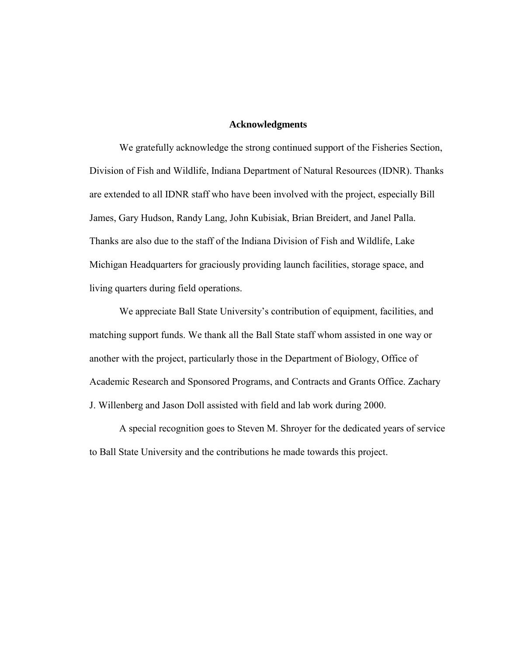#### **Acknowledgments**

We gratefully acknowledge the strong continued support of the Fisheries Section, Division of Fish and Wildlife, Indiana Department of Natural Resources (IDNR). Thanks are extended to all IDNR staff who have been involved with the project, especially Bill James, Gary Hudson, Randy Lang, John Kubisiak, Brian Breidert, and Janel Palla. Thanks are also due to the staff of the Indiana Division of Fish and Wildlife, Lake Michigan Headquarters for graciously providing launch facilities, storage space, and living quarters during field operations.

We appreciate Ball State University's contribution of equipment, facilities, and matching support funds. We thank all the Ball State staff whom assisted in one way or another with the project, particularly those in the Department of Biology, Office of Academic Research and Sponsored Programs, and Contracts and Grants Office. Zachary J. Willenberg and Jason Doll assisted with field and lab work during 2000.

A special recognition goes to Steven M. Shroyer for the dedicated years of service to Ball State University and the contributions he made towards this project.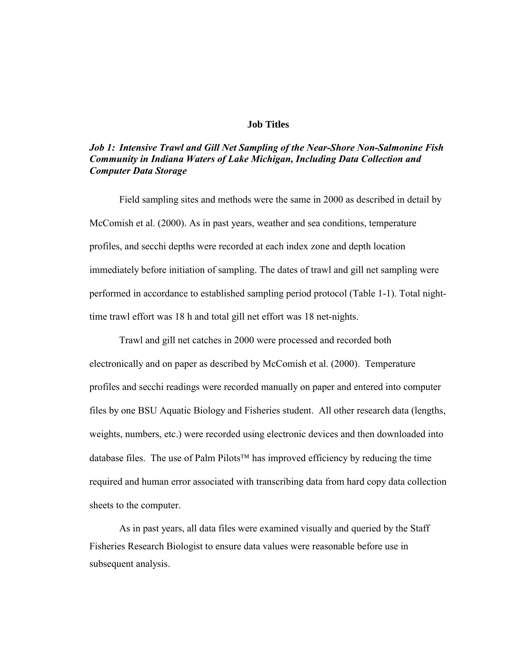#### **Job Titles**

#### *Job 1: Intensive Trawl and Gill Net Sampling of the Near-Shore Non-Salmonine Fish Community in Indiana Waters of Lake Michigan, Including Data Collection and Computer Data Storage*

Field sampling sites and methods were the same in 2000 as described in detail by McComish et al. (2000). As in past years, weather and sea conditions, temperature profiles, and secchi depths were recorded at each index zone and depth location immediately before initiation of sampling. The dates of trawl and gill net sampling were performed in accordance to established sampling period protocol [\(Table 1-1\). T](#page-19-0)otal nighttime trawl effort was 18 h and total gill net effort was 18 net-nights.

Trawl and gill net catches in 2000 were processed and recorded both electronically and on paper as described by McComish et al. (2000). Temperature profiles and secchi readings were recorded manually on paper and entered into computer files by one BSU Aquatic Biology and Fisheries student. All other research data (lengths, weights, numbers, etc.) were recorded using electronic devices and then downloaded into database files. The use of Palm Pilots<sup>TM</sup> has improved efficiency by reducing the time required and human error associated with transcribing data from hard copy data collection sheets to the computer.

As in past years, all data files were examined visually and queried by the Staff Fisheries Research Biologist to ensure data values were reasonable before use in subsequent analysis.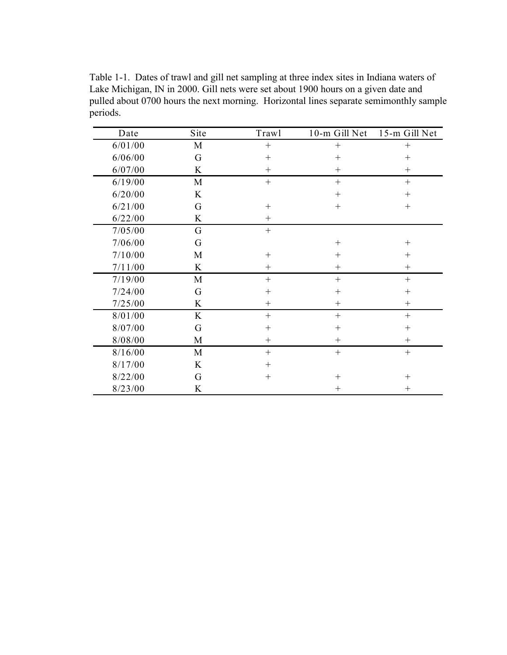<span id="page-19-0"></span>Table 1-1. Dates of trawl and gill net sampling at three index sites in Indiana waters of Lake Michigan, IN in 2000. Gill nets were set about 1900 hours on a given date and pulled about 0700 hours the next morning. Horizontal lines separate semimonthly sample periods.

| Date    | Site | Trawl  | 10-m Gill Net | 15-m Gill Net |
|---------|------|--------|---------------|---------------|
| 6/01/00 | M    | $^{+}$ | $^{+}$        | $^{+}$        |
| 6/06/00 | G    | $+$    | $\! +$        | $+$           |
| 6/07/00 | K    | $^{+}$ | $^{+}$        | $^{+}$        |
| 6/19/00 | M    | $^{+}$ |               | $+$           |
| 6/20/00 | K    |        | $^{+}$        | $^{+}$        |
| 6/21/00 | G    | $^{+}$ | $^{+}$        | $^{+}$        |
| 6/22/00 | K    | $^{+}$ |               |               |
| 7/05/00 | G    | $^{+}$ |               |               |
| 7/06/00 | G    |        | $^{+}$        | $\mathrm{+}$  |
| 7/10/00 | M    | $^{+}$ | $^{+}$        | $^{+}$        |
| 7/11/00 | K    | $^{+}$ | $^{+}$        | $^{+}$        |
| 7/19/00 | M    | $+$    | $^{+}$        | $^{+}$        |
| 7/24/00 | G    | $^{+}$ | $^{+}$        | $^{+}$        |
| 7/25/00 | K    | $^{+}$ | $^{+}$        | $^{+}$        |
| 8/01/00 | K    | $+$    | $+$           | $^{+}$        |
| 8/07/00 | G    | $^{+}$ | $^{+}$        | $^{+}$        |
| 8/08/00 | M    | $^{+}$ | $^{+}$        | $^{+}$        |
| 8/16/00 | M    | $^{+}$ | $+$           | $+$           |
| 8/17/00 | K    | $^{+}$ |               |               |
| 8/22/00 | G    | $^{+}$ | $\! +$        | $^{+}$        |
| 8/23/00 | K    |        | $^{+}$        | $^{+}$        |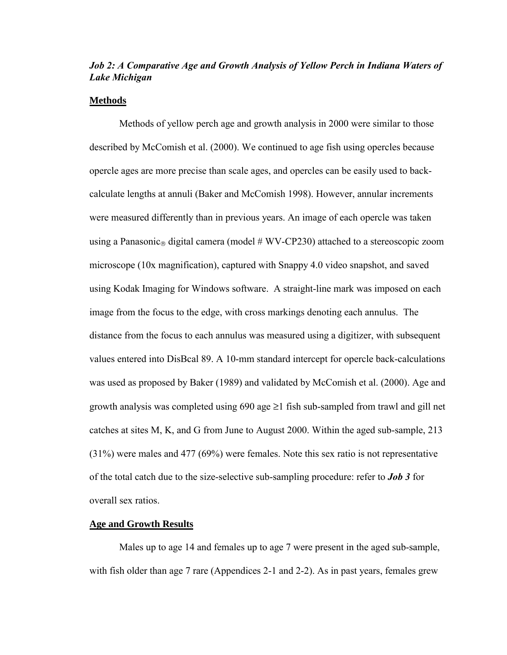### *Job 2: A Comparative Age and Growth Analysis of Yellow Perch in Indiana Waters of Lake Michigan*

#### **Methods**

Methods of yellow perch age and growth analysis in 2000 were similar to those described by McComish et al. (2000). We continued to age fish using opercles because opercle ages are more precise than scale ages, and opercles can be easily used to backcalculate lengths at annuli (Baker and McComish 1998). However, annular increments were measured differently than in previous years. An image of each opercle was taken using a Panasonic<sub>®</sub> digital camera (model  $#$  WV-CP230) attached to a stereoscopic zoom microscope (10x magnification), captured with Snappy 4.0 video snapshot, and saved using Kodak Imaging for Windows software. A straight-line mark was imposed on each image from the focus to the edge, with cross markings denoting each annulus. The distance from the focus to each annulus was measured using a digitizer, with subsequent values entered into DisBcal 89. A 10-mm standard intercept for opercle back-calculations was used as proposed by Baker (1989) and validated by McComish et al. (2000). Age and growth analysis was completed using  $690$  age  $\geq 1$  fish sub-sampled from trawl and gill net catches at sites M, K, and G from June to August 2000. Within the aged sub-sample, 213 (31%) were males and 477 (69%) were females. Note this sex ratio is not representative of the total catch due to the size-selective sub-sampling procedure: refer to *[Job 3](#page-28-0)* for overall sex ratios.

#### **Age and Growth Results**

Males up to age 14 and females up to age 7 were present in the aged sub-sample, with fish older than age 7 rare [\(Appendices 2-1 and 2-2\).](#page-87-0) As in past years, females grew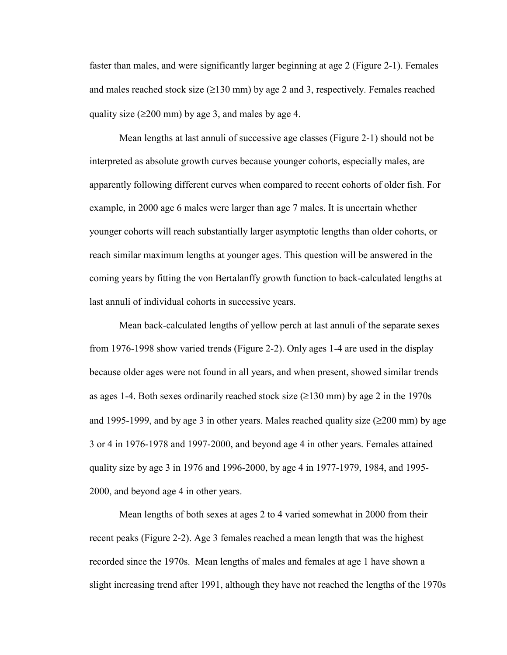faster than males, and were significantly larger beginning at age 2 [\(Figure 2-1\).](#page-22-0) Females and males reached stock size  $(\geq 130 \text{ mm})$  by age 2 and 3, respectively. Females reached quality size ( $\geq 200$  mm) by age 3, and males by age 4.

Mean lengths at last annuli of successive age classes [\(Figure 2-1\)](#page-22-0) should not be interpreted as absolute growth curves because younger cohorts, especially males, are apparently following different curves when compared to recent cohorts of older fish. For example, in 2000 age 6 males were larger than age 7 males. It is uncertain whether younger cohorts will reach substantially larger asymptotic lengths than older cohorts, or reach similar maximum lengths at younger ages. This question will be answered in the coming years by fitting the von Bertalanffy growth function to back-calculated lengths at last annuli of individual cohorts in successive years.

Mean back-calculated lengths of yellow perch at last annuli of the separate sexes from 1976-1998 show varied trends [\(Figure 2-2\).](#page-23-0) Only ages 1-4 are used in the display because older ages were not found in all years, and when present, showed similar trends as ages 1-4. Both sexes ordinarily reached stock size  $(\geq 130 \text{ mm})$  by age 2 in the 1970s and 1995-1999, and by age 3 in other years. Males reached quality size  $(\geq 200 \text{ mm})$  by age 3 or 4 in 1976-1978 and 1997-2000, and beyond age 4 in other years. Females attained quality size by age 3 in 1976 and 1996-2000, by age 4 in 1977-1979, 1984, and 1995- 2000, and beyond age 4 in other years.

Mean lengths of both sexes at ages 2 to 4 varied somewhat in 2000 from their recent peaks [\(Figure 2-2\). A](#page-23-0)ge 3 females reached a mean length that was the highest recorded since the 1970s. Mean lengths of males and females at age 1 have shown a slight increasing trend after 1991, although they have not reached the lengths of the 1970s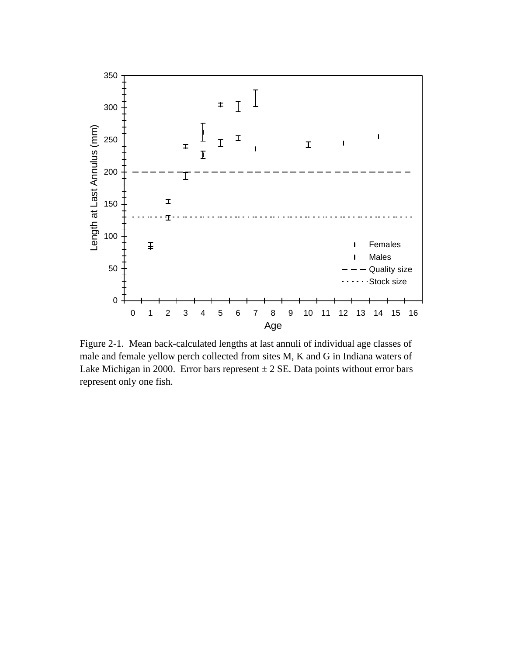<span id="page-22-0"></span>

Figure 2-1. Mean back-calculated lengths at last annuli of individual age classes of male and female yellow perch collected from sites M, K and G in Indiana waters of Lake Michigan in 2000. Error bars represent  $\pm 2$  SE. Data points without error bars represent only one fish.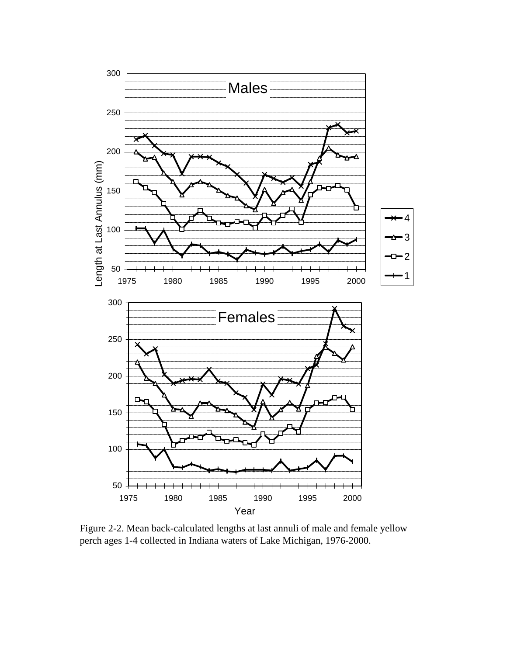<span id="page-23-0"></span>

Figure 2-2. Mean back-calculated lengths at last annuli of male and female yellow perch ages 1-4 collected in Indiana waters of Lake Michigan, 1976-2000.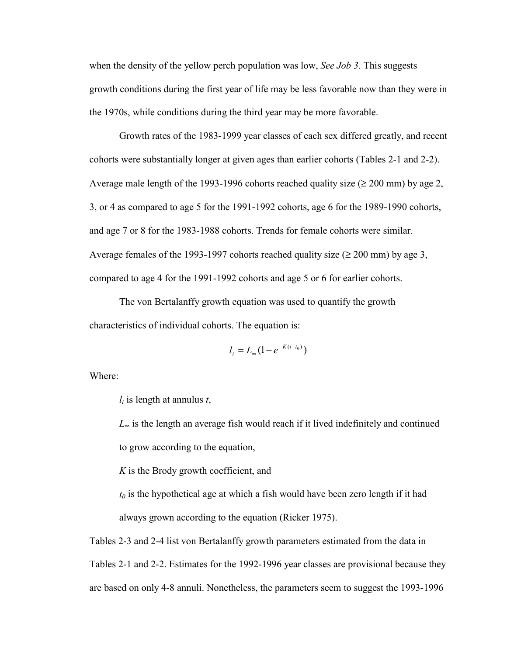when the density of the yellow perch population was low, *[See Job 3](#page-28-1)*. This suggests growth conditions during the first year of life may be less favorable now than they were in the 1970s, while conditions during the third year may be more favorable.

 Growth rates of the 1983-1999 year classes of each sex differed greatly, and recent cohorts were substantially longer at given ages than earlier cohorts [\(Tables 2-1 and 2-2\).](#page-25-0) Average male length of the 1993-1996 cohorts reached quality size ( $\geq 200$  mm) by age 2, 3, or 4 as compared to age 5 for the 1991-1992 cohorts, age 6 for the 1989-1990 cohorts, and age 7 or 8 for the 1983-1988 cohorts. Trends for female cohorts were similar. Average females of the 1993-1997 cohorts reached quality size  $(\geq 200 \text{ mm})$  by age 3, compared to age 4 for the 1991-1992 cohorts and age 5 or 6 for earlier cohorts.

The von Bertalanffy growth equation was used to quantify the growth characteristics of individual cohorts. The equation is:

$$
l_t = L_{\infty} (1 - e^{-K(t - t_0)})
$$

Where:

*lt* is length at annulus *t*,

*L*∞ is the length an average fish would reach if it lived indefinitely and continued to grow according to the equation,

*K* is the Brody growth coefficient, and

 $t_0$  is the hypothetical age at which a fish would have been zero length if it had always grown according to the equation (Ricker 1975).

[Tables 2-3 and 2-4 l](#page-26-0)ist von Bertalanffy growth parameters estimated from the data in [Tables 2-1 and 2-2. E](#page-25-0)stimates for the 1992-1996 year classes are provisional because they are based on only 4-8 annuli. Nonetheless, the parameters seem to suggest the 1993-1996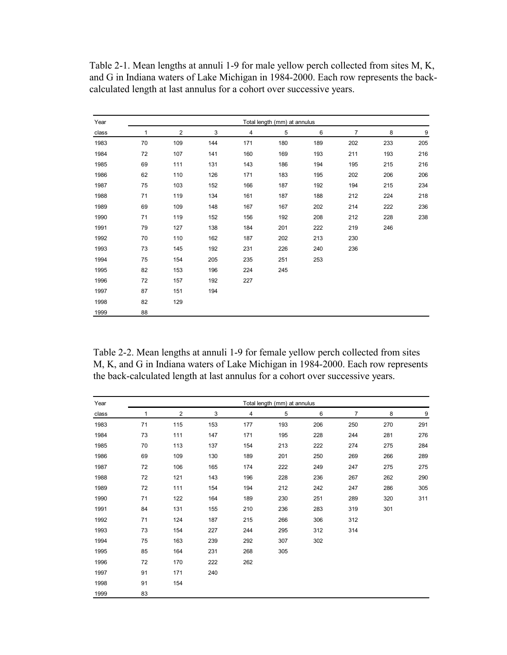| Year  | Total length (mm) at annulus |                |     |     |     |     |                |     |     |  |  |  |
|-------|------------------------------|----------------|-----|-----|-----|-----|----------------|-----|-----|--|--|--|
| class | 1                            | $\overline{2}$ | 3   | 4   | 5   | 6   | $\overline{7}$ | 8   | 9   |  |  |  |
| 1983  | 70                           | 109            | 144 | 171 | 180 | 189 | 202            | 233 | 205 |  |  |  |
| 1984  | 72                           | 107            | 141 | 160 | 169 | 193 | 211            | 193 | 216 |  |  |  |
| 1985  | 69                           | 111            | 131 | 143 | 186 | 194 | 195            | 215 | 216 |  |  |  |
| 1986  | 62                           | 110            | 126 | 171 | 183 | 195 | 202            | 206 | 206 |  |  |  |
| 1987  | 75                           | 103            | 152 | 166 | 187 | 192 | 194            | 215 | 234 |  |  |  |
| 1988  | 71                           | 119            | 134 | 161 | 187 | 188 | 212            | 224 | 218 |  |  |  |
| 1989  | 69                           | 109            | 148 | 167 | 167 | 202 |                | 222 | 236 |  |  |  |
| 1990  | 71                           | 119            | 152 | 156 | 192 | 208 | 212            | 228 | 238 |  |  |  |
| 1991  | 79                           | 127            | 138 | 184 | 201 | 222 | 219            | 246 |     |  |  |  |
| 1992  | 70                           | 110            | 162 | 187 | 202 | 213 | 230            |     |     |  |  |  |
| 1993  | 73                           | 145            | 192 | 231 | 226 | 240 | 236            |     |     |  |  |  |
| 1994  | 75                           | 154            | 205 | 235 | 251 | 253 |                |     |     |  |  |  |
| 1995  | 82                           | 153            | 196 | 224 | 245 |     |                |     |     |  |  |  |
| 1996  | 72                           | 157            | 192 | 227 |     |     |                |     |     |  |  |  |
| 1997  | 87                           | 151            | 194 |     |     |     |                |     |     |  |  |  |
| 1998  | 82                           | 129            |     |     |     |     |                |     |     |  |  |  |
| 1999  | 88                           |                |     |     |     |     |                |     |     |  |  |  |

<span id="page-25-0"></span>Table 2-1. Mean lengths at annuli 1-9 for male yellow perch collected from sites M, K, and G in Indiana waters of Lake Michigan in 1984-2000. Each row represents the backcalculated length at last annulus for a cohort over successive years.

Table 2-2. Mean lengths at annuli 1-9 for female yellow perch collected from sites M, K, and G in Indiana waters of Lake Michigan in 1984-2000. Each row represents the back-calculated length at last annulus for a cohort over successive years.

| Year  | Total length (mm) at annulus |                |     |     |     |     |     |     |     |  |  |  |
|-------|------------------------------|----------------|-----|-----|-----|-----|-----|-----|-----|--|--|--|
| class | 1                            | $\overline{2}$ | 3   | 4   | 5   | 6   | 7   | 8   | 9   |  |  |  |
| 1983  | 71                           | 115            | 153 | 177 | 193 | 206 | 250 | 270 | 291 |  |  |  |
| 1984  | 73                           | 111            | 147 | 171 | 195 | 228 | 244 | 281 | 276 |  |  |  |
| 1985  | 70                           | 113            | 137 | 154 | 213 | 222 | 274 | 275 | 284 |  |  |  |
| 1986  | 69                           | 109            | 130 | 189 | 201 | 250 | 269 | 266 | 289 |  |  |  |
| 1987  | 72                           | 106            | 165 | 174 | 222 | 249 | 247 | 275 | 275 |  |  |  |
| 1988  | 72                           | 121            | 143 | 196 | 228 | 236 | 267 | 262 | 290 |  |  |  |
| 1989  | 72                           | 111            | 154 | 194 | 212 | 242 | 247 | 286 | 305 |  |  |  |
| 1990  | 71                           | 122            | 164 | 189 | 230 | 251 | 289 | 320 | 311 |  |  |  |
| 1991  | 84                           | 131            | 155 | 210 | 236 | 283 | 319 | 301 |     |  |  |  |
| 1992  | 71                           | 124            | 187 | 215 | 266 | 306 | 312 |     |     |  |  |  |
| 1993  | 73                           | 154            | 227 | 244 | 295 | 312 | 314 |     |     |  |  |  |
| 1994  | 75                           | 163            | 239 | 292 | 307 | 302 |     |     |     |  |  |  |
| 1995  | 85                           | 164            | 231 | 268 | 305 |     |     |     |     |  |  |  |
| 1996  | 72                           | 170            | 222 | 262 |     |     |     |     |     |  |  |  |
| 1997  | 91                           | 171            | 240 |     |     |     |     |     |     |  |  |  |
| 1998  | 91                           | 154            |     |     |     |     |     |     |     |  |  |  |
| 1999  | 83                           |                |     |     |     |     |     |     |     |  |  |  |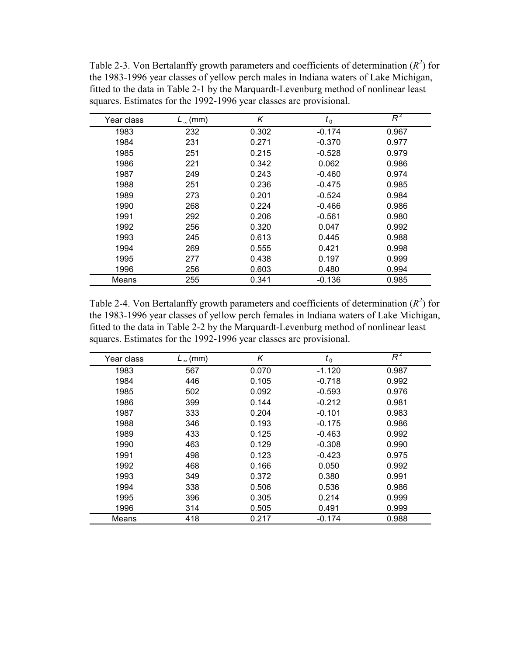| Year class | $L_{\infty}$ (mm) | Κ     | $t_{0}$  | $R^2$ |
|------------|-------------------|-------|----------|-------|
| 1983       | 232               | 0.302 | $-0.174$ | 0.967 |
| 1984       | 231               | 0.271 | $-0.370$ | 0.977 |
| 1985       | 251               | 0.215 | $-0.528$ | 0.979 |
| 1986       | 221               | 0.342 | 0.062    | 0.986 |
| 1987       | 249               | 0.243 | $-0.460$ | 0.974 |
| 1988       | 251               | 0.236 | $-0.475$ | 0.985 |
| 1989       | 273               | 0.201 | $-0.524$ | 0.984 |
| 1990       | 268               | 0.224 | $-0.466$ | 0.986 |
| 1991       | 292               | 0.206 | -0.561   | 0.980 |
| 1992       | 256               | 0.320 | 0.047    | 0.992 |
| 1993       | 245               | 0.613 | 0.445    | 0.988 |
| 1994       | 269               | 0.555 | 0.421    | 0.998 |
| 1995       | 277               | 0.438 | 0.197    | 0.999 |
| 1996       | 256               | 0.603 | 0.480    | 0.994 |
| Means      | 255               | 0.341 | $-0.136$ | 0.985 |

<span id="page-26-0"></span>Table 2-3. Von Bertalanffy growth parameters and coefficients of determination  $(R^2)$  for the 1983-1996 year classes of yellow perch males in Indiana waters of Lake Michigan, fitted to the data in Table 2-1 by the Marquardt-Levenburg method of nonlinear least squares. Estimates for the 1992-1996 year classes are provisional.

Table 2-4. Von Bertalanffy growth parameters and coefficients of determination  $(R^2)$  for the 1983-1996 year classes of yellow perch females in Indiana waters of Lake Michigan, fitted to the data in Table 2-2 by the Marquardt-Levenburg method of nonlinear least squares. Estimates for the 1992-1996 year classes are provisional.

| Year class | $L_{\infty}$ (mm) | Κ     | $t_{0}$  | $R^2$ |
|------------|-------------------|-------|----------|-------|
| 1983       | 567               | 0.070 | $-1.120$ | 0.987 |
| 1984       | 446               | 0.105 | $-0.718$ | 0.992 |
| 1985       | 502               | 0.092 | $-0.593$ | 0.976 |
| 1986       | 399               | 0.144 | $-0.212$ | 0.981 |
| 1987       | 333               | 0.204 | $-0.101$ | 0.983 |
| 1988       | 346               | 0.193 | $-0.175$ | 0.986 |
| 1989       | 433               | 0.125 | $-0.463$ | 0.992 |
| 1990       | 463               | 0.129 | $-0.308$ | 0.990 |
| 1991       | 498               | 0.123 | $-0.423$ | 0.975 |
| 1992       | 468               | 0.166 | 0.050    | 0.992 |
| 1993       | 349               | 0.372 | 0.380    | 0.991 |
| 1994       | 338               | 0.506 | 0.536    | 0.986 |
| 1995       | 396               | 0.305 | 0.214    | 0.999 |
| 1996       | 314               | 0.505 | 0.491    | 0.999 |
| Means      | 418               | 0.217 | $-0.174$ | 0.988 |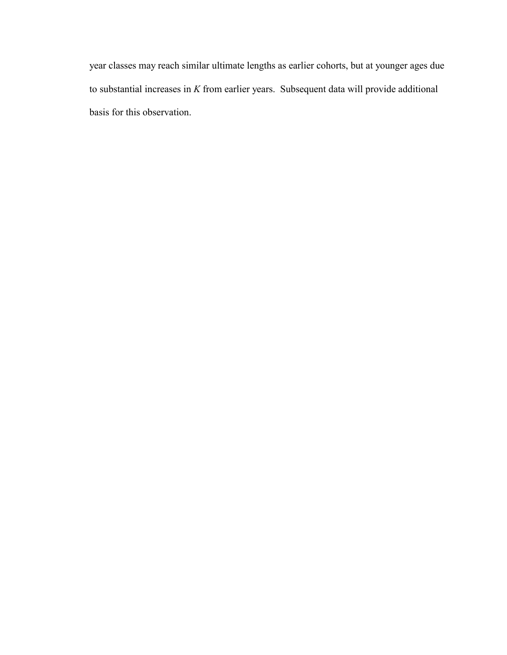year classes may reach similar ultimate lengths as earlier cohorts, but at younger ages due to substantial increases in *K* from earlier years. Subsequent data will provide additional basis for this observation.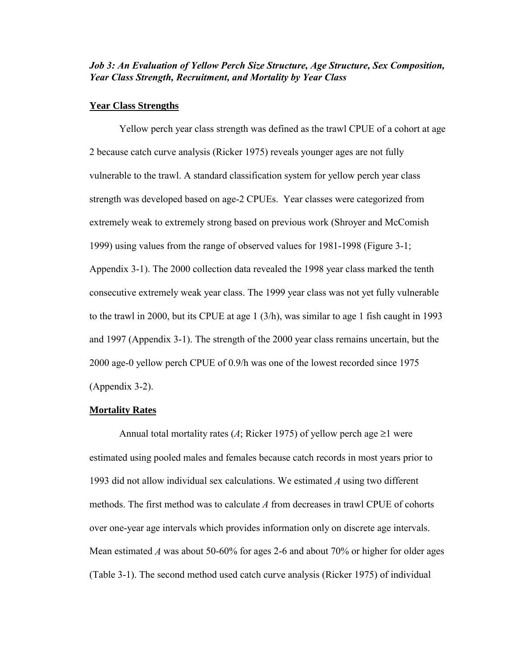#### <span id="page-28-1"></span><span id="page-28-0"></span>*Job 3: An Evaluation of Yellow Perch Size Structure, Age Structure, Sex Composition, Year Class Strength, Recruitment, and Mortality by Year Class*

#### **Year Class Strengths**

Yellow perch year class strength was defined as the trawl CPUE of a cohort at age 2 because catch curve analysis (Ricker 1975) reveals younger ages are not fully vulnerable to the trawl. A standard classification system for yellow perch year class strength was developed based on age-2 CPUEs. Year classes were categorized from extremely weak to extremely strong based on previous work (Shroyer and McComish 1999) using values from the range of observed values for 1981-1998 [\(Figure 3-1;](#page-29-0) [Appendix 3-1\).](#page-88-0) The 2000 collection data revealed the 1998 year class marked the tenth consecutive extremely weak year class. The 1999 year class was not yet fully vulnerable to the trawl in 2000, but its CPUE at age 1 (3/h), was similar to age 1 fish caught in 1993 and 1997 [\(Appendix 3-1\).](#page-88-0) The strength of the 2000 year class remains uncertain, but the 2000 age-0 yellow perch CPUE of 0.9/h was one of the lowest recorded since 1975 [\(Appendix 3-2\).](#page-89-0)

#### **Mortality Rates**

Annual total mortality rates (*A*; Ricker 1975) of yellow perch age  $\geq$ 1 were estimated using pooled males and females because catch records in most years prior to 1993 did not allow individual sex calculations. We estimated *A* using two different methods. The first method was to calculate *A* from decreases in trawl CPUE of cohorts over one-year age intervals which provides information only on discrete age intervals. Mean estimated *A* was about 50-60% for ages 2-6 and about 70% or higher for older ages [\(Table 3-1\). T](#page-30-0)he second method used catch curve analysis (Ricker 1975) of individual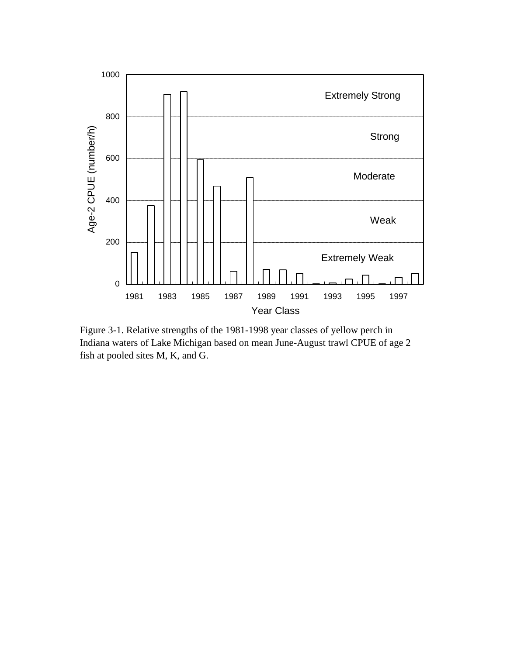<span id="page-29-0"></span>

Figure 3-1. Relative strengths of the 1981-1998 year classes of yellow perch in Indiana waters of Lake Michigan based on mean June-August trawl CPUE of age 2 fish at pooled sites M, K, and G.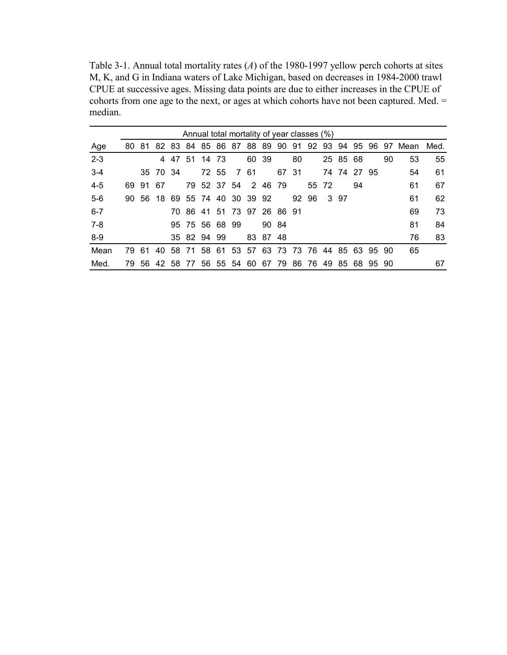<span id="page-30-0"></span>Table 3-1. Annual total mortality rates (*A*) of the 1980-1997 yellow perch cohorts at sites M, K, and G in Indiana waters of Lake Michigan, based on decreases in 1984-2000 trawl CPUE at successive ages. Missing data points are due to either increases in the CPUE of cohorts from one age to the next, or ages at which cohorts have not been captured. Med.  $=$ median.

|         | Annual total mortality of year classes (%) |     |          |      |                                              |             |       |             |                     |          |       |       |    |       |          |             |       |    |      |      |
|---------|--------------------------------------------|-----|----------|------|----------------------------------------------|-------------|-------|-------------|---------------------|----------|-------|-------|----|-------|----------|-------------|-------|----|------|------|
| Age     | 80                                         | 81  | 82       | - 83 |                                              | 84 85 86 87 |       |             | 88                  |          | 8990  | 91    | 92 |       |          | 93 94 95    | -96.  | 97 | Mean | Med. |
| $2 - 3$ |                                            |     | 4        | 47   | 51                                           | 14          | -73   |             | 60 39               |          |       | 80    |    |       | 25 85 68 |             |       | 90 | 53   | 55   |
| $3-4$   |                                            |     | 35 70 34 |      |                                              |             | 72 55 | 761         |                     |          | 67 31 |       |    |       |          | 74 74 27 95 |       |    | 54   | -61  |
| $4 - 5$ | 69.                                        | -91 | -67      |      |                                              |             |       |             | 79 52 37 54 2 46 79 |          |       |       |    | 55 72 |          | 94          |       |    | 61   | 67   |
| $5-6$   | 90.                                        | -56 |          |      | 18 69 55 74 40 30 39 92                      |             |       |             |                     |          |       | 92 96 |    |       | 3 97     |             |       |    | 61   | 62   |
| $6 - 7$ |                                            |     |          |      | 70 86 41 51 73 97 26 86 91                   |             |       |             |                     |          |       |       |    |       |          |             |       |    | 69   | 73   |
| 7-8     |                                            |     |          |      | 95 75 56 68 99                               |             |       |             |                     | 90 84    |       |       |    |       |          |             |       |    | 81   | 84   |
| $8-9$   |                                            |     |          |      | 35 82 94 99                                  |             |       |             |                     | 83 87 48 |       |       |    |       |          |             |       |    | 76   | 83   |
| Mean    | 79                                         | 61  | 40       |      | 58 71 58 61 53 57 63 73 73 76 44 85 63 95 90 |             |       |             |                     |          |       |       |    |       |          |             |       |    | 65   |      |
| Med.    | 79                                         |     |          |      | 56 42 58 77                                  |             |       | 56 55 54 60 |                     |          | 67 79 | -86   | 76 | 4985  |          | -68         | 95 90 |    |      | 67   |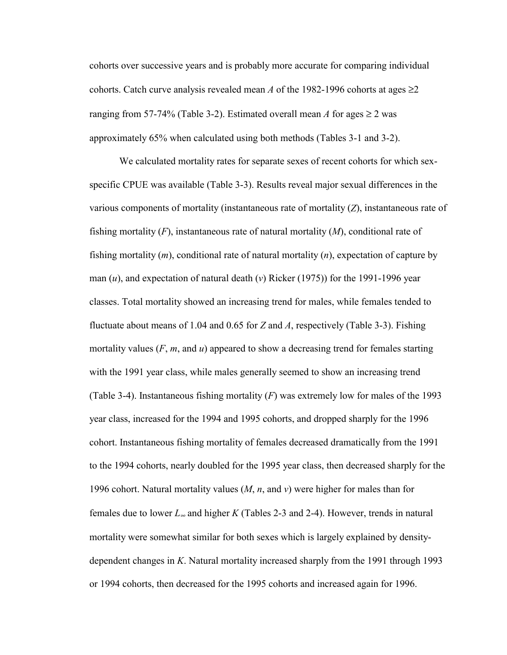cohorts over successive years and is probably more accurate for comparing individual cohorts. Catch curve analysis revealed mean *A* of the 1982-1996 cohorts at ages  $\geq$ 2 ranging from 57-74% [\(Table 3-2\).](#page-32-0) Estimated overall mean *A* for ages  $\geq 2$  was approximately 65% when calculated using both methods [\(Tables 3-1 a](#page-30-0)nd [3-2\).](#page-32-0)

We calculated mortality rates for separate sexes of recent cohorts for which sexspecific CPUE was available [\(Table 3-3\). R](#page-33-0)esults reveal major sexual differences in the various components of mortality (instantaneous rate of mortality (*Z*), instantaneous rate of fishing mortality (*F*), instantaneous rate of natural mortality (*M*), conditional rate of fishing mortality (*m*), conditional rate of natural mortality (*n*), expectation of capture by man (*u*), and expectation of natural death (*v*) Ricker (1975)) for the 1991-1996 year classes. Total mortality showed an increasing trend for males, while females tended to fluctuate about means of 1.04 and 0.65 for *Z* and *A*, respectively [\(Table 3-3\).](#page-33-0) Fishing mortality values (*F*, *m*, and *u*) appeared to show a decreasing trend for females starting with the 1991 year class, while males generally seemed to show an increasing trend [\(Table 3-4\).](#page-33-0) Instantaneous fishing mortality (*F*) was extremely low for males of the 1993 year class, increased for the 1994 and 1995 cohorts, and dropped sharply for the 1996 cohort. Instantaneous fishing mortality of females decreased dramatically from the 1991 to the 1994 cohorts, nearly doubled for the 1995 year class, then decreased sharply for the 1996 cohort. Natural mortality values (*M*, *n*, and *v*) were higher for males than for females due to lower *L*∞ and higher *K* [\(Tables 2-3 and 2-4\).](#page-26-0) However, trends in natural mortality were somewhat similar for both sexes which is largely explained by densitydependent changes in *K*. Natural mortality increased sharply from the 1991 through 1993 or 1994 cohorts, then decreased for the 1995 cohorts and increased again for 1996.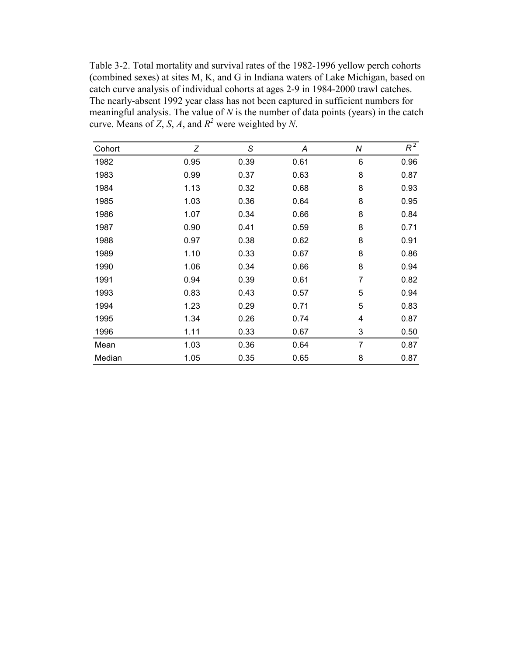<span id="page-32-0"></span>Table 3-2. Total mortality and survival rates of the 1982-1996 yellow perch cohorts (combined sexes) at sites M, K, and G in Indiana waters of Lake Michigan, based on catch curve analysis of individual cohorts at ages 2-9 in 1984-2000 trawl catches. The nearly-absent 1992 year class has not been captured in sufficient numbers for meaningful analysis. The value of *N* is the number of data points (years) in the catch curve. Means of *Z*, *S*, *A*, and  $R^2$  were weighted by *N*.

| Cohort | Ζ    | S    | A    | Ν              | $R^2$ |
|--------|------|------|------|----------------|-------|
| 1982   | 0.95 | 0.39 | 0.61 | 6              | 0.96  |
| 1983   | 0.99 | 0.37 | 0.63 | 8              | 0.87  |
| 1984   | 1.13 | 0.32 | 0.68 | 8              | 0.93  |
| 1985   | 1.03 | 0.36 | 0.64 | 8              | 0.95  |
| 1986   | 1.07 | 0.34 | 0.66 | 8              | 0.84  |
| 1987   | 0.90 | 0.41 | 0.59 | 8              | 0.71  |
| 1988   | 0.97 | 0.38 | 0.62 | 8              | 0.91  |
| 1989   | 1.10 | 0.33 | 0.67 | 8              | 0.86  |
| 1990   | 1.06 | 0.34 | 0.66 | 8              | 0.94  |
| 1991   | 0.94 | 0.39 | 0.61 | 7              | 0.82  |
| 1993   | 0.83 | 0.43 | 0.57 | 5              | 0.94  |
| 1994   | 1.23 | 0.29 | 0.71 | 5              | 0.83  |
| 1995   | 1.34 | 0.26 | 0.74 | 4              | 0.87  |
| 1996   | 1.11 | 0.33 | 0.67 | 3              | 0.50  |
| Mean   | 1.03 | 0.36 | 0.64 | $\overline{7}$ | 0.87  |
| Median | 1.05 | 0.35 | 0.65 | 8              | 0.87  |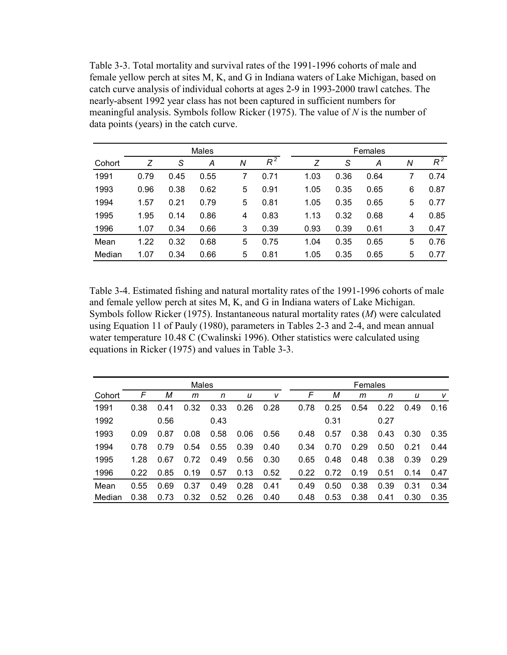<span id="page-33-0"></span>Table 3-3. Total mortality and survival rates of the 1991-1996 cohorts of male and female yellow perch at sites M, K, and G in Indiana waters of Lake Michigan, based on catch curve analysis of individual cohorts at ages 2-9 in 1993-2000 trawl catches. The nearly-absent 1992 year class has not been captured in sufficient numbers for meaningful analysis. Symbols follow Ricker (1975). The value of *N* is the number of data points (years) in the catch curve.

|        |      |      | Males |   |       | Females |      |      |   |       |  |  |
|--------|------|------|-------|---|-------|---------|------|------|---|-------|--|--|
| Cohort | Z    | S    | A     | N | $R^2$ | Z       | S    | А    | N | $R^2$ |  |  |
| 1991   | 0.79 | 0.45 | 0.55  |   | 0.71  | 1.03    | 0.36 | 0.64 |   | 0.74  |  |  |
| 1993   | 0.96 | 0.38 | 0.62  | 5 | 0.91  | 1.05    | 0.35 | 0.65 | 6 | 0.87  |  |  |
| 1994   | 1.57 | 0.21 | 0.79  | 5 | 0.81  | 1.05    | 0.35 | 0.65 | 5 | 0.77  |  |  |
| 1995   | 1.95 | 0.14 | 0.86  | 4 | 0.83  | 1.13    | 0.32 | 0.68 | 4 | 0.85  |  |  |
| 1996   | 1.07 | 0.34 | 0.66  | 3 | 0.39  | 0.93    | 0.39 | 0.61 | 3 | 0.47  |  |  |
| Mean   | 1.22 | 0.32 | 0.68  | 5 | 0.75  | 1.04    | 0.35 | 0.65 | 5 | 0.76  |  |  |
| Median | 1.07 | 0.34 | 0.66  | 5 | 0.81  | 1.05    | 0.35 | 0.65 | 5 | 0.77  |  |  |

Table 3-4. Estimated fishing and natural mortality rates of the 1991-1996 cohorts of male and female yellow perch at sites M, K, and G in Indiana waters of Lake Michigan. Symbols follow Ricker (1975). Instantaneous natural mortality rates (*M*) were calculated using Equation 11 of Pauly (1980), parameters in Tables 2-3 and 2-4, and mean annual water temperature 10.48 C (Cwalinski 1996). Other statistics were calculated using equations in Ricker (1975) and values in Table 3-3.

|        | Males |                 |      |      |      |      |  |      | Females |      |      |      |      |  |  |
|--------|-------|-----------------|------|------|------|------|--|------|---------|------|------|------|------|--|--|
| Cohort | F     | М               | m    | n    | u    | v    |  | F    | М       | m    | n    | u    | v    |  |  |
| 1991   | 0.38  | $\Omega$<br>.41 | 0.32 | 0.33 | 0.26 | 0.28 |  | 0.78 | 0.25    | 0.54 | 0.22 | 0.49 | 0.16 |  |  |
| 1992   |       | 0.56            |      | 0.43 |      |      |  |      | 0.31    |      | 0.27 |      |      |  |  |
| 1993   | 0.09  | 0.87            | 0.08 | 0.58 | 0.06 | 0.56 |  | 0.48 | 0.57    | 0.38 | 0.43 | 0.30 | 0.35 |  |  |
| 1994   | 0.78  | 0.79            | 0.54 | 0.55 | 0.39 | 0.40 |  | 0.34 | 0.70    | 0.29 | 0.50 | 0.21 | 0.44 |  |  |
| 1995   | 1.28  | 0.67            | 0.72 | 0.49 | 0.56 | 0.30 |  | 0.65 | 0.48    | 0.48 | 0.38 | 0.39 | 0.29 |  |  |
| 1996   | 0.22  | 0.85            | 0.19 | 0.57 | 0.13 | 0.52 |  | 0.22 | 0.72    | 0.19 | 0.51 | 0.14 | 0.47 |  |  |
| Mean   | 0.55  | .69<br>$\Omega$ | 0.37 | 0.49 | 0.28 | 0.41 |  | 0.49 | 0.50    | 0.38 | 0.39 | 0.31 | 0.34 |  |  |
| Median | 0.38  | 0.73            | 0.32 | 0.52 | 0.26 | 0.40 |  | 0.48 | 0.53    | 0.38 | 0.41 | 0.30 | 0.35 |  |  |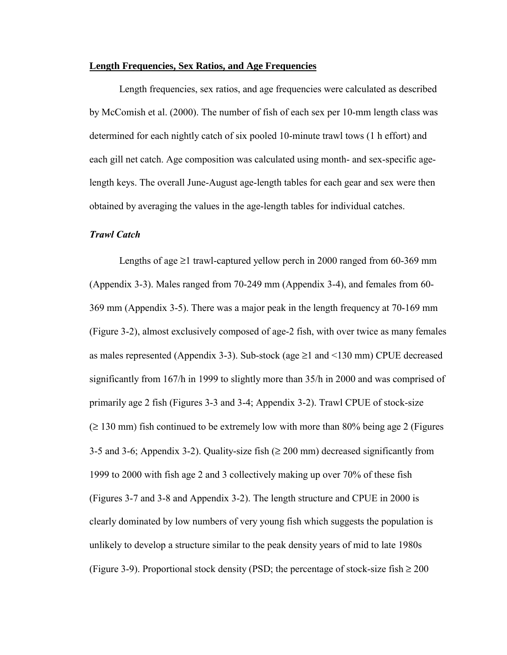#### **Length Frequencies, Sex Ratios, and Age Frequencies**

Length frequencies, sex ratios, and age frequencies were calculated as described by McComish et al. (2000). The number of fish of each sex per 10-mm length class was determined for each nightly catch of six pooled 10-minute trawl tows (1 h effort) and each gill net catch. Age composition was calculated using month- and sex-specific agelength keys. The overall June-August age-length tables for each gear and sex were then obtained by averaging the values in the age-length tables for individual catches.

#### *Trawl Catch*

Lengths of age  $\geq 1$  trawl-captured yellow perch in 2000 ranged from 60-369 mm [\(Appendix 3-3\).](#page-90-0) Males ranged from 70-249 mm [\(Appendix 3-4\),](#page-91-0) and females from 60- 369 mm [\(Appendix 3-5\).](#page-92-0) There was a major peak in the length frequency at 70-169 mm [\(Figure 3-2\),](#page-35-0) almost exclusively composed of age-2 fish, with over twice as many females as males represented [\(Appendix 3-3\).](#page-90-0) Sub-stock (age  $\geq 1$  and  $\leq 130$  mm) CPUE decreased significantly from 167/h in 1999 to slightly more than 35/h in 2000 and was comprised of primarily age 2 fish [\(Figures 3-3](#page-36-0) and [3-4;](#page-37-0) [Appendix 3-2\).](#page-89-0) Trawl CPUE of stock-size  $(2130 \text{ mm})$  fish continued to be extremely low with more than 80% being age 2 [\(Figures](#page-38-0) [3-5 a](#page-38-0)nd [3-6;](#page-39-0) [Appendix 3-2\).](#page-89-0) Quality-size fish  $(\geq 200 \text{ mm})$  decreased significantly from 1999 to 2000 with fish age 2 and 3 collectively making up over 70% of these fish [\(Figures 3-7 a](#page-40-0)nd [3-8 a](#page-41-0)nd [Appendix 3-2\).](#page-89-0) The length structure and CPUE in 2000 is clearly dominated by low numbers of very young fish which suggests the population is unlikely to develop a structure similar to the peak density years of mid to late 1980s [\(Figure 3-9\).](#page-42-0) Proportional stock density (PSD; the percentage of stock-size fish  $\geq 200$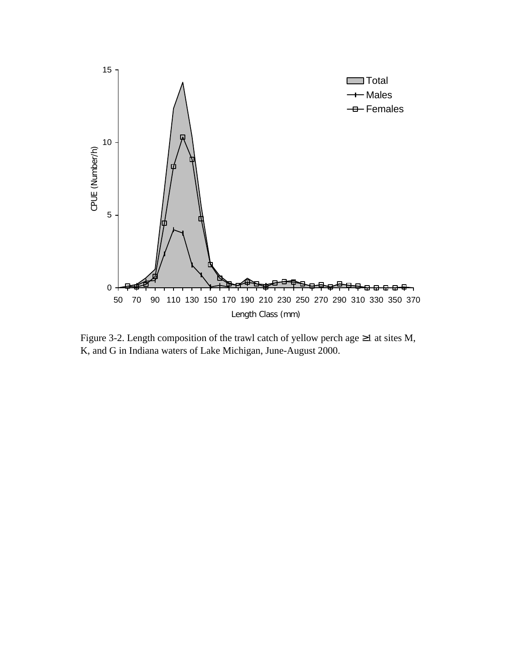<span id="page-35-0"></span>

Figure 3-2. Length composition of the trawl catch of yellow perch age  $\geq 1$  at sites M, K, and G in Indiana waters of Lake Michigan, June-August 2000.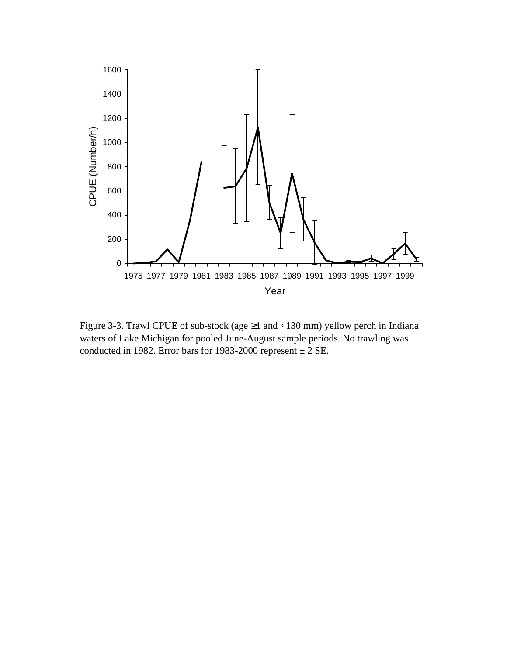

Figure 3-3. Trawl CPUE of sub-stock (age ≥1 and <130 mm) yellow perch in Indiana waters of Lake Michigan for pooled June-August sample periods. No trawling was conducted in 1982. Error bars for 1983-2000 represent  $\pm 2$  SE.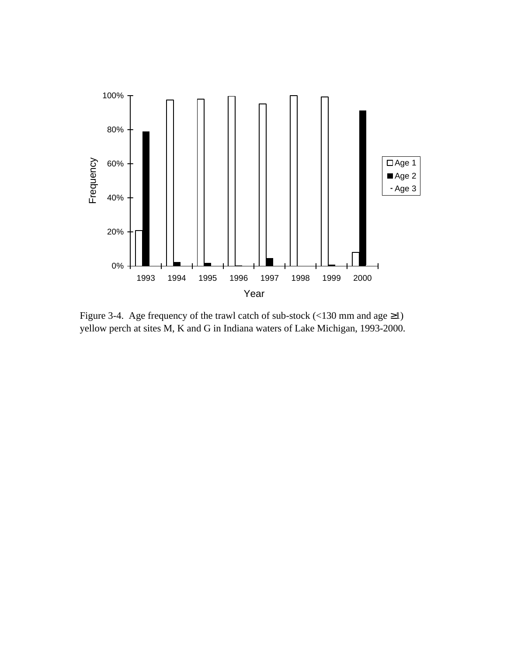

Figure 3-4. Age frequency of the trawl catch of sub-stock (<130 mm and age ≥1) yellow perch at sites M, K and G in Indiana waters of Lake Michigan, 1993-2000.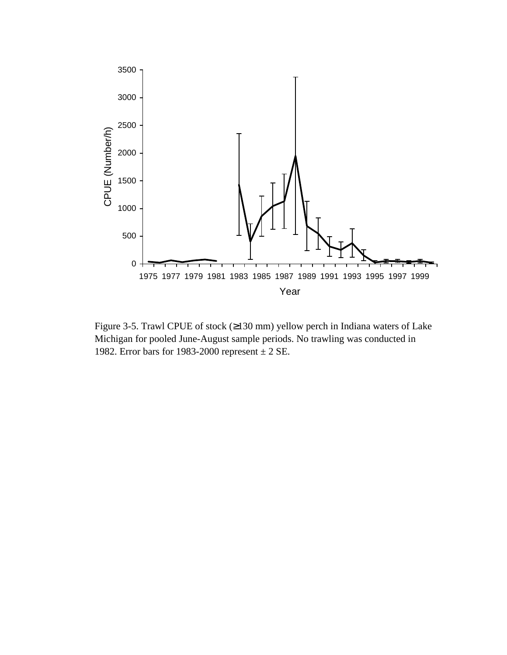

Figure 3-5. Trawl CPUE of stock (≥130 mm) yellow perch in Indiana waters of Lake Michigan for pooled June-August sample periods. No trawling was conducted in 1982. Error bars for 1983-2000 represent ± 2 SE.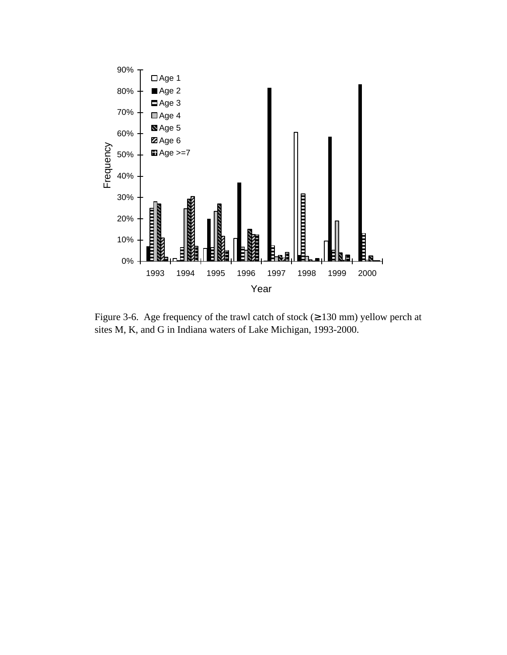

Figure 3-6. Age frequency of the trawl catch of stock  $(≥ 130$  mm) yellow perch at sites M, K, and G in Indiana waters of Lake Michigan, 1993-2000.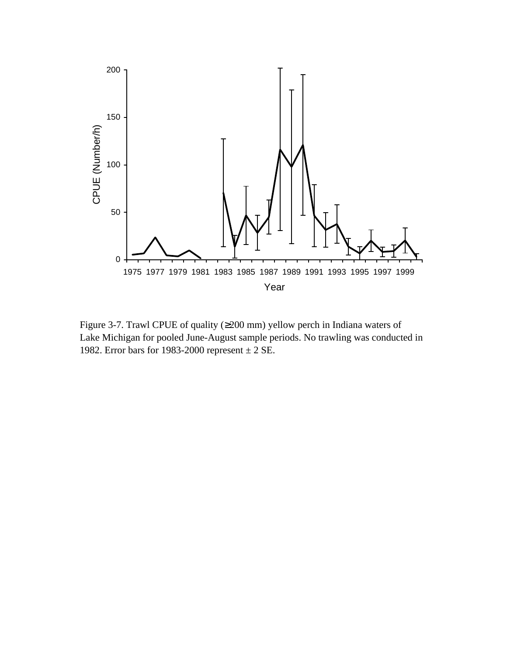

Figure 3-7. Trawl CPUE of quality (≥200 mm) yellow perch in Indiana waters of Lake Michigan for pooled June-August sample periods. No trawling was conducted in 1982. Error bars for 1983-2000 represent  $\pm 2$  SE.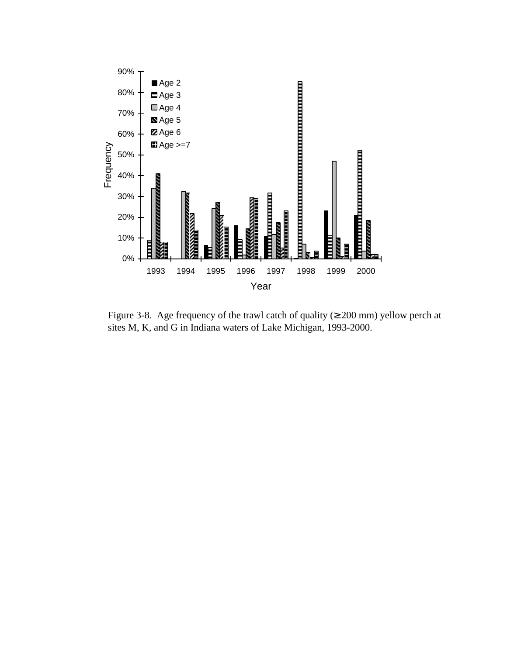

Figure 3-8. Age frequency of the trawl catch of quality ( $\geq 200$  mm) yellow perch at sites M, K, and G in Indiana waters of Lake Michigan, 1993-2000.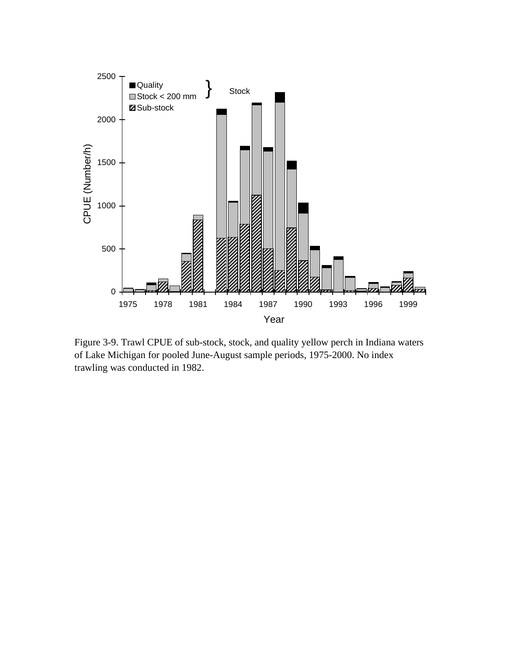

Figure 3-9. Trawl CPUE of sub-stock, stock, and quality yellow perch in Indiana waters of Lake Michigan for pooled June-August sample periods, 1975-2000. No index trawling was conducted in 1982.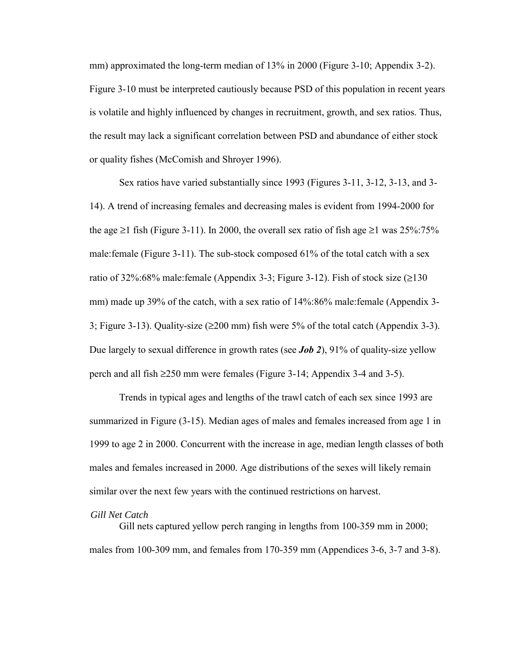mm) approximated the long-term median of 13% in 2000 [\(Figure 3-10;](#page-44-0) [Appendix 3-2\).](#page-89-0) [Figure 3-10 m](#page-44-0)ust be interpreted cautiously because PSD of this population in recent years is volatile and highly influenced by changes in recruitment, growth, and sex ratios. Thus, the result may lack a significant correlation between PSD and abundance of either stock or quality fishes (McComish and Shroyer 1996).

Sex ratios have varied substantially since 1993 [\(Figures 3-11,](#page-45-0) [3-12,](#page-46-0) [3-13,](#page-47-0) an[d 3-](#page-48-0) [14\).](#page-48-0) A trend of increasing females and decreasing males is evident from 1994-2000 for the age  $\geq$ 1 fish [\(Figure 3-11\).](#page-45-0) In 2000, the overall sex ratio of fish age  $\geq$ 1 was 25%:75% male:female [\(Figure 3-11\).](#page-45-0) The sub-stock composed 61% of the total catch with a sex ratio of 32%:68% male:female [\(Appendix 3-3;](#page-90-0) [Figure 3-12\).](#page-46-0) Fish of stock size  $(\geq 130$ mm) made up 39% of the catch, with a sex ratio of 14%:86% male:female [\(Appendix 3-](#page-90-0) [3;](#page-90-0) [Figure 3-13\).](#page-47-0) Quality-size (≥200 mm) fish were 5% of the total catch [\(Appendix 3-3\).](#page-90-0) Due largely to sexual difference in growth rates (see *[Job 2](#page-20-0)*), 91% of quality-size yellow perch and all fish ≥250 mm were female[s \(Figure 3-14;](#page-48-0) [Appendix 3-4 a](#page-91-0)nd [3-5\).](#page-92-0)

Trends in typical ages and lengths of the trawl catch of each sex since 1993 are summarized in [Figure \(3-15\).](#page-49-0) Median ages of males and females increased from age 1 in 1999 to age 2 in 2000. Concurrent with the increase in age, median length classes of both males and females increased in 2000. Age distributions of the sexes will likely remain similar over the next few years with the continued restrictions on harvest.

# *Gill Net Catch*

Gill nets captured yellow perch ranging in lengths from 100-359 mm in 2000; males from 100-309 mm, and females from 170-359 mm [\(Appendices 3-6,](#page-93-0) [3-7 a](#page-94-0)n[d 3-8\).](#page-95-0)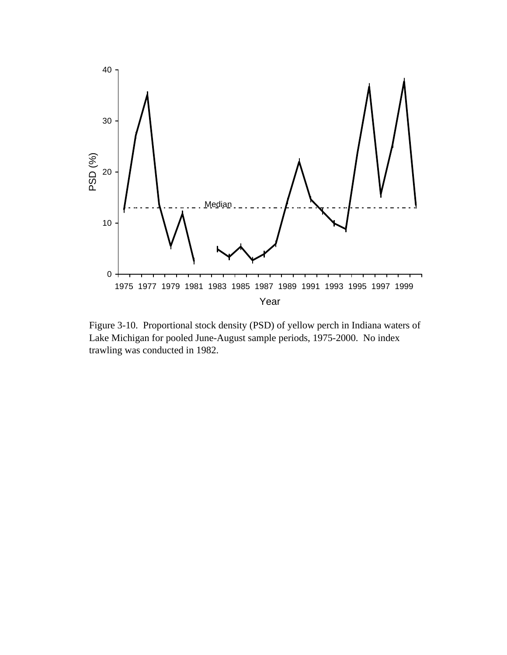<span id="page-44-0"></span>

Figure 3-10. Proportional stock density (PSD) of yellow perch in Indiana waters of Lake Michigan for pooled June-August sample periods, 1975-2000. No index trawling was conducted in 1982.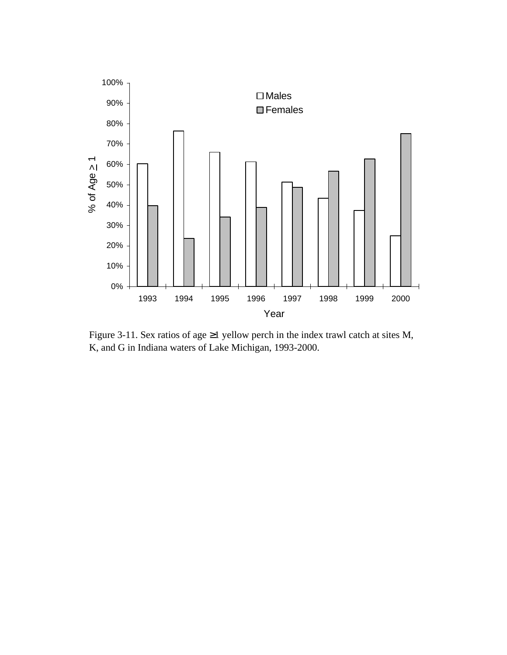<span id="page-45-0"></span>

Figure 3-11. Sex ratios of age  $\geq$ 1 yellow perch in the index trawl catch at sites M, K, and G in Indiana waters of Lake Michigan, 1993-2000.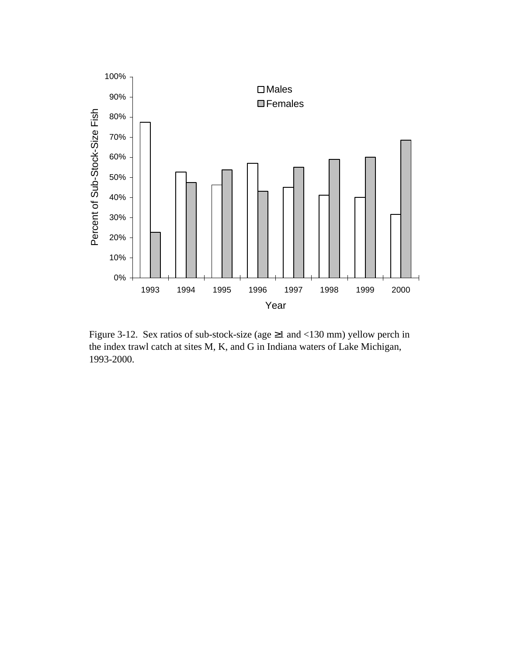<span id="page-46-0"></span>

Figure 3-12. Sex ratios of sub-stock-size (age ≥1 and <130 mm) yellow perch in the index trawl catch at sites M, K, and G in Indiana waters of Lake Michigan, 1993-2000.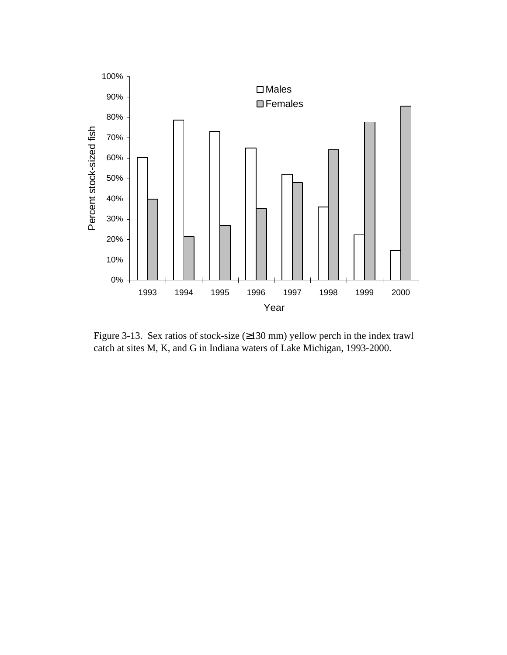<span id="page-47-0"></span>

Figure 3-13. Sex ratios of stock-size (≥130 mm) yellow perch in the index trawl catch at sites M, K, and G in Indiana waters of Lake Michigan, 1993-2000.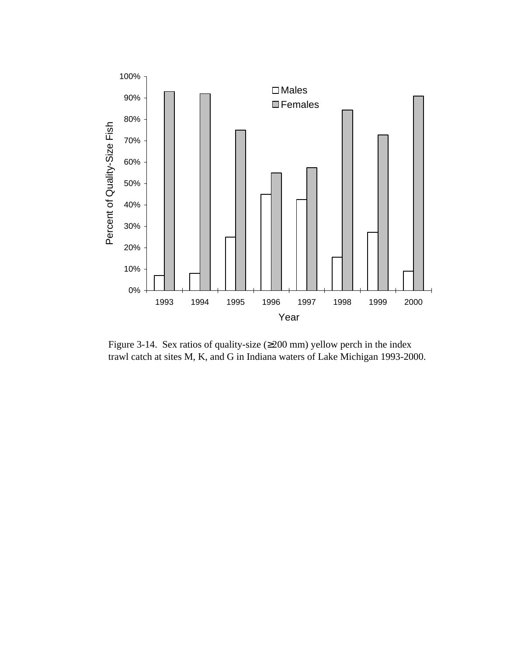<span id="page-48-0"></span>

Figure 3-14. Sex ratios of quality-size (≥200 mm) yellow perch in the index trawl catch at sites M, K, and G in Indiana waters of Lake Michigan 1993-2000.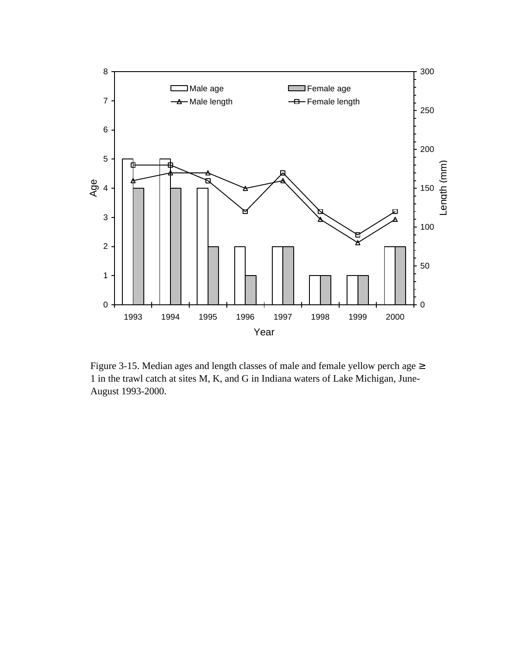<span id="page-49-0"></span>

Figure 3-15. Median ages and length classes of male and female yellow perch age ≥ 1 in the trawl catch at sites M, K, and G in Indiana waters of Lake Michigan, June-August 1993-2000.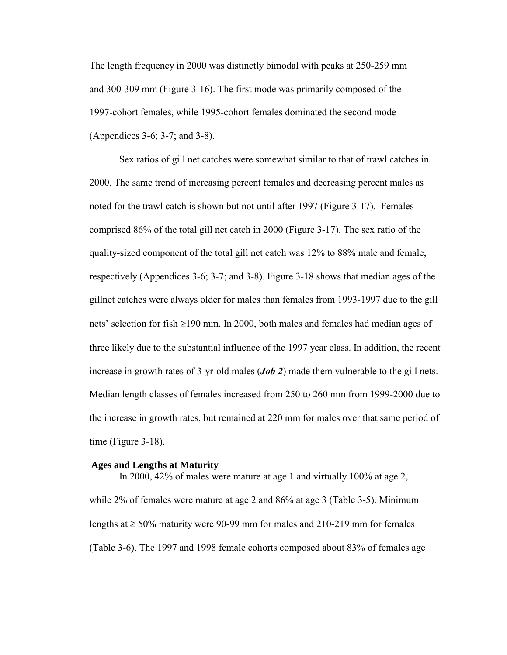The length frequency in 2000 was distinctly bimodal with peaks at 250-259 mm and 300-309 mm [\(Figure 3-16\).](#page-51-0) The first mode was primarily composed of the 1997-cohort females, while 1995-cohort females dominated the second mode [\(Appendices 3-6;](#page-93-1) [3-7; a](#page-94-1)n[d 3-8\).](#page-95-1)

Sex ratios of gill net catches were somewhat similar to that of trawl catches in 2000. The same trend of increasing percent females and decreasing percent males as noted for the trawl catch is shown but not until after 1997 [\(Figure 3-17\).](#page-52-0) Females comprised 86% of the total gill net catch in 2000 [\(Figure 3-17\).](#page-52-0) The sex ratio of the quality-sized component of the total gill net catch was 12% to 88% male and female, respectively [\(Appendices 3-6;](#page-93-1) [3-7;](#page-94-1) an[d 3-8\).](#page-95-1) [Figure 3-18 s](#page-53-0)hows that median ages of the gillnet catches were always older for males than females from 1993-1997 due to the gill nets' selection for fish ≥190 mm. In 2000, both males and females had median ages of three likely due to the substantial influence of the 1997 year class. In addition, the recent increase in growth rates of 3-yr-old males (*[Job 2](#page-20-1)*) made them vulnerable to the gill nets. Median length classes of females increased from 250 to 260 mm from 1999-2000 due to the increase in growth rates, but remained at 220 mm for males over that same period of time [\(Figure](#page-53-0) 3-18).

#### **Ages and Lengths at Maturity**

In 2000, 42% of males were mature at age 1 and virtually 100% at age 2, while 2% of females were mature at age 2 and 86% at age 3 [\(Table 3-5\).](#page-54-0) Minimum lengths at  $\geq 50\%$  maturity were 90-99 mm for males and 210-219 mm for females [\(Table 3-6\).](#page-55-0) The 1997 and 1998 female cohorts composed about 83% of females age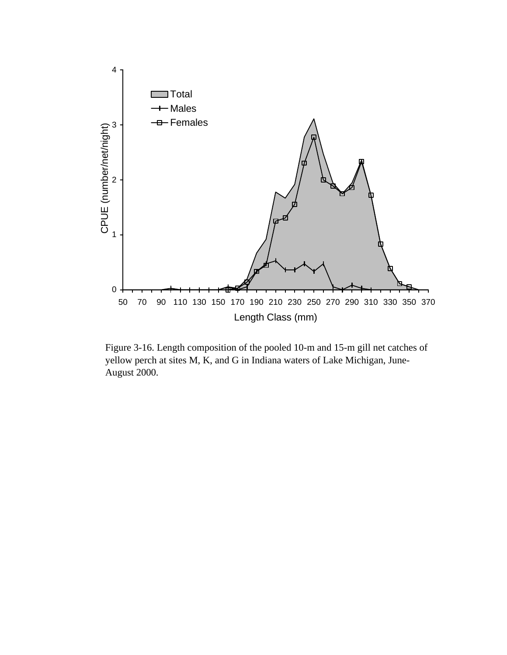<span id="page-51-0"></span>

Figure 3-16. Length composition of the pooled 10-m and 15-m gill net catches of yellow perch at sites M, K, and G in Indiana waters of Lake Michigan, June-August 2000.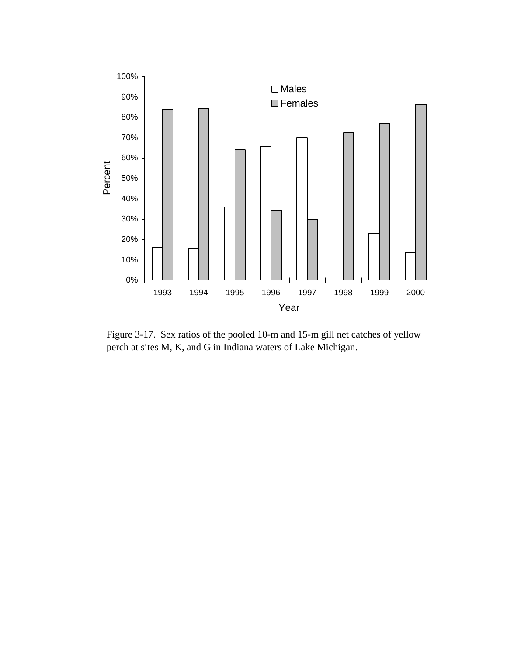<span id="page-52-0"></span>

Figure 3-17. Sex ratios of the pooled 10-m and 15-m gill net catches of yellow perch at sites M, K, and G in Indiana waters of Lake Michigan.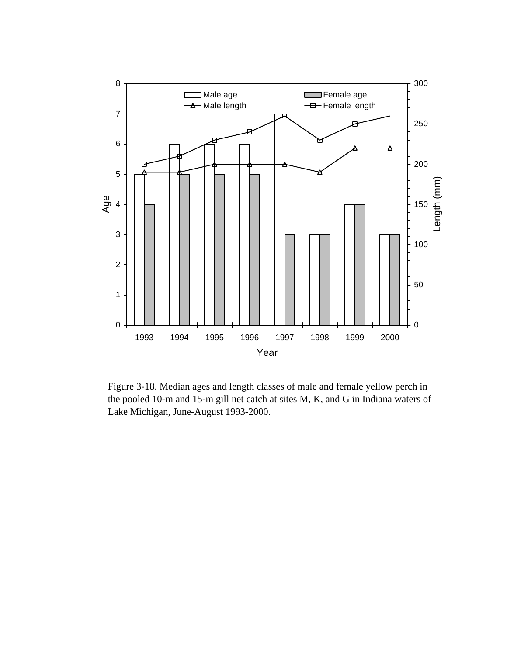<span id="page-53-0"></span>

Figure 3-18. Median ages and length classes of male and female yellow perch in the pooled 10-m and 15-m gill net catch at sites M, K, and G in Indiana waters of Lake Michigan, June-August 1993-2000.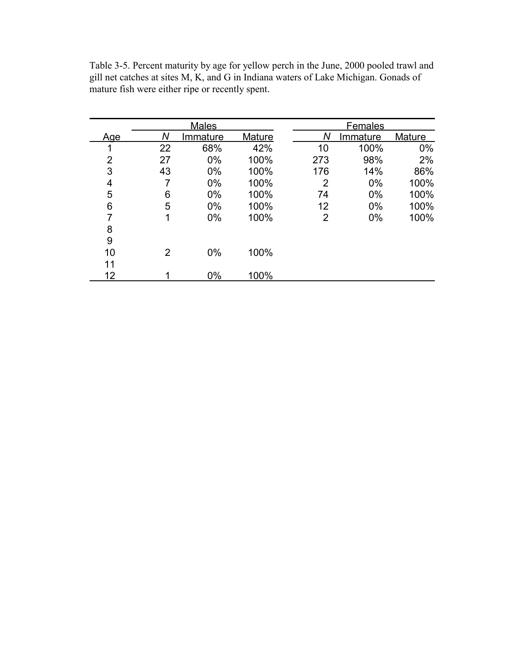|                |    | <b>Males</b> |        |     | <b>Females</b> |        |  |
|----------------|----|--------------|--------|-----|----------------|--------|--|
| Age            | Ν  | Immature     | Mature | Ν   | Immature       | Mature |  |
| 1              | 22 | 68%          | 42%    | 10  | 100%           | $0\%$  |  |
| $\overline{2}$ | 27 | $0\%$        | 100%   | 273 | 98%            | 2%     |  |
| 3              | 43 | $0\%$        | 100%   | 176 | 14%            | 86%    |  |
| 4              | 7  | $0\%$        | 100%   | 2   | $0\%$          | 100%   |  |
| 5              | 6  | $0\%$        | 100%   | 74  | $0\%$          | 100%   |  |
| 6              | 5  | $0\%$        | 100%   | 12  | $0\%$          | 100%   |  |
| 7              | 1  | $0\%$        | 100%   | 2   | $0\%$          | 100%   |  |
| 8              |    |              |        |     |                |        |  |
| 9              |    |              |        |     |                |        |  |
| 10             | 2  | $0\%$        | 100%   |     |                |        |  |
| 11             |    |              |        |     |                |        |  |
| 12             |    | $0\%$        | 100%   |     |                |        |  |

<span id="page-54-0"></span>Table 3-5. Percent maturity by age for yellow perch in the June, 2000 pooled trawl and gill net catches at sites M, K, and G in Indiana waters of Lake Michigan. Gonads of mature fish were either ripe or recently spent.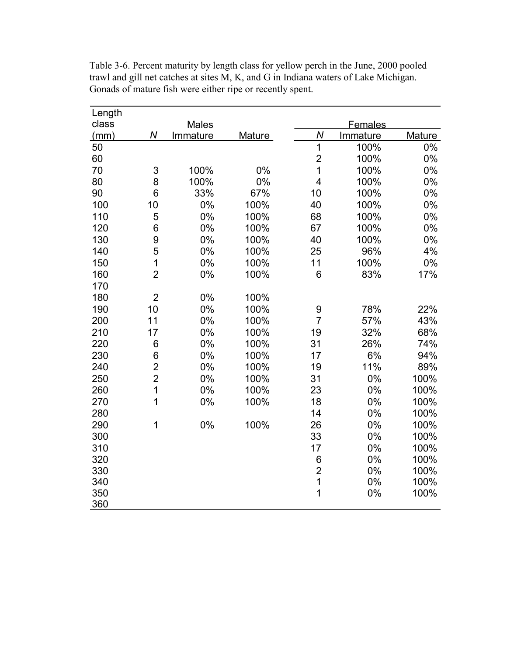| Length |                |              |        |                         |          |               |  |
|--------|----------------|--------------|--------|-------------------------|----------|---------------|--|
| class  |                | <b>Males</b> |        | Females                 |          |               |  |
| (mm)   | $\overline{N}$ | Immature     | Mature | N                       | Immature | <b>Mature</b> |  |
| 50     |                |              |        | $\overline{1}$          | 100%     | 0%            |  |
| 60     |                |              |        | $\overline{\mathbf{c}}$ | 100%     | 0%            |  |
| 70     | 3              | 100%         | 0%     | $\overline{1}$          | 100%     | $0\%$         |  |
| 80     | 8              | 100%         | 0%     | $\overline{\mathbf{4}}$ | 100%     | 0%            |  |
| 90     | 6              | 33%          | 67%    | 10                      | 100%     | 0%            |  |
| 100    | 10             | 0%           | 100%   | 40                      | 100%     | 0%            |  |
| 110    | 5              | 0%           | 100%   | 68                      | 100%     | 0%            |  |
| 120    | 6              | 0%           | 100%   | 67                      | 100%     | 0%            |  |
| 130    | 9              | 0%           | 100%   | 40                      | 100%     | 0%            |  |
| 140    | 5              | 0%           | 100%   | 25                      | 96%      | 4%            |  |
| 150    | $\mathbf 1$    | 0%           | 100%   | 11                      | 100%     | 0%            |  |
| 160    | $\overline{2}$ | 0%           | 100%   | $6\phantom{1}6$         | 83%      | 17%           |  |
| 170    |                |              |        |                         |          |               |  |
| 180    | $\overline{2}$ | 0%           | 100%   |                         |          |               |  |
| 190    | 10             | 0%           | 100%   | 9                       | 78%      | 22%           |  |
| 200    | 11             | 0%           | 100%   | $\overline{7}$          | 57%      | 43%           |  |
| 210    | 17             | 0%           | 100%   | 19                      | 32%      | 68%           |  |
| 220    | 6              | 0%           | 100%   | 31                      | 26%      | 74%           |  |
| 230    | 6              | 0%           | 100%   | 17                      | 6%       | 94%           |  |
| 240    |                | 0%           | 100%   | 19                      | 11%      | 89%           |  |
| 250    | $\frac{2}{2}$  | 0%           | 100%   | 31                      | 0%       | 100%          |  |
| 260    | 1              | 0%           | 100%   | 23                      | 0%       | 100%          |  |
| 270    | 1              | 0%           | 100%   | 18                      | 0%       | 100%          |  |
| 280    |                |              |        | 14                      | 0%       | 100%          |  |
| 290    | 1              | 0%           | 100%   | 26                      | 0%       | 100%          |  |
| 300    |                |              |        | 33                      | 0%       | 100%          |  |
| 310    |                |              |        | 17                      | 0%       | 100%          |  |
| 320    |                |              |        | 6                       | 0%       | 100%          |  |
| 330    |                |              |        | $\overline{c}$          | 0%       | 100%          |  |
| 340    |                |              |        | $\mathbf 1$             | 0%       | 100%          |  |
| 350    |                |              |        | 1                       | 0%       | 100%          |  |
| 360    |                |              |        |                         |          |               |  |

<span id="page-55-0"></span>Table 3-6. Percent maturity by length class for yellow perch in the June, 2000 pooled trawl and gill net catches at sites M, K, and G in Indiana waters of Lake Michigan. Gonads of mature fish were either ripe or recently spent.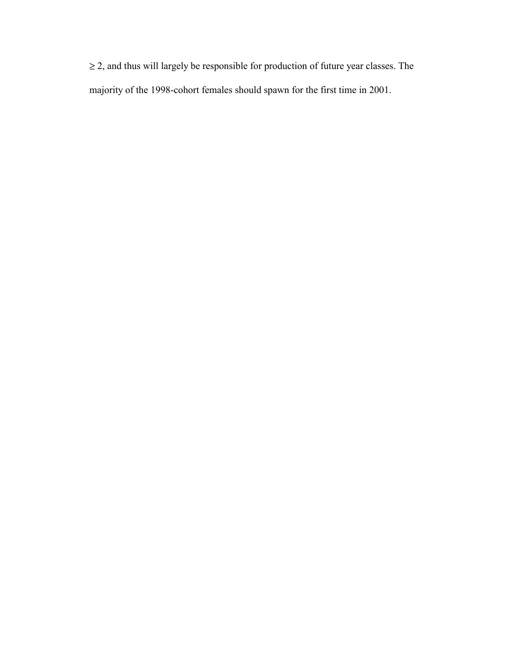≥ 2, and thus will largely be responsible for production of future year classes. The majority of the 1998-cohort females should spawn for the first time in 2001.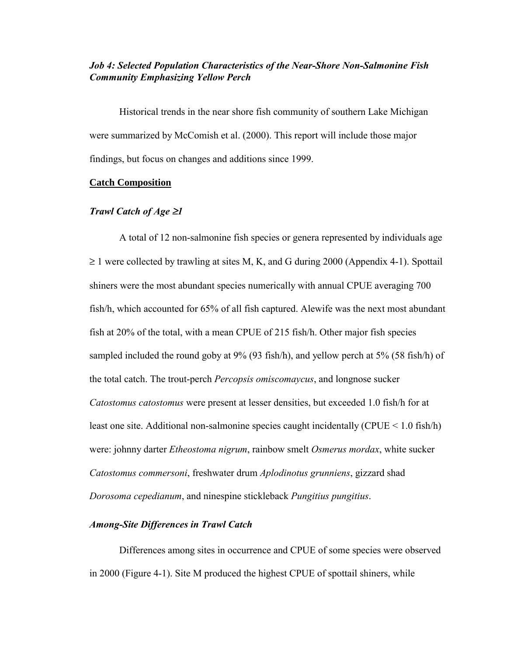# *Job 4: Selected Population Characteristics of the Near-Shore Non-Salmonine Fish Community Emphasizing Yellow Perch*

Historical trends in the near shore fish community of southern Lake Michigan were summarized by McComish et al. (2000). This report will include those major findings, but focus on changes and additions since 1999.

#### **Catch Composition**

#### *Trawl Catch of Age* ≥*1*

A total of 12 non-salmonine fish species or genera represented by individuals age  $\geq$  1 were collected by trawling at sites M, K, and G during 2000 [\(Appendix 4-1\). S](#page-96-0)pottail shiners were the most abundant species numerically with annual CPUE averaging 700 fish/h, which accounted for 65% of all fish captured. Alewife was the next most abundant fish at 20% of the total, with a mean CPUE of 215 fish/h. Other major fish species sampled included the round goby at 9% (93 fish/h), and yellow perch at 5% (58 fish/h) of the total catch. The trout-perch *Percopsis omiscomaycus*, and longnose sucker *Catostomus catostomus* were present at lesser densities, but exceeded 1.0 fish/h for at least one site. Additional non-salmonine species caught incidentally (CPUE < 1.0 fish/h) were: johnny darter *Etheostoma nigrum*, rainbow smelt *Osmerus mordax*, white sucker *Catostomus commersoni*, freshwater drum *Aplodinotus grunniens*, gizzard shad *Dorosoma cepedianum*, and ninespine stickleback *Pungitius pungitius*.

### *Among-Site Differences in Trawl Catch*

Differences among sites in occurrence and CPUE of some species were observed in 2000 [\(Figure 4-1\).](#page-58-0) Site M produced the highest CPUE of spottail shiners, while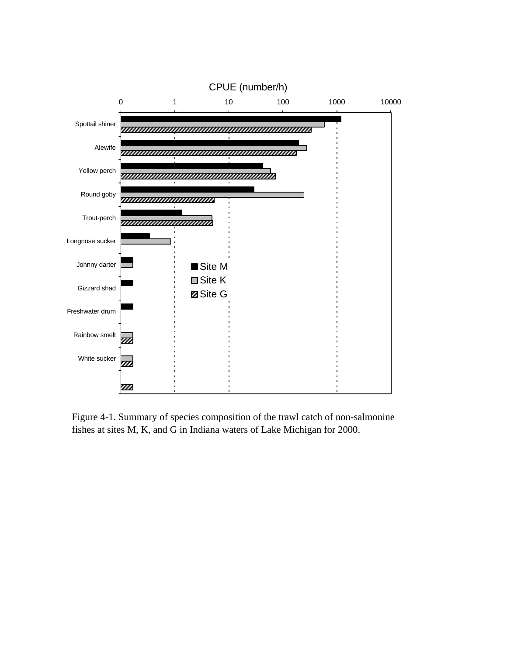<span id="page-58-0"></span>

Figure 4-1. Summary of species composition of the trawl catch of non-salmonine fishes at sites M, K, and G in Indiana waters of Lake Michigan for 2000.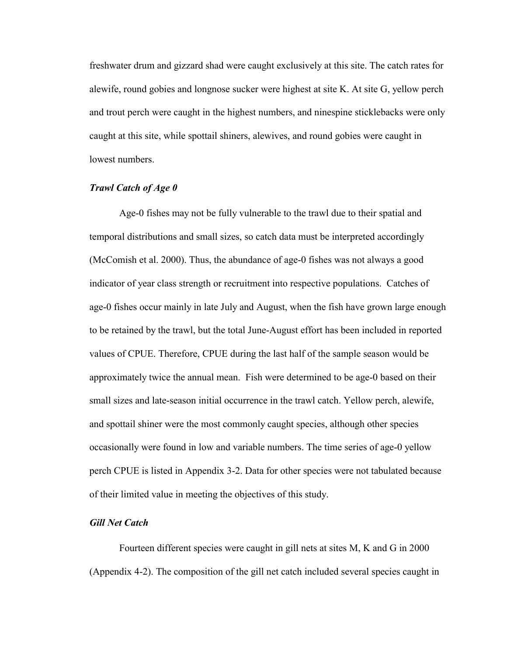freshwater drum and gizzard shad were caught exclusively at this site. The catch rates for alewife, round gobies and longnose sucker were highest at site K. At site G, yellow perch and trout perch were caught in the highest numbers, and ninespine sticklebacks were only caught at this site, while spottail shiners, alewives, and round gobies were caught in lowest numbers.

### *Trawl Catch of Age 0*

Age-0 fishes may not be fully vulnerable to the trawl due to their spatial and temporal distributions and small sizes, so catch data must be interpreted accordingly (McComish et al. 2000). Thus, the abundance of age-0 fishes was not always a good indicator of year class strength or recruitment into respective populations. Catches of age-0 fishes occur mainly in late July and August, when the fish have grown large enough to be retained by the trawl, but the total June-August effort has been included in reported values of CPUE. Therefore, CPUE during the last half of the sample season would be approximately twice the annual mean. Fish were determined to be age-0 based on their small sizes and late-season initial occurrence in the trawl catch. Yellow perch, alewife, and spottail shiner were the most commonly caught species, although other species occasionally were found in low and variable numbers. The time series of age-0 yellow perch CPUE is listed in [Appendix 3-2.](#page-89-1) Data for other species were not tabulated because of their limited value in meeting the objectives of this study.

## *Gill Net Catch*

Fourteen different species were caught in gill nets at sites M, K and G in 2000 [\(Appendix 4-2\).](#page-97-0) The composition of the gill net catch included several species caught in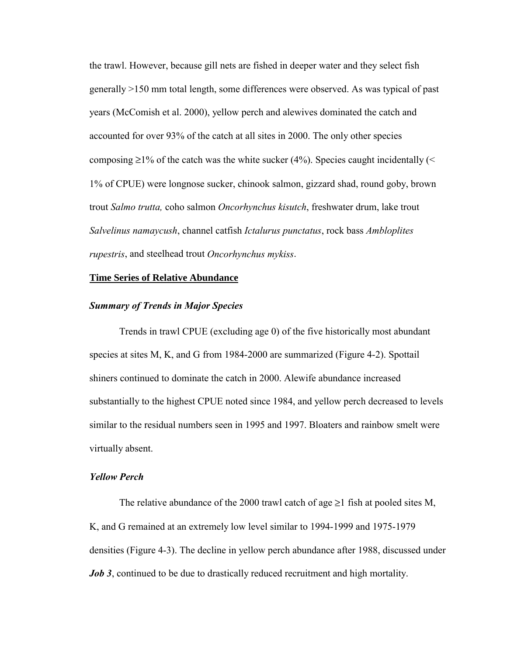the trawl. However, because gill nets are fished in deeper water and they select fish generally >150 mm total length, some differences were observed. As was typical of past years (McComish et al. 2000), yellow perch and alewives dominated the catch and accounted for over 93% of the catch at all sites in 2000. The only other species composing  $\geq$ 1% of the catch was the white sucker (4%). Species caught incidentally (< 1% of CPUE) were longnose sucker, chinook salmon, gizzard shad, round goby, brown trout *Salmo trutta,* coho salmon *Oncorhynchus kisutch*, freshwater drum, lake trout *Salvelinus namaycush*, channel catfish *Ictalurus punctatus*, rock bass *Ambloplites rupestris*, and steelhead trout *Oncorhynchus mykiss*.

#### **Time Series of Relative Abundance**

#### *Summary of Trends in Major Species*

Trends in trawl CPUE (excluding age 0) of the five historically most abundant species at sites M, K, and G from 1984-2000 are summarize[d \(Figure 4-2\). S](#page-61-0)pottail shiners continued to dominate the catch in 2000. Alewife abundance increased substantially to the highest CPUE noted since 1984, and yellow perch decreased to levels similar to the residual numbers seen in 1995 and 1997. Bloaters and rainbow smelt were virtually absent.

#### *Yellow Perch*

The relative abundance of the 2000 trawl catch of age  $\geq 1$  fish at pooled sites M, K, and G remained at an extremely low level similar to 1994-1999 and 1975-1979 densities [\(Figure 4-3\).](#page-62-0) The decline in yellow perch abundance after 1988, discussed under *[Job 3](#page-28-0)*, continued to be due to drastically reduced recruitment and high mortality.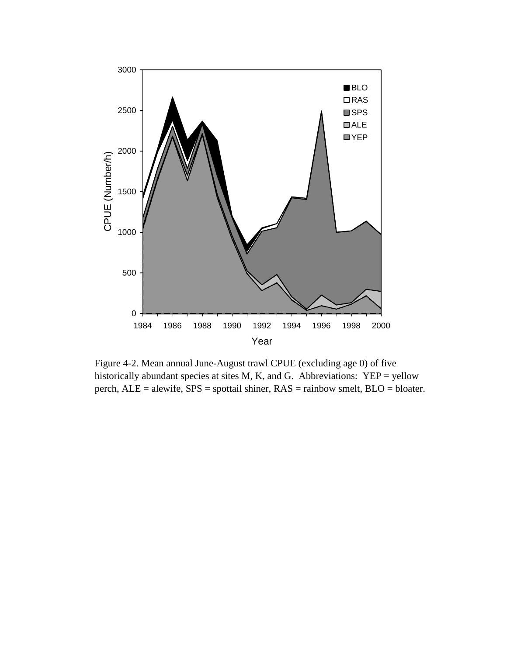<span id="page-61-0"></span>

Figure 4-2. Mean annual June-August trawl CPUE (excluding age 0) of five historically abundant species at sites M, K, and G. Abbreviations: YEP = yellow perch, ALE = alewife, SPS = spottail shiner, RAS = rainbow smelt, BLO = bloater.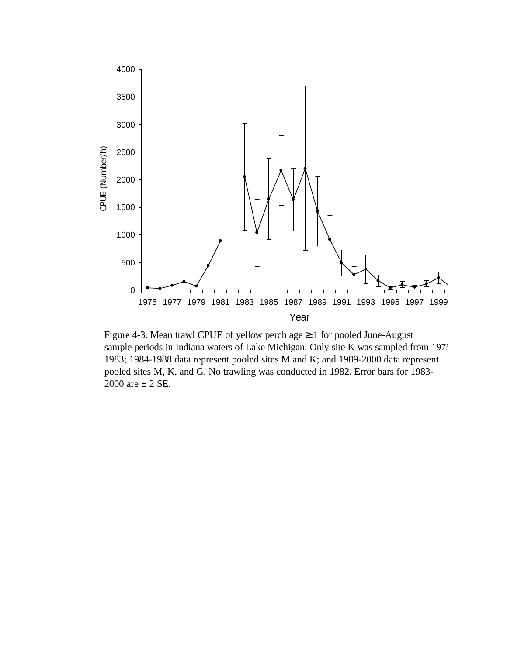<span id="page-62-0"></span>

Figure 4-3. Mean trawl CPUE of yellow perch age ≥ 1 for pooled June-August sample periods in Indiana waters of Lake Michigan. Only site K was sampled from 1975-1983; 1984-1988 data represent pooled sites M and K; and 1989-2000 data represent pooled sites M, K, and G. No trawling was conducted in 1982. Error bars for 1983- are  $\pm$  2 SE.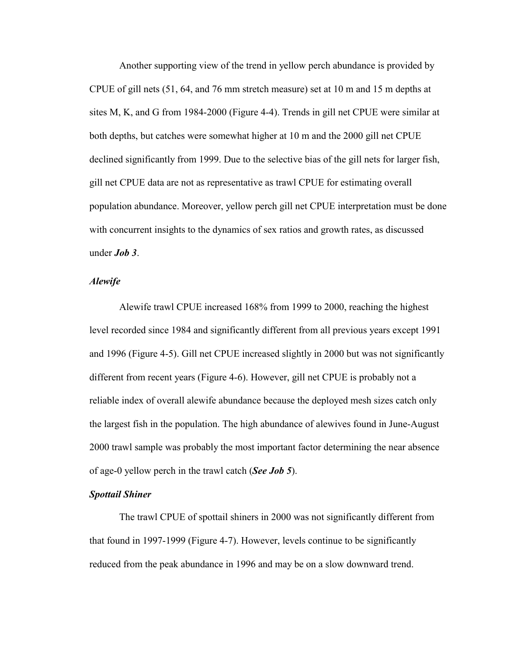Another supporting view of the trend in yellow perch abundance is provided by CPUE of gill nets (51, 64, and 76 mm stretch measure) set at 10 m and 15 m depths at sites M, K, and G from 1984-2000 [\(Figure 4-4\). T](#page-64-0)rends in gill net CPUE were similar at both depths, but catches were somewhat higher at 10 m and the 2000 gill net CPUE declined significantly from 1999. Due to the selective bias of the gill nets for larger fish, gill net CPUE data are not as representative as trawl CPUE for estimating overall population abundance. Moreover, yellow perch gill net CPUE interpretation must be done with concurrent insights to the dynamics of sex ratios and growth rates, as discussed under *[Job 3](#page-28-0)*.

#### *Alewife*

Alewife trawl CPUE increased 168% from 1999 to 2000, reaching the highest level recorded since 1984 and significantly different from all previous years except 1991 and 1996 [\(Figure 4-5\).](#page-65-0) Gill net CPUE increased slightly in 2000 but was not significantly different from recent years [\(Figure 4-6\). H](#page-66-0)owever, gill net CPUE is probably not a reliable index of overall alewife abundance because the deployed mesh sizes catch only the largest fish in the population. The high abundance of alewives found in June-August 2000 trawl sample was probably the most important factor determining the near absence of age-0 yellow perch in the trawl catch (*[See Job 5](#page-76-0)*).

### *Spottail Shiner*

The trawl CPUE of spottail shiners in 2000 was not significantly different from that found in 1997-1999 [\(Figure 4-7\).](#page-67-0) However, levels continue to be significantly reduced from the peak abundance in 1996 and may be on a slow downward trend.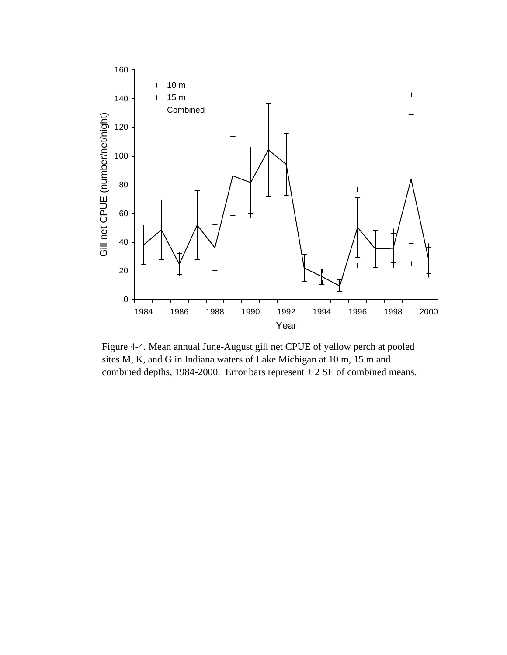<span id="page-64-0"></span>

Figure 4-4. Mean annual June-August gill net CPUE of yellow perch at pooled sites M, K, and G in Indiana waters of Lake Michigan at 10 m, 15 m and combined depths, 1984-2000. Error bars represent  $\pm 2$  SE of combined means.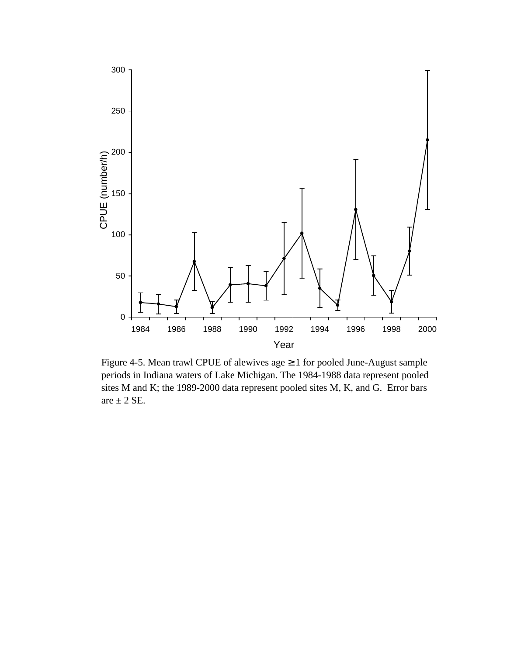<span id="page-65-0"></span>

Figure 4-5. Mean trawl CPUE of alewives age  $\geq 1$  for pooled June-August sample periods in Indiana waters of Lake Michigan. The 1984-1988 data represent pooled sites M and K; the 1989-2000 data represent pooled sites M, K, and G. Error bars are  $\pm$  2 SE.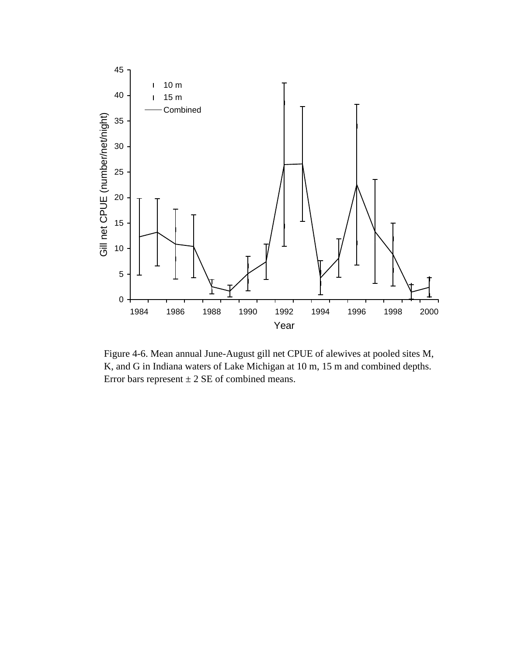<span id="page-66-0"></span>

Figure 4-6. Mean annual June-August gill net CPUE of alewives at pooled sites M, K, and G in Indiana waters of Lake Michigan at 10 m, 15 m and combined depths. Error bars represent  $\pm 2$  SE of combined means.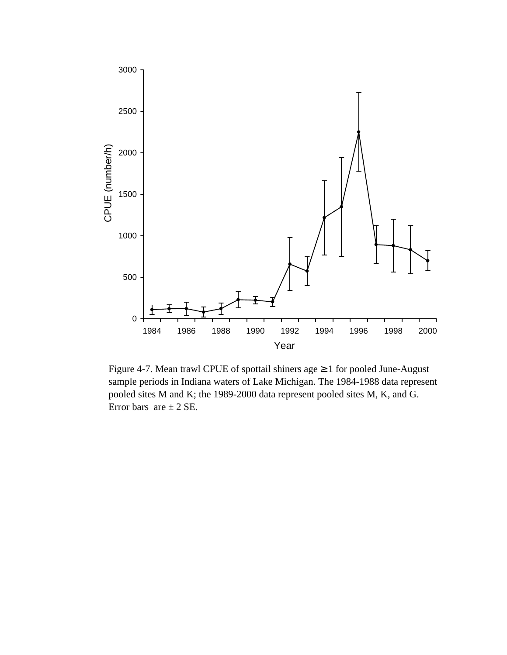<span id="page-67-0"></span>

Figure 4-7. Mean trawl CPUE of spottail shiners age ≥ 1 for pooled June-August sample periods in Indiana waters of Lake Michigan. The 1984-1988 data represent pooled sites M and K; the 1989-2000 data represent pooled sites M, K, and G. Error bars are  $\pm$  2 SE.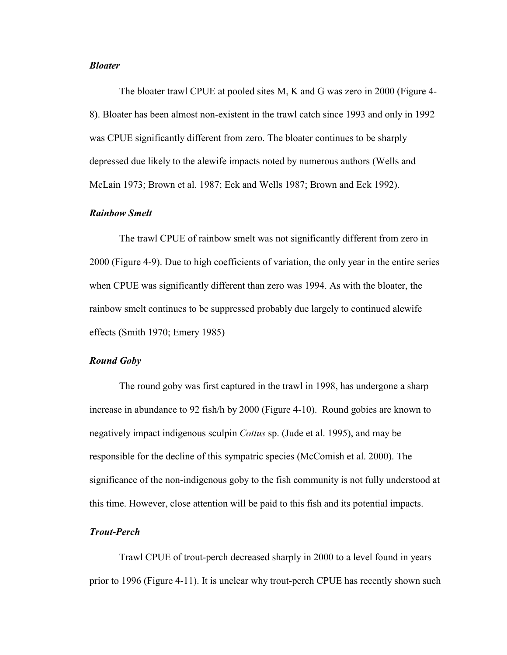### *Bloater*

The bloater trawl CPUE at pooled sites M, K and G was zero in 2000 [\(Figure 4-](#page-69-0) [8\).](#page-69-0) Bloater has been almost non-existent in the trawl catch since 1993 and only in 1992 was CPUE significantly different from zero. The bloater continues to be sharply depressed due likely to the alewife impacts noted by numerous authors (Wells and McLain 1973; Brown et al. 1987; Eck and Wells 1987; Brown and Eck 1992).

### *Rainbow Smelt*

The trawl CPUE of rainbow smelt was not significantly different from zero in 2000 [\(Figure 4-9\).](#page-70-0) Due to high coefficients of variation, the only year in the entire series when CPUE was significantly different than zero was 1994. As with the bloater, the rainbow smelt continues to be suppressed probably due largely to continued alewife effects (Smith 1970; Emery 1985)

### *Round Goby*

The round goby was first captured in the trawl in 1998, has undergone a sharp increase in abundance to 92 fish/h by 2000 [\(Figure 4-10\).](#page-71-0) Round gobies are known to negatively impact indigenous sculpin *Cottus* sp. (Jude et al. 1995), and may be responsible for the decline of this sympatric species (McComish et al. 2000). The significance of the non-indigenous goby to the fish community is not fully understood at this time. However, close attention will be paid to this fish and its potential impacts.

# *Trout-Perch*

Trawl CPUE of trout-perch decreased sharply in 2000 to a level found in years prior to 1996 [\(Figure 4-11\). I](#page-72-0)t is unclear why trout-perch CPUE has recently shown such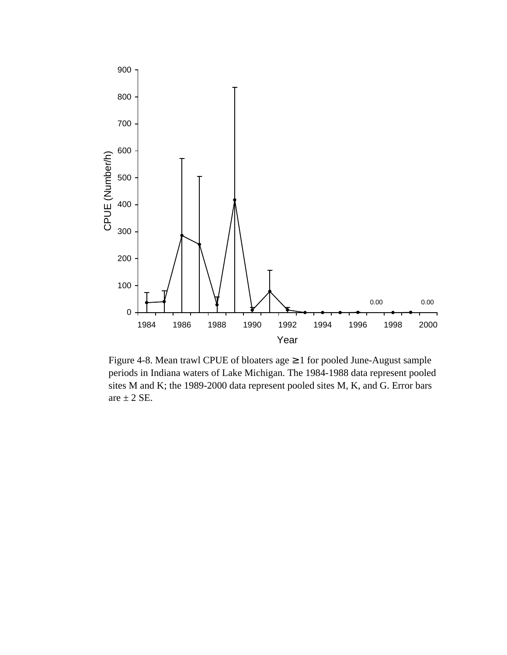<span id="page-69-0"></span>

Figure 4-8. Mean trawl CPUE of bloaters age ≥ 1 for pooled June-August sample periods in Indiana waters of Lake Michigan. The 1984-1988 data represent pooled sites M and K; the 1989-2000 data represent pooled sites M, K, and G. Error bars are  $\pm$  2 SE.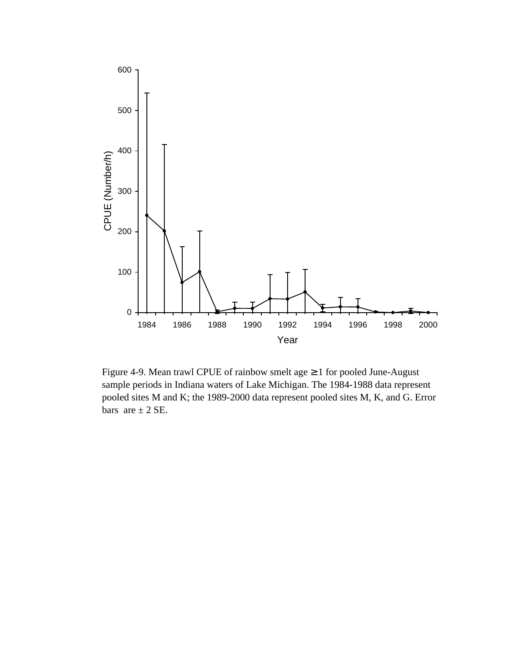<span id="page-70-0"></span>

Figure 4-9. Mean trawl CPUE of rainbow smelt age  $\geq 1$  for pooled June-August sample periods in Indiana waters of Lake Michigan. The 1984-1988 data represent pooled sites M and K; the 1989-2000 data represent pooled sites M, K, and G. Error bars are  $\pm$  2 SE.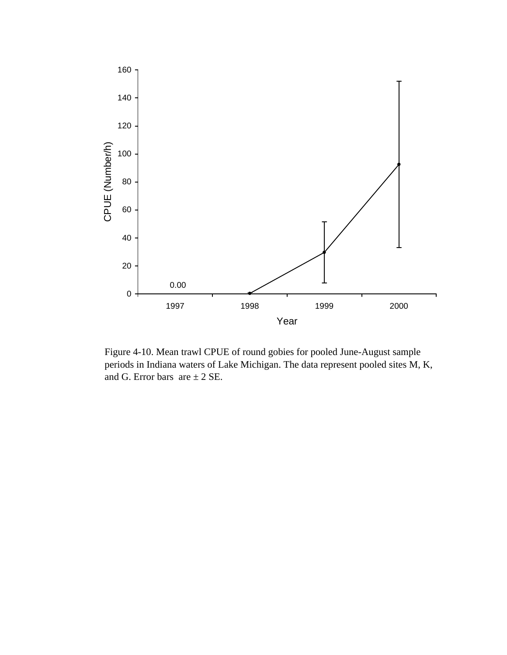<span id="page-71-0"></span>

Figure 4-10. Mean trawl CPUE of round gobies for pooled June-August sample periods in Indiana waters of Lake Michigan. The data represent pooled sites M, K, and G. Error bars are  $\pm 2$  SE.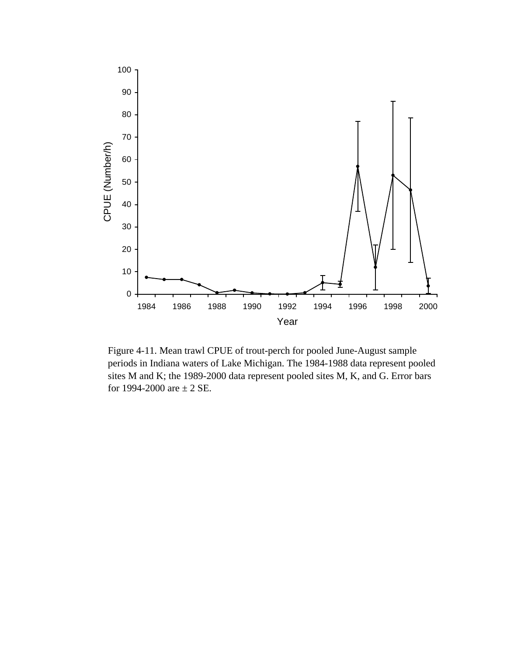

Figure 4-11. Mean trawl CPUE of trout-perch for pooled June-August sample periods in Indiana waters of Lake Michigan. The 1984-1988 data represent pooled sites M and K; the 1989-2000 data represent pooled sites M, K, and G. Error bars for 1994-2000 are  $\pm$  2 SE.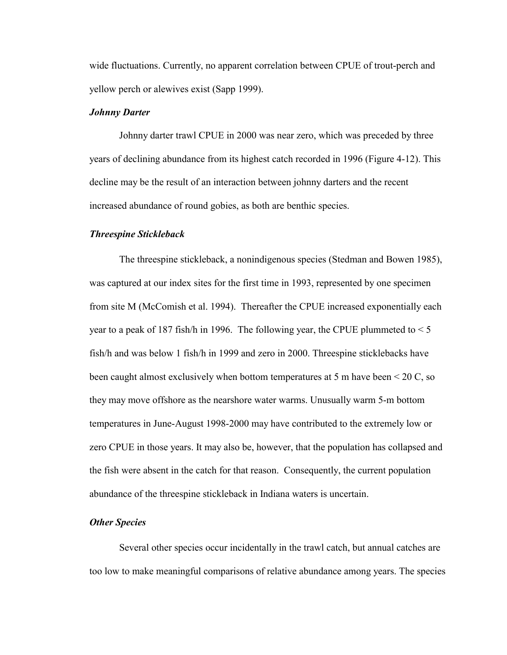wide fluctuations. Currently, no apparent correlation between CPUE of trout-perch and yellow perch or alewives exist (Sapp 1999).

### *Johnny Darter*

Johnny darter trawl CPUE in 2000 was near zero, which was preceded by three years of declining abundance from its highest catch recorded in 1996 [\(Figure 4-12\). T](#page-74-0)his decline may be the result of an interaction between johnny darters and the recent increased abundance of round gobies, as both are benthic species.

### *Threespine Stickleback*

The threespine stickleback, a nonindigenous species (Stedman and Bowen 1985), was captured at our index sites for the first time in 1993, represented by one specimen from site M (McComish et al. 1994). Thereafter the CPUE increased exponentially each year to a peak of 187 fish/h in 1996. The following year, the CPUE plummeted to  $\leq 5$ fish/h and was below 1 fish/h in 1999 and zero in 2000. Threespine sticklebacks have been caught almost exclusively when bottom temperatures at 5 m have been < 20 C, so they may move offshore as the nearshore water warms. Unusually warm 5-m bottom temperatures in June-August 1998-2000 may have contributed to the extremely low or zero CPUE in those years. It may also be, however, that the population has collapsed and the fish were absent in the catch for that reason. Consequently, the current population abundance of the threespine stickleback in Indiana waters is uncertain.

### *Other Species*

Several other species occur incidentally in the trawl catch, but annual catches are too low to make meaningful comparisons of relative abundance among years. The species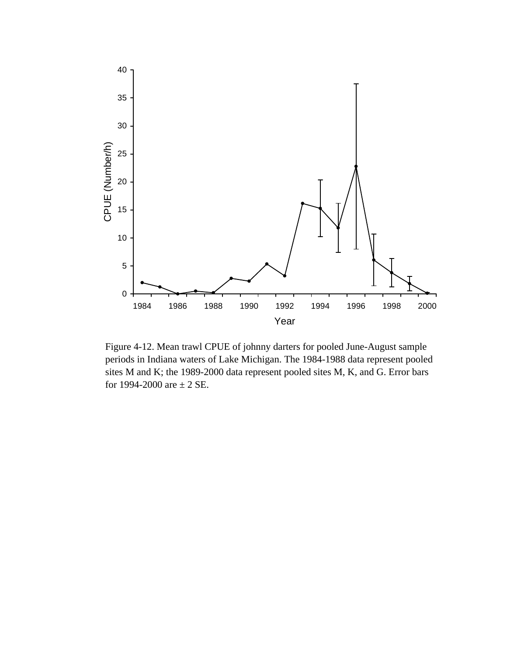<span id="page-74-0"></span>

Figure 4-12. Mean trawl CPUE of johnny darters for pooled June-August sample periods in Indiana waters of Lake Michigan. The 1984-1988 data represent pooled sites M and K; the 1989-2000 data represent pooled sites M, K, and G. Error bars for 1994-2000 are  $\pm$  2 SE.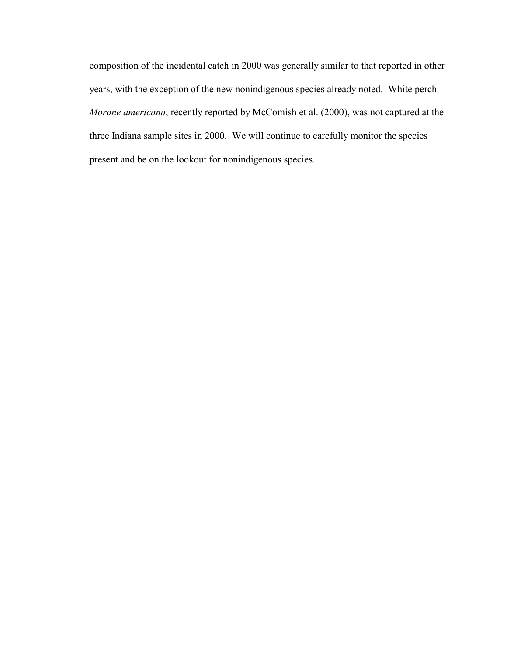composition of the incidental catch in 2000 was generally similar to that reported in other years, with the exception of the new nonindigenous species already noted. White perch *Morone americana*, recently reported by McComish et al. (2000), was not captured at the three Indiana sample sites in 2000. We will continue to carefully monitor the species present and be on the lookout for nonindigenous species.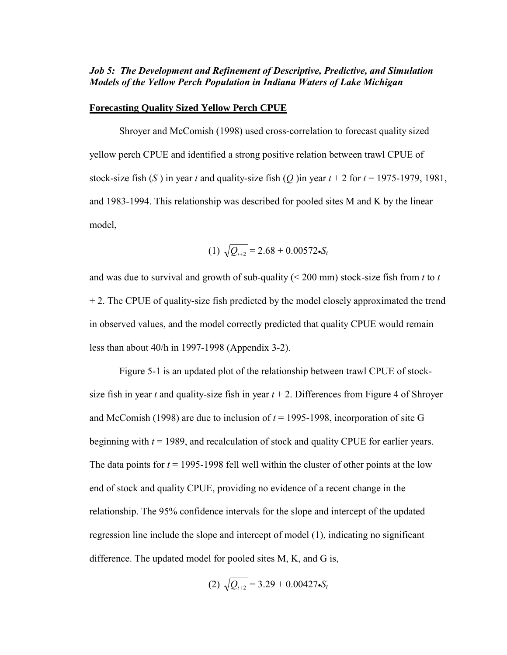# *Job 5: The Development and Refinement of Descriptive, Predictive, and Simulation Models of the Yellow Perch Population in Indiana Waters of Lake Michigan*

#### **Forecasting Quality Sized Yellow Perch CPUE**

Shroyer and McComish (1998) used cross-correlation to forecast quality sized yellow perch CPUE and identified a strong positive relation between trawl CPUE of stock-size fish (*S*) in year *t* and quality-size fish (*Q*) in year  $t + 2$  for  $t = 1975-1979$ , 1981, and 1983-1994. This relationship was described for pooled sites M and K by the linear model,

$$
(1) \sqrt{Q_{t+2}} = 2.68 + 0.00572 \cdot S_t
$$

and was due to survival and growth of sub-quality (< 200 mm) stock-size fish from *t* to *t* + 2. The CPUE of quality-size fish predicted by the model closely approximated the trend in observed values, and the model correctly predicted that quality CPUE would remain less than about 40/h in 1997-1998 [\(Appendix 3-2\).](#page-89-0)

[Figure 5-1 i](#page-77-0)s an updated plot of the relationship between trawl CPUE of stocksize fish in year *t* and quality-size fish in year  $t + 2$ . Differences from Figure 4 of Shroyer and McComish (1998) are due to inclusion of  $t = 1995-1998$ , incorporation of site G beginning with *t* = 1989, and recalculation of stock and quality CPUE for earlier years. The data points for  $t = 1995-1998$  fell well within the cluster of other points at the low end of stock and quality CPUE, providing no evidence of a recent change in the relationship. The 95% confidence intervals for the slope and intercept of the updated regression line include the slope and intercept of model (1), indicating no significant difference. The updated model for pooled sites M, K, and G is,

(2) 
$$
\sqrt{Q_{t+2}} = 3.29 + 0.00427 \cdot S_t
$$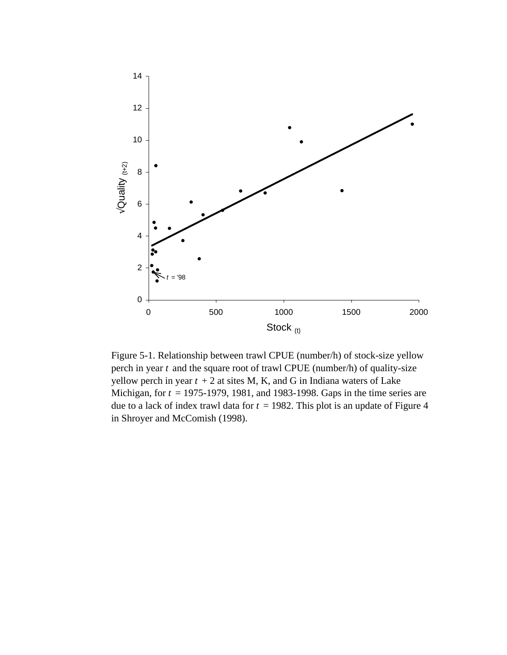<span id="page-77-0"></span>

Figure 5-1. Relationship between trawl CPUE (number/h) of stock-size yellow perch in year *t* and the square root of trawl CPUE (number/h) of quality-size yellow perch in year  $t + 2$  at sites M, K, and G in Indiana waters of Lake Michigan, for *t* = 1975-1979, 1981, and 1983-1998. Gaps in the time series are due to a lack of index trawl data for  $t = 1982$ . This plot is an update of Figure 4 in Shroyer and McComish (1998).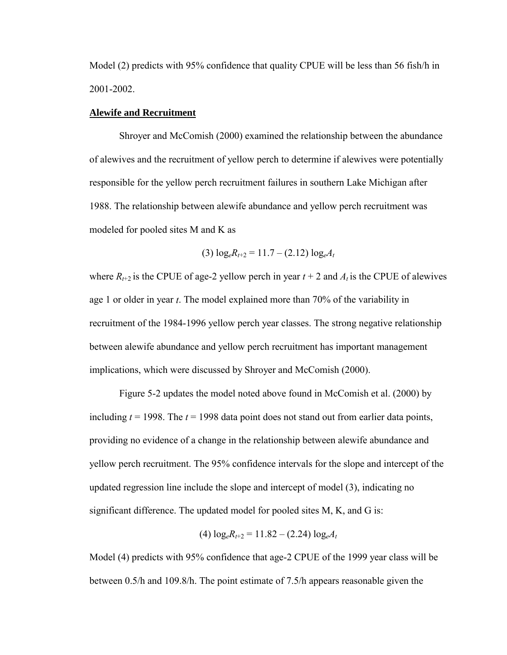<span id="page-78-0"></span>Model (2) predicts with 95% confidence that quality CPUE will be less than 56 fish/h in 2001-2002.

### **Alewife and Recruitment**

Shroyer and McComish (2000) examined the relationship between the abundance of alewives and the recruitment of yellow perch to determine if alewives were potentially responsible for the yellow perch recruitment failures in southern Lake Michigan after 1988. The relationship between alewife abundance and yellow perch recruitment was modeled for pooled sites M and K as

$$
(3) \log_{e} R_{t+2} = 11.7 - (2.12) \log_{e} A_{t}
$$

where  $R_{t+2}$  is the CPUE of age-2 yellow perch in year  $t + 2$  and  $A_t$  is the CPUE of alewives age 1 or older in year *t*. The model explained more than 70% of the variability in recruitment of the 1984-1996 yellow perch year classes. The strong negative relationship between alewife abundance and yellow perch recruitment has important management implications, which were discussed by Shroyer and McComish (2000).

[Figure 5-2 u](#page-79-0)pdates the model noted above found in McComish et al. (2000) by including  $t = 1998$ . The  $t = 1998$  data point does not stand out from earlier data points, providing no evidence of a change in the relationship between alewife abundance and yellow perch recruitment. The 95% confidence intervals for the slope and intercept of the updated regression line include the slope and intercept of model (3), indicating no significant difference. The updated model for pooled sites M, K, and G is:

$$
(4) \log_e R_{t+2} = 11.82 - (2.24) \log_e A_t
$$

Model (4) predicts with 95% confidence that age-2 CPUE of the 1999 year class will be between 0.5/h and 109.8/h. The point estimate of 7.5/h appears reasonable given the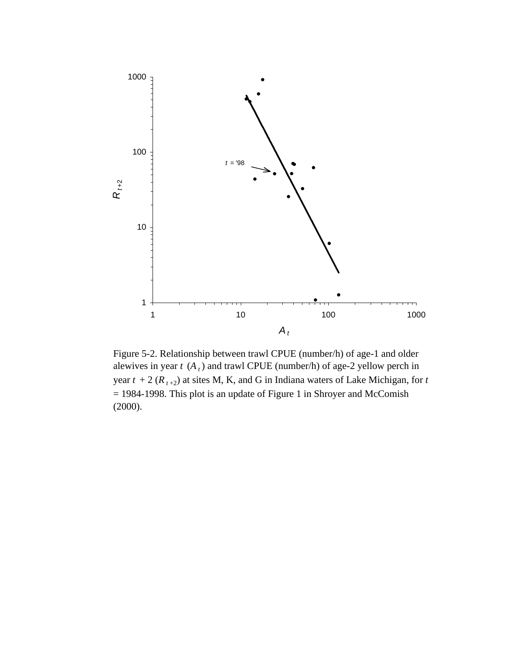<span id="page-79-0"></span>

Figure 5-2. Relationship between trawl CPUE (number/h) of age-1 and older alewives in year  $t$  ( $A_t$ ) and trawl CPUE (number/h) of age-2 yellow perch in year  $t + 2$  ( $R_{t+2}$ ) at sites M, K, and G in Indiana waters of Lake Michigan, for  $t$ = 1984-1998. This plot is an update of Figure 1 in Shroyer and McComish (2000).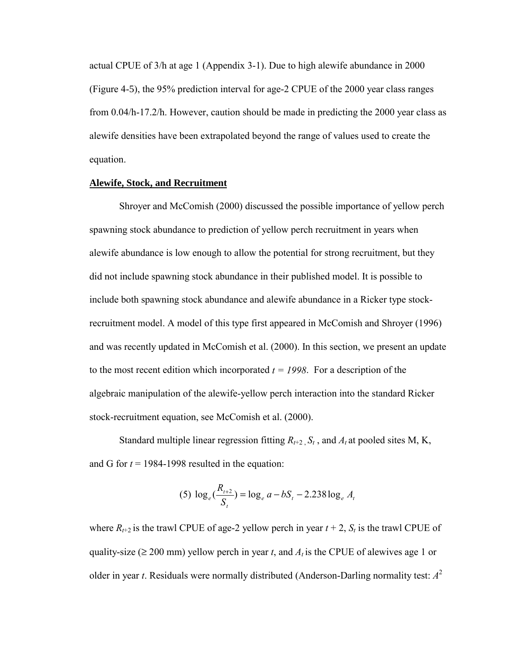<span id="page-80-0"></span>actual CPUE of 3/h at age 1 [\(Appendix 3-1\). D](#page-88-0)ue to high alewife abundance in 2000 [\(Figure 4-](#page-65-0)5), the 95% prediction interval for age-2 CPUE of the 2000 year class ranges from 0.04/h-17.2/h. However, caution should be made in predicting the 2000 year class as alewife densities have been extrapolated beyond the range of values used to create the equation.

#### **Alewife, Stock, and Recruitment**

Shroyer and McComish (2000) discussed the possible importance of yellow perch spawning stock abundance to prediction of yellow perch recruitment in years when alewife abundance is low enough to allow the potential for strong recruitment, but they did not include spawning stock abundance in their published model. It is possible to include both spawning stock abundance and alewife abundance in a Ricker type stockrecruitment model. A model of this type first appeared in McComish and Shroyer (1996) and was recently updated in McComish et al. (2000). In this section, we present an update to the most recent edition which incorporated  $t = 1998$ . For a description of the algebraic manipulation of the alewife-yellow perch interaction into the standard Ricker stock-recruitment equation, see McComish et al. (2000).

Standard multiple linear regression fitting  $R_{t+2}$ ,  $S_t$ , and  $A_t$  at pooled sites M, K, and G for  $t = 1984-1998$  resulted in the equation:

(5) 
$$
\log_e(\frac{R_{t+2}}{S_t}) = \log_e a - bS_t - 2.238 \log_e A_t
$$

where  $R_{t+2}$  is the trawl CPUE of age-2 yellow perch in year  $t + 2$ ,  $S_t$  is the trawl CPUE of quality-size ( $\geq 200$  mm) yellow perch in year *t*, and  $A_t$  is the CPUE of alewives age 1 or older in year *t*. Residuals were normally distributed (Anderson-Darling normality test:  $A^2$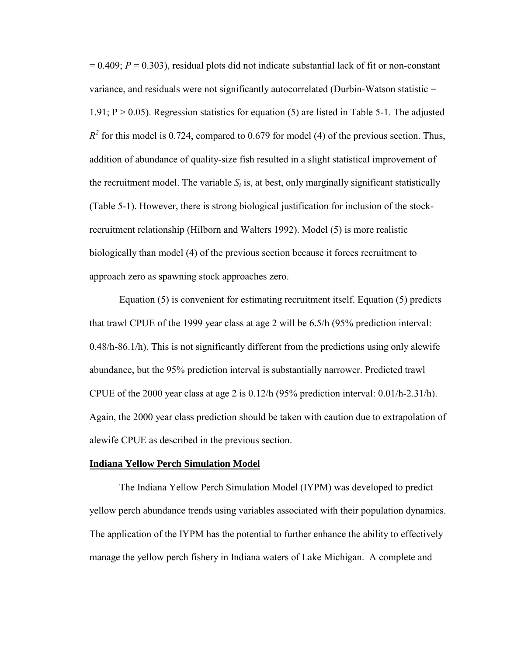$= 0.409$ ;  $P = 0.303$ ), residual plots did not indicate substantial lack of fit or non-constant variance, and residuals were not significantly autocorrelated (Durbin-Watson statistic = 1.91;  $P > 0.05$ ). Regression statistics fo[r equation \(5\) a](#page-80-0)re listed in [Table 5-1.](#page-82-0) The adjusted  $R<sup>2</sup>$  for this model is 0.724, compared to 0.679 fo[r model \(4\) o](#page-78-0)f the previous section. Thus, addition of abundance of quality-size fish resulted in a slight statistical improvement of the recruitment model. The variable  $S_t$  is, at best, only marginally significant statistically [\(Table 5-1\).](#page-82-0) However, there is strong biological justification for inclusion of the stockrecruitment relationship (Hilborn and Walters 1992). [Model \(5\)](#page-80-0) is more realistic biologically than [model \(4\) o](#page-78-0)f the previous section because it forces recruitment to approach zero as spawning stock approaches zero.

[Equation \(5\) is](#page-80-0) convenient for estimating recruitment itself. [Equation \(5\) p](#page-80-0)redicts that trawl CPUE of the 1999 year class at age 2 will be 6.5/h (95% prediction interval: 0.48/h-86.1/h). This is not significantly different from the predictions using only alewife abundance, but the 95% prediction interval is substantially narrower. Predicted trawl CPUE of the 2000 year class at age 2 is  $0.12/h$  (95% prediction interval:  $0.01/h$ -2.31/h). Again, the 2000 year class prediction should be taken with caution due to extrapolation of alewife CPUE as described in the previous section.

## **Indiana Yellow Perch Simulation Model**

The Indiana Yellow Perch Simulation Model (IYPM) was developed to predict yellow perch abundance trends using variables associated with their population dynamics. The application of the IYPM has the potential to further enhance the ability to effectively manage the yellow perch fishery in Indiana waters of Lake Michigan. A complete and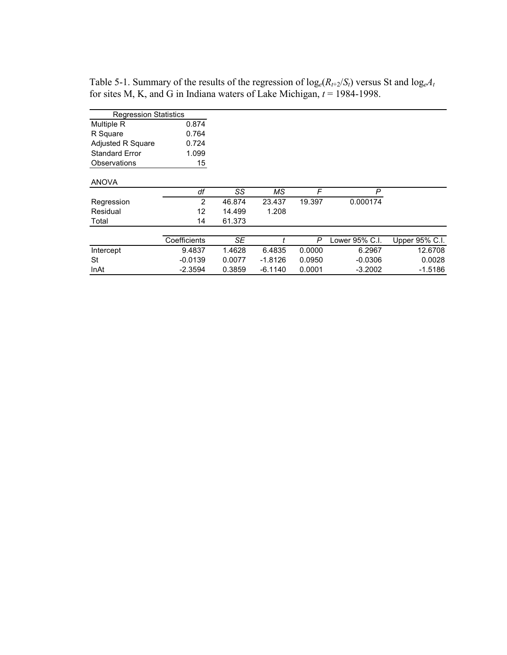| <b>Regression Statistics</b> |              |        |           |        |                |                |
|------------------------------|--------------|--------|-----------|--------|----------------|----------------|
| <b>Multiple R</b>            | 0.874        |        |           |        |                |                |
| R Square                     | 0.764        |        |           |        |                |                |
| Adjusted R Square            | 0.724        |        |           |        |                |                |
| <b>Standard Error</b>        | 1.099        |        |           |        |                |                |
| Observations                 | 15           |        |           |        |                |                |
|                              |              |        |           |        |                |                |
| <b>ANOVA</b>                 |              |        |           |        |                |                |
|                              | df           | SS     | МS        | F      | P              |                |
| Regression                   | 2            | 46.874 | 23.437    | 19.397 | 0.000174       |                |
| Residual                     | 12           | 14.499 | 1.208     |        |                |                |
| Total                        | 14           | 61.373 |           |        |                |                |
|                              |              |        |           |        |                |                |
|                              | Coefficients | SE     |           | P      | Lower 95% C.I. | Upper 95% C.I. |
| Intercept                    | 9.4837       | 1.4628 | 6.4835    | 0.0000 | 6.2967         | 12.6708        |
| St                           | $-0.0139$    | 0.0077 | $-1.8126$ | 0.0950 | $-0.0306$      | 0.0028         |
| InAt                         | $-2.3594$    | 0.3859 | $-6.1140$ | 0.0001 | $-3.2002$      | $-1.5186$      |
|                              |              |        |           |        |                |                |

<span id="page-82-0"></span>Table 5-1. Summary of the results of the regression of  $log_e(R_{t+2}/S_t)$  versus St and  $log_eA_t$ for sites M, K, and G in Indiana waters of Lake Michigan, *t* = 1984-1998.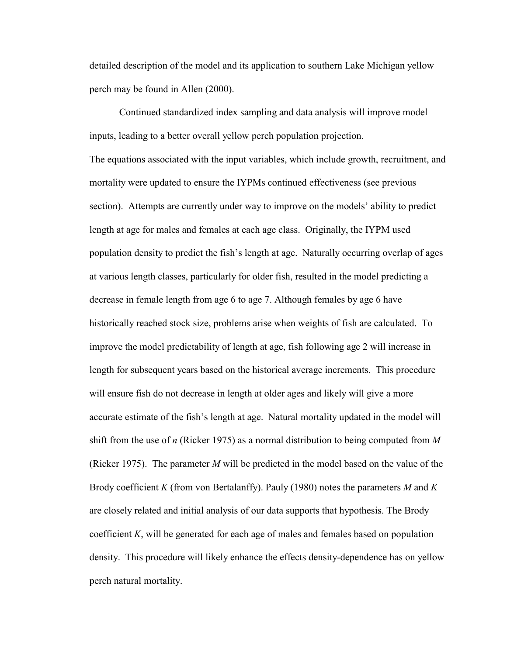detailed description of the model and its application to southern Lake Michigan yellow perch may be found in Allen (2000).

Continued standardized index sampling and data analysis will improve model inputs, leading to a better overall yellow perch population projection. The equations associated with the input variables, which include growth, recruitment, and mortality were updated to ensure the IYPMs continued effectiveness (see previous section). Attempts are currently under way to improve on the models' ability to predict length at age for males and females at each age class. Originally, the IYPM used population density to predict the fish's length at age. Naturally occurring overlap of ages at various length classes, particularly for older fish, resulted in the model predicting a decrease in female length from age 6 to age 7. Although females by age 6 have historically reached stock size, problems arise when weights of fish are calculated. To improve the model predictability of length at age, fish following age 2 will increase in length for subsequent years based on the historical average increments. This procedure will ensure fish do not decrease in length at older ages and likely will give a more accurate estimate of the fish's length at age. Natural mortality updated in the model will shift from the use of *n* (Ricker 1975) as a normal distribution to being computed from *M* (Ricker 1975). The parameter *M* will be predicted in the model based on the value of the Brody coefficient *K* (from von Bertalanffy). Pauly (1980) notes the parameters *M* and *K* are closely related and initial analysis of our data supports that hypothesis. The Brody coefficient *K*, will be generated for each age of males and females based on population density. This procedure will likely enhance the effects density-dependence has on yellow perch natural mortality.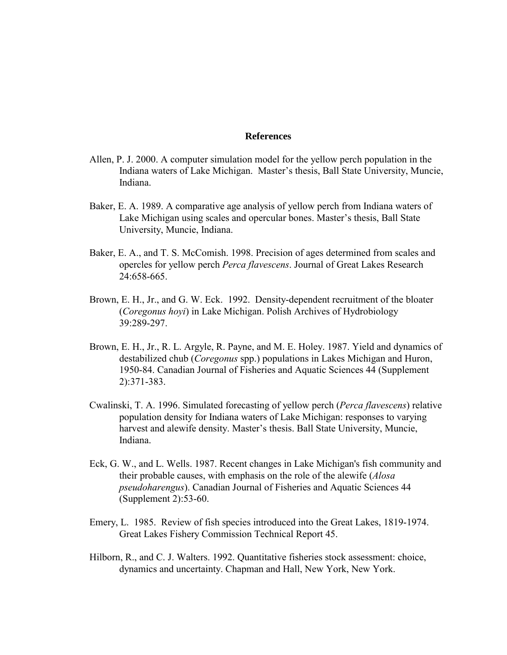### **References**

- Allen, P. J. 2000. A computer simulation model for the yellow perch population in the Indiana waters of Lake Michigan. Master's thesis, Ball State University, Muncie, Indiana.
- Baker, E. A. 1989. A comparative age analysis of yellow perch from Indiana waters of Lake Michigan using scales and opercular bones. Master's thesis, Ball State University, Muncie, Indiana.
- Baker, E. A., and T. S. McComish. 1998. Precision of ages determined from scales and opercles for yellow perch *Perca flavescens*. Journal of Great Lakes Research 24:658-665.
- Brown, E. H., Jr., and G. W. Eck. 1992. Density-dependent recruitment of the bloater (*Coregonus hoyi*) in Lake Michigan. Polish Archives of Hydrobiology 39:289-297.
- Brown, E. H., Jr., R. L. Argyle, R. Payne, and M. E. Holey. 1987. Yield and dynamics of destabilized chub (*Coregonus* spp.) populations in Lakes Michigan and Huron, 1950-84. Canadian Journal of Fisheries and Aquatic Sciences 44 (Supplement 2):371-383.
- Cwalinski, T. A. 1996. Simulated forecasting of yellow perch (*Perca flavescens*) relative population density for Indiana waters of Lake Michigan: responses to varying harvest and alewife density. Master's thesis. Ball State University, Muncie, Indiana.
- Eck, G. W., and L. Wells. 1987. Recent changes in Lake Michigan's fish community and their probable causes, with emphasis on the role of the alewife (*Alosa pseudoharengus*). Canadian Journal of Fisheries and Aquatic Sciences 44 (Supplement 2):53-60.
- Emery, L. 1985. Review of fish species introduced into the Great Lakes, 1819-1974. Great Lakes Fishery Commission Technical Report 45.
- Hilborn, R., and C. J. Walters. 1992. Quantitative fisheries stock assessment: choice, dynamics and uncertainty. Chapman and Hall, New York, New York.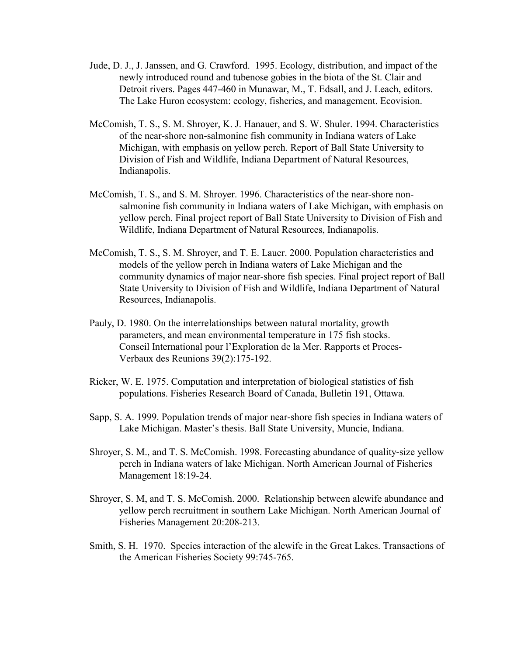- Jude, D. J., J. Janssen, and G. Crawford. 1995. Ecology, distribution, and impact of the newly introduced round and tubenose gobies in the biota of the St. Clair and Detroit rivers. Pages 447-460 in Munawar, M., T. Edsall, and J. Leach, editors. The Lake Huron ecosystem: ecology, fisheries, and management. Ecovision.
- McComish, T. S., S. M. Shroyer, K. J. Hanauer, and S. W. Shuler. 1994. Characteristics of the near-shore non-salmonine fish community in Indiana waters of Lake Michigan, with emphasis on yellow perch. Report of Ball State University to Division of Fish and Wildlife, Indiana Department of Natural Resources, Indianapolis.
- McComish, T. S., and S. M. Shroyer. 1996. Characteristics of the near-shore nonsalmonine fish community in Indiana waters of Lake Michigan, with emphasis on yellow perch. Final project report of Ball State University to Division of Fish and Wildlife, Indiana Department of Natural Resources, Indianapolis.
- McComish, T. S., S. M. Shroyer, and T. E. Lauer. 2000. Population characteristics and models of the yellow perch in Indiana waters of Lake Michigan and the community dynamics of major near-shore fish species. Final project report of Ball State University to Division of Fish and Wildlife, Indiana Department of Natural Resources, Indianapolis.
- Pauly, D. 1980. On the interrelationships between natural mortality, growth parameters, and mean environmental temperature in 175 fish stocks. Conseil International pour l'Exploration de la Mer. Rapports et Proces-Verbaux des Reunions 39(2):175-192.
- Ricker, W. E. 1975. Computation and interpretation of biological statistics of fish populations. Fisheries Research Board of Canada, Bulletin 191, Ottawa.
- Sapp, S. A. 1999. Population trends of major near-shore fish species in Indiana waters of Lake Michigan. Master's thesis. Ball State University, Muncie, Indiana.
- Shroyer, S. M., and T. S. McComish. 1998. Forecasting abundance of quality-size yellow perch in Indiana waters of lake Michigan. North American Journal of Fisheries Management 18:19-24.
- Shroyer, S. M, and T. S. McComish. 2000. Relationship between alewife abundance and yellow perch recruitment in southern Lake Michigan. North American Journal of Fisheries Management 20:208-213.
- Smith, S. H. 1970. Species interaction of the alewife in the Great Lakes. Transactions of the American Fisheries Society 99:745-765.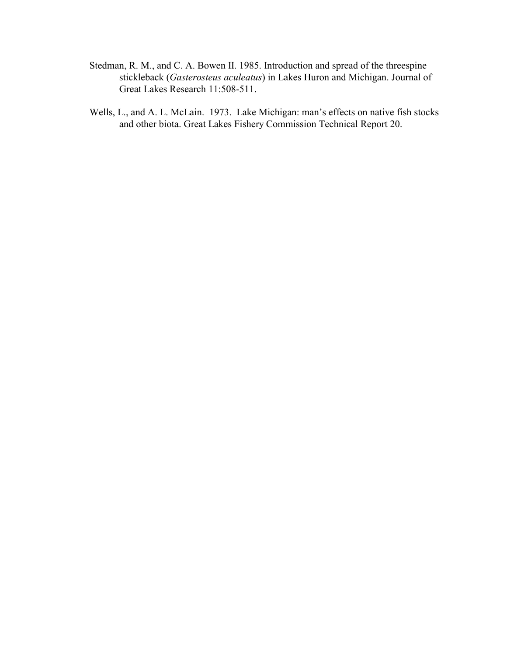- Stedman, R. M., and C. A. Bowen II. 1985. Introduction and spread of the threespine stickleback (*Gasterosteus aculeatus*) in Lakes Huron and Michigan. Journal of Great Lakes Research 11:508-511.
- Wells, L., and A. L. McLain. 1973. Lake Michigan: man's effects on native fish stocks and other biota. Great Lakes Fishery Commission Technical Report 20.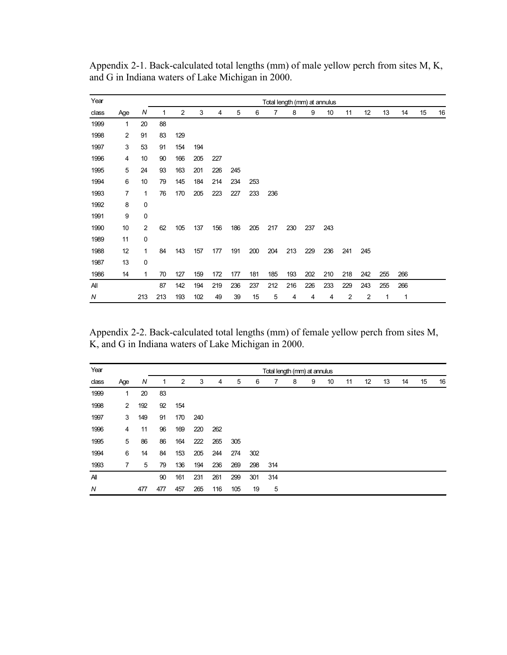| Year  |     |     |     |                |     |     |     |     |     |     |     | Total length (mm) at annulus |     |     |     |     |    |    |
|-------|-----|-----|-----|----------------|-----|-----|-----|-----|-----|-----|-----|------------------------------|-----|-----|-----|-----|----|----|
| class | Age | N   | 1   | $\overline{2}$ | 3   | 4   | 5   | 6   | 7   | 8   | 9   | 10                           | 11  | 12  | 13  | 14  | 15 | 16 |
| 1999  | 1   | 20  | 88  |                |     |     |     |     |     |     |     |                              |     |     |     |     |    |    |
| 1998  | 2   | 91  | 83  | 129            |     |     |     |     |     |     |     |                              |     |     |     |     |    |    |
| 1997  | 3   | 53  | 91  | 154            | 194 |     |     |     |     |     |     |                              |     |     |     |     |    |    |
| 1996  | 4   | 10  | 90  | 166            | 205 | 227 |     |     |     |     |     |                              |     |     |     |     |    |    |
| 1995  | 5   | 24  | 93  | 163            | 201 | 226 | 245 |     |     |     |     |                              |     |     |     |     |    |    |
| 1994  | 6   | 10  | 79  | 145            | 184 | 214 | 234 | 253 |     |     |     |                              |     |     |     |     |    |    |
| 1993  | 7   | 1   | 76  | 170            | 205 | 223 | 227 | 233 | 236 |     |     |                              |     |     |     |     |    |    |
| 1992  | 8   | 0   |     |                |     |     |     |     |     |     |     |                              |     |     |     |     |    |    |
| 1991  | 9   | 0   |     |                |     |     |     |     |     |     |     |                              |     |     |     |     |    |    |
| 1990  | 10  | 2   | 62  | 105            | 137 | 156 | 186 | 205 | 217 | 230 | 237 | 243                          |     |     |     |     |    |    |
| 1989  | 11  | 0   |     |                |     |     |     |     |     |     |     |                              |     |     |     |     |    |    |
| 1988  | 12  | 1   | 84  | 143            | 157 | 177 | 191 | 200 | 204 | 213 | 229 | 236                          | 241 | 245 |     |     |    |    |
| 1987  | 13  | 0   |     |                |     |     |     |     |     |     |     |                              |     |     |     |     |    |    |
| 1986  | 14  | 1   | 70  | 127            | 159 | 172 | 177 | 181 | 185 | 193 | 202 | 210                          | 218 | 242 | 255 | 266 |    |    |
| All   |     |     | 87  | 142            | 194 | 219 | 236 | 237 | 212 | 216 | 226 | 233                          | 229 | 243 | 255 | 266 |    |    |
| N     |     | 213 | 213 | 193            | 102 | 49  | 39  | 15  | 5   | 4   | 4   | 4                            | 2   | 2   | 1   | 1   |    |    |

Appendix 2-1. Back-calculated total lengths (mm) of male yellow perch from sites M, K, and G in Indiana waters of Lake Michigan in 2000.

Appendix 2-2. Back-calculated total lengths (mm) of female yellow perch from sites M, K, and G in Indiana waters of Lake Michigan in 2000.

| Year           |                |     |     |     |     |     |     |     | Total length (mm) at annulus |   |   |    |    |    |    |    |    |    |
|----------------|----------------|-----|-----|-----|-----|-----|-----|-----|------------------------------|---|---|----|----|----|----|----|----|----|
| class          | Age            | N   | 1   | 2   | 3   | 4   | 5   | 6   | 7                            | 8 | 9 | 10 | 11 | 12 | 13 | 14 | 15 | 16 |
| 1999           | 1              | 20  | 83  |     |     |     |     |     |                              |   |   |    |    |    |    |    |    |    |
| 1998           | $\overline{2}$ | 192 | 92  | 154 |     |     |     |     |                              |   |   |    |    |    |    |    |    |    |
| 1997           | 3              | 149 | 91  | 170 | 240 |     |     |     |                              |   |   |    |    |    |    |    |    |    |
| 1996           | 4              | 11  | 96  | 169 | 220 | 262 |     |     |                              |   |   |    |    |    |    |    |    |    |
| 1995           | 5              | 86  | 86  | 164 | 222 | 265 | 305 |     |                              |   |   |    |    |    |    |    |    |    |
| 1994           | 6              | 14  | 84  | 153 | 205 | 244 | 274 | 302 |                              |   |   |    |    |    |    |    |    |    |
| 1993           | 7              | 5   | 79  | 136 | 194 | 236 | 269 | 298 | 314                          |   |   |    |    |    |    |    |    |    |
| $\overline{A}$ |                |     | 90  | 161 | 231 | 261 | 299 | 301 | 314                          |   |   |    |    |    |    |    |    |    |
| N              |                | 477 | 477 | 457 | 265 | 116 | 105 | 19  | 5                            |   |   |    |    |    |    |    |    |    |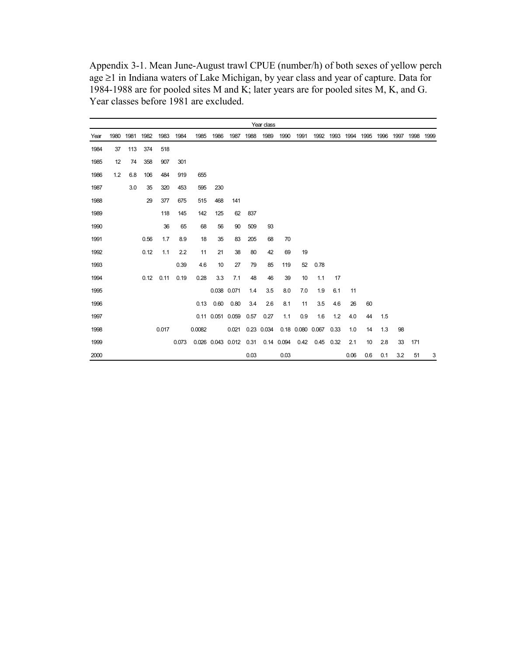<span id="page-88-0"></span>Appendix 3-1. Mean June-August trawl CPUE (number/h) of both sexes of yellow perch age ≥1 in Indiana waters of Lake Michigan, by year class and year of capture. Data for 1984-1988 are for pooled sites M and K; later years are for pooled sites M, K, and G. Year classes before 1981 are excluded.

|      |      |      |      |       |       |        |                  |                        |      | Year class |            |      |                    |      |      |      |      |      |      |      |
|------|------|------|------|-------|-------|--------|------------------|------------------------|------|------------|------------|------|--------------------|------|------|------|------|------|------|------|
| Year | 1980 | 1981 | 1982 | 1983  | 1984  | 1985   | 1986             | 1987                   | 1988 | 1989       | 1990       | 1991 | 1992               | 1993 | 1994 | 1995 | 1996 | 1997 | 1998 | 1999 |
| 1984 | 37   | 113  | 374  | 518   |       |        |                  |                        |      |            |            |      |                    |      |      |      |      |      |      |      |
| 1985 | 12   | 74   | 358  | 907   | 301   |        |                  |                        |      |            |            |      |                    |      |      |      |      |      |      |      |
| 1986 | 1.2  | 6.8  | 106  | 484   | 919   | 655    |                  |                        |      |            |            |      |                    |      |      |      |      |      |      |      |
| 1987 |      | 3.0  | 35   | 320   | 453   | 595    | 230              |                        |      |            |            |      |                    |      |      |      |      |      |      |      |
| 1988 |      |      | 29   | 377   | 675   | 515    | 468              | 141                    |      |            |            |      |                    |      |      |      |      |      |      |      |
| 1989 |      |      |      | 118   | 145   | 142    | 125              | 62                     | 837  |            |            |      |                    |      |      |      |      |      |      |      |
| 1990 |      |      |      | 36    | 65    | 68     | 56               | 90                     | 509  | 93         |            |      |                    |      |      |      |      |      |      |      |
| 1991 |      |      | 0.56 | 1.7   | 8.9   | 18     | 35               | 83                     | 205  | 68         | 70         |      |                    |      |      |      |      |      |      |      |
| 1992 |      |      | 0.12 | 1.1   | 2.2   | 11     | 21               | 38                     | 80   | 42         | 69         | 19   |                    |      |      |      |      |      |      |      |
| 1993 |      |      |      |       | 0.39  | 4.6    | 10               | 27                     | 79   | 85         | 119        | 52   | 0.78               |      |      |      |      |      |      |      |
| 1994 |      |      | 0.12 | 0.11  | 0.19  | 0.28   | 3.3              | 7.1                    | 48   | 46         | 39         | 10   | 1.1                | 17   |      |      |      |      |      |      |
| 1995 |      |      |      |       |       |        | 0.038 0.071      |                        | 1.4  | 3.5        | 8.0        | 7.0  | 1.9                | 6.1  | 11   |      |      |      |      |      |
| 1996 |      |      |      |       |       | 0.13   | 0.60             | 0.80                   | 3.4  | 2.6        | 8.1        | 11   | 3.5                | 4.6  | 26   | 60   |      |      |      |      |
| 1997 |      |      |      |       |       |        | 0.11 0.051 0.059 |                        | 0.57 | 0.27       | 1.1        | 0.9  | 1.6                | 1.2  | 4.0  | 44   | 1.5  |      |      |      |
| 1998 |      |      |      | 0.017 |       | 0.0082 |                  | 0.021                  |      | 0.23 0.034 |            |      | 0.18  0.080  0.067 | 0.33 | 1.0  | 14   | 1.3  | 98   |      |      |
| 1999 |      |      |      |       | 0.073 |        |                  | 0.026 0.043 0.012 0.31 |      |            | 0.14 0.094 | 0.42 | 0.45               | 0.32 | 2.1  | 10   | 2.8  | 33   | 171  |      |
| 2000 |      |      |      |       |       |        |                  |                        | 0.03 |            | 0.03       |      |                    |      | 0.06 | 0.6  | 0.1  | 3.2  | 51   | 3    |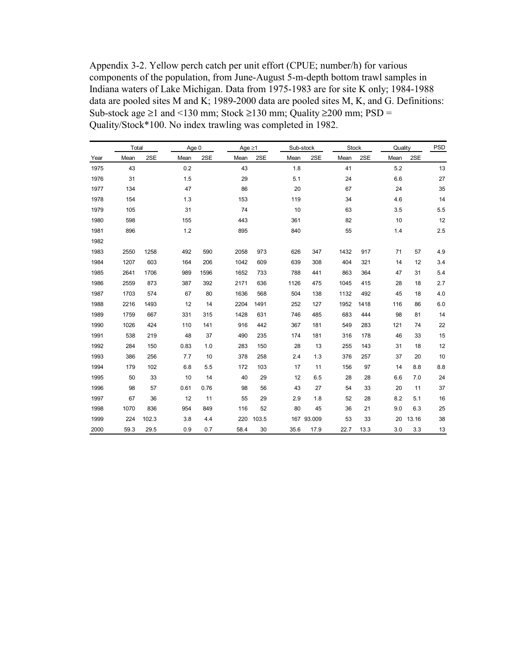<span id="page-89-0"></span>Appendix 3-2. Yellow perch catch per unit effort (CPUE; number/h) for various components of the population, from June-August 5-m-depth bottom trawl samples in Indiana waters of Lake Michigan. Data from 1975-1983 are for site K only; 1984-1988 data are pooled sites M and K; 1989-2000 data are pooled sites M, K, and G. Definitions: Sub-stock age  $\geq$ 1 and <130 mm; Stock  $\geq$ 130 mm; Quality  $\geq$ 200 mm; PSD = Quality/Stock\*100. No index trawling was completed in 1982.

|      | Total |       | Age 0 |      | Age $\geq$ 1 |       | Sub-stock |            | <b>Stock</b> |      | Quality |       | $\ensuremath{\mathsf{PSD}}$ |
|------|-------|-------|-------|------|--------------|-------|-----------|------------|--------------|------|---------|-------|-----------------------------|
| Year | Mean  | 2SE   | Mean  | 2SE  | Mean         | 2SE   | Mean      | 2SE        | Mean         | 2SE  | Mean    | 2SE   |                             |
| 1975 | 43    |       | 0.2   |      | 43           |       | 1.8       |            | 41           |      | 5.2     |       | 13                          |
| 1976 | 31    |       | 1.5   |      | 29           |       | 5.1       |            | 24           |      | 6.6     |       | 27                          |
| 1977 | 134   |       | 47    |      | 86           |       | 20        |            | 67           |      | 24      |       | 35                          |
| 1978 | 154   |       | 1.3   |      | 153          |       | 119       |            | 34           |      | 4.6     |       | 14                          |
| 1979 | 105   |       | 31    |      | 74           |       | 10        |            | 63           |      | 3.5     |       | 5.5                         |
| 1980 | 598   |       | 155   |      | 443          |       | 361       |            | 82           |      | 10      |       | 12                          |
| 1981 | 896   |       | 1.2   |      | 895          |       | 840       |            | 55           |      | 1.4     |       | 2.5                         |
| 1982 |       |       |       |      |              |       |           |            |              |      |         |       |                             |
| 1983 | 2550  | 1258  | 492   | 590  | 2058         | 973   | 626       | 347        | 1432         | 917  | 71      | 57    | 4.9                         |
| 1984 | 1207  | 603   | 164   | 206  | 1042         | 609   | 639       | 308        | 404          | 321  | 14      | 12    | 3.4                         |
| 1985 | 2641  | 1706  | 989   | 1596 | 1652         | 733   | 788       | 441        | 863          | 364  | 47      | 31    | 5.4                         |
| 1986 | 2559  | 873   | 387   | 392  | 2171         | 636   | 1126      | 475        | 1045         | 415  | 28      | 18    | 2.7                         |
| 1987 | 1703  | 574   | 67    | 80   | 1636         | 568   | 504       | 138        | 1132         | 492  | 45      | 18    | 4.0                         |
| 1988 | 2216  | 1493  | 12    | 14   | 2204         | 1491  | 252       | 127        | 1952         | 1418 | 116     | 86    | 6.0                         |
| 1989 | 1759  | 667   | 331   | 315  | 1428         | 631   | 746       | 485        | 683          | 444  | 98      | 81    | 14                          |
| 1990 | 1026  | 424   | 110   | 141  | 916          | 442   | 367       | 181        | 549          | 283  | 121     | 74    | 22                          |
| 1991 | 538   | 219   | 48    | 37   | 490          | 235   | 174       | 181        | 316          | 178  | 46      | 33    | 15                          |
| 1992 | 284   | 150   | 0.83  | 1.0  | 283          | 150   | 28        | 13         | 255          | 143  | 31      | 18    | 12                          |
| 1993 | 386   | 256   | 7.7   | 10   | 378          | 258   | 2.4       | 1.3        | 376          | 257  | 37      | 20    | 10                          |
| 1994 | 179   | 102   | 6.8   | 5.5  | 172          | 103   | 17        | 11         | 156          | 97   | 14      | 8.8   | 8.8                         |
| 1995 | 50    | 33    | 10    | 14   | 40           | 29    | 12        | 6.5        | 28           | 28   | 6.6     | 7.0   | 24                          |
| 1996 | 98    | 57    | 0.61  | 0.76 | 98           | 56    | 43        | 27         | 54           | 33   | 20      | 11    | 37                          |
| 1997 | 67    | 36    | 12    | 11   | 55           | 29    | 2.9       | 1.8        | 52           | 28   | 8.2     | 5.1   | 16                          |
| 1998 | 1070  | 836   | 954   | 849  | 116          | 52    | 80        | 45         | 36           | 21   | 9.0     | 6.3   | 25                          |
| 1999 | 224   | 102.3 | 3.8   | 4.4  | 220          | 103.5 |           | 167 93.009 | 53           | 33   | 20      | 13.16 | 38                          |
| 2000 | 59.3  | 29.5  | 0.9   | 0.7  | 58.4         | 30    | 35.6      | 17.9       | 22.7         | 13.3 | 3.0     | 3.3   | 13                          |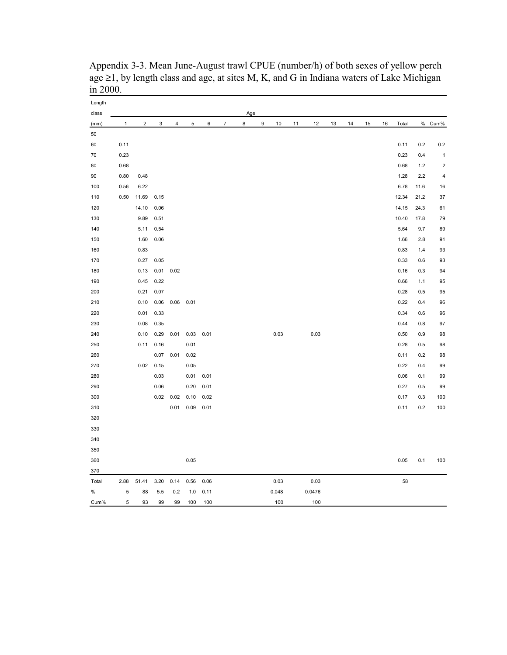| Length<br>class |      |                |      |                |      |      |                | Age |   |       |    |        |    |    |    |    |       |      |              |
|-----------------|------|----------------|------|----------------|------|------|----------------|-----|---|-------|----|--------|----|----|----|----|-------|------|--------------|
| (mm)            | 1    | $\overline{2}$ | 3    | $\overline{4}$ | 5    | 6    | $\overline{7}$ | 8   | 9 | $10$  | 11 | 12     | 13 | 14 | 15 | 16 | Total |      | % Cum%       |
| 50              |      |                |      |                |      |      |                |     |   |       |    |        |    |    |    |    |       |      |              |
| 60              | 0.11 |                |      |                |      |      |                |     |   |       |    |        |    |    |    |    | 0.11  | 0.2  | 0.2          |
| 70              | 0.23 |                |      |                |      |      |                |     |   |       |    |        |    |    |    |    | 0.23  | 0.4  | $\mathbf{1}$ |
| 80              | 0.68 |                |      |                |      |      |                |     |   |       |    |        |    |    |    |    | 0.68  | 1.2  | $\sqrt{2}$   |
| 90              | 0.80 | 0.48           |      |                |      |      |                |     |   |       |    |        |    |    |    |    | 1.28  | 2.2  | $\pmb{4}$    |
| 100             | 0.56 | 6.22           |      |                |      |      |                |     |   |       |    |        |    |    |    |    | 6.78  | 11.6 | 16           |
| 110             | 0.50 | 11.69          | 0.15 |                |      |      |                |     |   |       |    |        |    |    |    |    | 12.34 | 21.2 | 37           |
| 120             |      | 14.10          | 0.06 |                |      |      |                |     |   |       |    |        |    |    |    |    | 14.15 | 24.3 | 61           |
| 130             |      | 9.89           | 0.51 |                |      |      |                |     |   |       |    |        |    |    |    |    | 10.40 | 17.8 | 79           |
| 140             |      | 5.11           | 0.54 |                |      |      |                |     |   |       |    |        |    |    |    |    | 5.64  | 9.7  | 89           |
| 150             |      | 1.60           | 0.06 |                |      |      |                |     |   |       |    |        |    |    |    |    | 1.66  | 2.8  | 91           |
| 160             |      | 0.83           |      |                |      |      |                |     |   |       |    |        |    |    |    |    | 0.83  | 1.4  | 93           |
| 170             |      | 0.27           | 0.05 |                |      |      |                |     |   |       |    |        |    |    |    |    | 0.33  | 0.6  | 93           |
| 180             |      | 0.13           | 0.01 | 0.02           |      |      |                |     |   |       |    |        |    |    |    |    | 0.16  | 0.3  | 94           |
| 190             |      | 0.45           | 0.22 |                |      |      |                |     |   |       |    |        |    |    |    |    | 0.66  | 1.1  | 95           |
| 200             |      | 0.21           | 0.07 |                |      |      |                |     |   |       |    |        |    |    |    |    | 0.28  | 0.5  | 95           |
| 210             |      | 0.10           | 0.06 | 0.06           | 0.01 |      |                |     |   |       |    |        |    |    |    |    | 0.22  | 0.4  | 96           |
| 220             |      | 0.01           | 0.33 |                |      |      |                |     |   |       |    |        |    |    |    |    | 0.34  | 0.6  | 96           |
| 230             |      | 0.08           | 0.35 |                |      |      |                |     |   |       |    |        |    |    |    |    | 0.44  | 0.8  | 97           |
| 240             |      | 0.10           | 0.29 | 0.01           | 0.03 | 0.01 |                |     |   | 0.03  |    | 0.03   |    |    |    |    | 0.50  | 0.9  | 98           |
| 250             |      | 0.11           | 0.16 |                | 0.01 |      |                |     |   |       |    |        |    |    |    |    | 0.28  | 0.5  | 98           |
| 260             |      |                | 0.07 | 0.01           | 0.02 |      |                |     |   |       |    |        |    |    |    |    | 0.11  | 0.2  | 98           |
| 270             |      | 0.02           | 0.15 |                | 0.05 |      |                |     |   |       |    |        |    |    |    |    | 0.22  | 0.4  | 99           |
| 280             |      |                | 0.03 |                | 0.01 | 0.01 |                |     |   |       |    |        |    |    |    |    | 0.06  | 0.1  | 99           |
| 290             |      |                | 0.06 |                | 0.20 | 0.01 |                |     |   |       |    |        |    |    |    |    | 0.27  | 0.5  | 99           |
| 300             |      |                | 0.02 | 0.02           | 0.10 | 0.02 |                |     |   |       |    |        |    |    |    |    | 0.17  | 0.3  | 100          |
| 310             |      |                |      | 0.01           | 0.09 | 0.01 |                |     |   |       |    |        |    |    |    |    | 0.11  | 0.2  | 100          |
| 320             |      |                |      |                |      |      |                |     |   |       |    |        |    |    |    |    |       |      |              |
| 330             |      |                |      |                |      |      |                |     |   |       |    |        |    |    |    |    |       |      |              |
| 340             |      |                |      |                |      |      |                |     |   |       |    |        |    |    |    |    |       |      |              |
| 350             |      |                |      |                |      |      |                |     |   |       |    |        |    |    |    |    |       |      |              |
| 360             |      |                |      |                | 0.05 |      |                |     |   |       |    |        |    |    |    |    | 0.05  | 0.1  | 100          |
| 370             |      |                |      |                |      |      |                |     |   |       |    |        |    |    |    |    |       |      |              |
| Total           | 2.88 | 51.41          | 3.20 | 0.14           | 0.56 | 0.06 |                |     |   | 0.03  |    | 0.03   |    |    |    |    | 58    |      |              |
| $\%$            | 5    | 88             | 5.5  | 0.2            | 1.0  | 0.11 |                |     |   | 0.048 |    | 0.0476 |    |    |    |    |       |      |              |
| Cum%            | 5    | 93             | 99   | 99             | 100  | 100  |                |     |   | 100   |    | 100    |    |    |    |    |       |      |              |

Appendix 3-3. Mean June-August trawl CPUE (number/h) of both sexes of yellow perch age  $\geq 1$ , by length class and age, at sites M, K, and G in Indiana waters of Lake Michigan in 2000.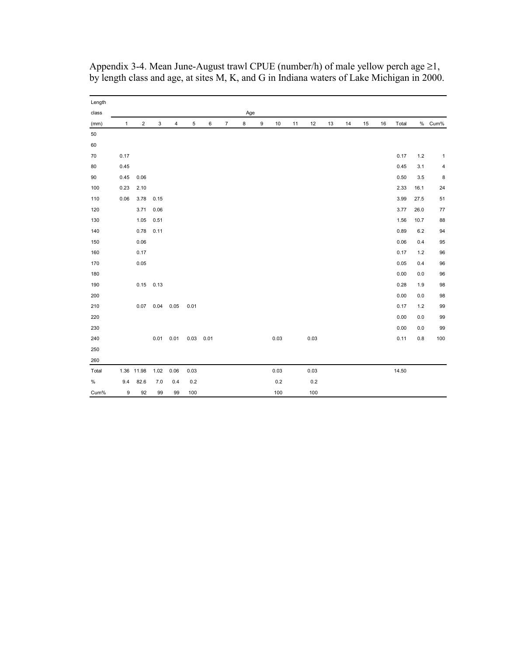| Length |              |                         |             |                |      |             |                |     |                  |         |    |      |    |    |    |    |       |         |        |
|--------|--------------|-------------------------|-------------|----------------|------|-------------|----------------|-----|------------------|---------|----|------|----|----|----|----|-------|---------|--------|
| class  |              |                         |             |                |      |             |                | Age |                  |         |    |      |    |    |    |    |       |         |        |
| (mm)   | $\mathbf{1}$ | $\overline{\mathbf{c}}$ | 3           | $\overline{4}$ | 5    | 6           | $\overline{7}$ | 8   | $\boldsymbol{9}$ | 10      | 11 | 12   | 13 | 14 | 15 | 16 | Total |         | % Cum% |
| 50     |              |                         |             |                |      |             |                |     |                  |         |    |      |    |    |    |    |       |         |        |
| 60     |              |                         |             |                |      |             |                |     |                  |         |    |      |    |    |    |    |       |         |        |
| 70     | 0.17         |                         |             |                |      |             |                |     |                  |         |    |      |    |    |    |    | 0.17  | $1.2\,$ | 1      |
| 80     | 0.45         |                         |             |                |      |             |                |     |                  |         |    |      |    |    |    |    | 0.45  | 3.1     | 4      |
| 90     | 0.45         | 0.06                    |             |                |      |             |                |     |                  |         |    |      |    |    |    |    | 0.50  | 3.5     | 8      |
| 100    | 0.23         | 2.10                    |             |                |      |             |                |     |                  |         |    |      |    |    |    |    | 2.33  | 16.1    | 24     |
| 110    | 0.06         | 3.78                    | 0.15        |                |      |             |                |     |                  |         |    |      |    |    |    |    | 3.99  | 27.5    | 51     |
| 120    |              | 3.71                    | 0.06        |                |      |             |                |     |                  |         |    |      |    |    |    |    | 3.77  | 26.0    | 77     |
| 130    |              | 1.05                    | 0.51        |                |      |             |                |     |                  |         |    |      |    |    |    |    | 1.56  | 10.7    | 88     |
| 140    |              | 0.78                    | 0.11        |                |      |             |                |     |                  |         |    |      |    |    |    |    | 0.89  | 6.2     | 94     |
| 150    |              | 0.06                    |             |                |      |             |                |     |                  |         |    |      |    |    |    |    | 0.06  | 0.4     | 95     |
| 160    |              | 0.17                    |             |                |      |             |                |     |                  |         |    |      |    |    |    |    | 0.17  | $1.2$   | 96     |
| 170    |              | 0.05                    |             |                |      |             |                |     |                  |         |    |      |    |    |    |    | 0.05  | 0.4     | 96     |
| 180    |              |                         |             |                |      |             |                |     |                  |         |    |      |    |    |    |    | 0.00  | 0.0     | 96     |
| 190    |              |                         | $0.15$ 0.13 |                |      |             |                |     |                  |         |    |      |    |    |    |    | 0.28  | 1.9     | 98     |
| 200    |              |                         |             |                |      |             |                |     |                  |         |    |      |    |    |    |    | 0.00  | $0.0\,$ | 98     |
| 210    |              |                         | $0.07$ 0.04 | 0.05           | 0.01 |             |                |     |                  |         |    |      |    |    |    |    | 0.17  | $1.2$   | 99     |
| 220    |              |                         |             |                |      |             |                |     |                  |         |    |      |    |    |    |    | 0.00  | 0.0     | 99     |
| 230    |              |                         |             |                |      |             |                |     |                  |         |    |      |    |    |    |    | 0.00  | 0.0     | 99     |
| 240    |              |                         | 0.01        | 0.01           |      | $0.03$ 0.01 |                |     |                  | 0.03    |    | 0.03 |    |    |    |    | 0.11  | $0.8\,$ | 100    |
| 250    |              |                         |             |                |      |             |                |     |                  |         |    |      |    |    |    |    |       |         |        |
| 260    |              |                         |             |                |      |             |                |     |                  |         |    |      |    |    |    |    |       |         |        |
| Total  |              | 1.36 11.98              | 1.02        | 0.06           | 0.03 |             |                |     |                  | 0.03    |    | 0.03 |    |    |    |    | 14.50 |         |        |
| $\%$   | 9.4          | 82.6                    | 7.0         | 0.4            | 0.2  |             |                |     |                  | $0.2\,$ |    | 0.2  |    |    |    |    |       |         |        |
| Cum%   | 9            | 92                      | 99          | 99             | 100  |             |                |     |                  | 100     |    | 100  |    |    |    |    |       |         |        |

Appendix 3-4. Mean June-August trawl CPUE (number/h) of male yellow perch age  $\geq 1$ , by length class and age, at sites M, K, and G in Indiana waters of Lake Michigan in 2000.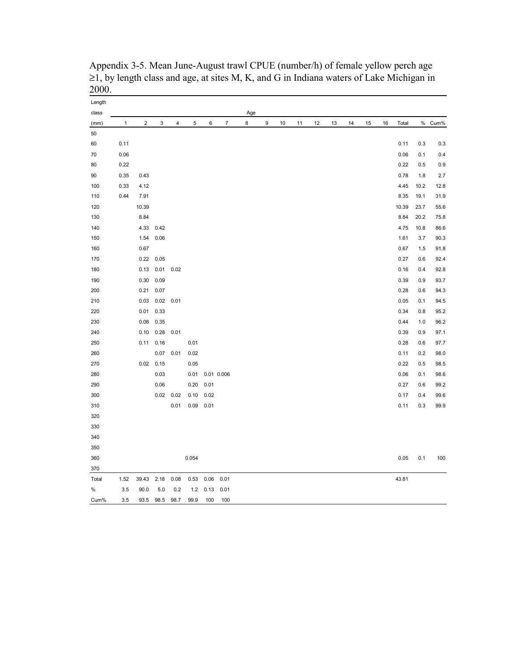| Length<br>class |              |                         |                  |             |       |      |                  | Age |   |    |    |    |    |    |    |    |       |      |        |
|-----------------|--------------|-------------------------|------------------|-------------|-------|------|------------------|-----|---|----|----|----|----|----|----|----|-------|------|--------|
| (mm)            | $\mathbf{1}$ | $\overline{\mathbf{c}}$ | 3                | 4           | 5     | 6    | $\boldsymbol{7}$ | 8   | 9 | 10 | 11 | 12 | 13 | 14 | 15 | 16 | Total |      | % Cum% |
| 50              |              |                         |                  |             |       |      |                  |     |   |    |    |    |    |    |    |    |       |      |        |
| 60              | 0.11         |                         |                  |             |       |      |                  |     |   |    |    |    |    |    |    |    | 0.11  | 0.3  | 0.3    |
| 70              | 0.06         |                         |                  |             |       |      |                  |     |   |    |    |    |    |    |    |    | 0.06  | 0.1  | 0.4    |
| 80              | 0.22         |                         |                  |             |       |      |                  |     |   |    |    |    |    |    |    |    | 0.22  | 0.5  | 0.9    |
| 90              | 0.35         | 0.43                    |                  |             |       |      |                  |     |   |    |    |    |    |    |    |    | 0.78  | 1.8  | 2.7    |
| 100             | 0.33         | 4.12                    |                  |             |       |      |                  |     |   |    |    |    |    |    |    |    | 4.45  | 10.2 | 12.8   |
| 110             | 0.44         | 7.91                    |                  |             |       |      |                  |     |   |    |    |    |    |    |    |    | 8.35  | 19.1 | 31.9   |
| 120             |              | 10.39                   |                  |             |       |      |                  |     |   |    |    |    |    |    |    |    | 10.39 | 23.7 | 55.6   |
| 130             |              | 8.84                    |                  |             |       |      |                  |     |   |    |    |    |    |    |    |    | 8.84  | 20.2 | 75.8   |
| 140             |              | 4.33                    | 0.42             |             |       |      |                  |     |   |    |    |    |    |    |    |    | 4.75  | 10.8 | 86.6   |
| 150             |              | 1.54                    | 0.06             |             |       |      |                  |     |   |    |    |    |    |    |    |    | 1.61  | 3.7  | 90.3   |
| 160             |              | 0.67                    |                  |             |       |      |                  |     |   |    |    |    |    |    |    |    | 0.67  | 1.5  | 91.8   |
| 170             |              |                         | $0.22$ 0.05      |             |       |      |                  |     |   |    |    |    |    |    |    |    | 0.27  | 0.6  | 92.4   |
| 180             |              |                         | $0.13$ 0.01 0.02 |             |       |      |                  |     |   |    |    |    |    |    |    |    | 0.16  | 0.4  | 92.8   |
| 190             |              | 0.30                    | 0.09             |             |       |      |                  |     |   |    |    |    |    |    |    |    | 0.39  | 0.9  | 93.7   |
| 200             |              | 0.21                    | 0.07             |             |       |      |                  |     |   |    |    |    |    |    |    |    | 0.28  | 0.6  | 94.3   |
| 210             |              | 0.03                    |                  | $0.02$ 0.01 |       |      |                  |     |   |    |    |    |    |    |    |    | 0.05  | 0.1  | 94.5   |
| 220             |              | 0.01                    | 0.33             |             |       |      |                  |     |   |    |    |    |    |    |    |    | 0.34  | 0.8  | 95.2   |
| 230             |              | 0.08                    | 0.35             |             |       |      |                  |     |   |    |    |    |    |    |    |    | 0.44  | 1.0  | 96.2   |
| 240             |              | 0.10                    | 0.28             | 0.01        |       |      |                  |     |   |    |    |    |    |    |    |    | 0.39  | 0.9  | 97.1   |
| 250             |              |                         | $0.11$ $0.16$    |             | 0.01  |      |                  |     |   |    |    |    |    |    |    |    | 0.28  | 0.6  | 97.7   |
| 260             |              |                         |                  | $0.07$ 0.01 | 0.02  |      |                  |     |   |    |    |    |    |    |    |    | 0.11  | 0.2  | 98.0   |
| 270             |              |                         | $0.02$ 0.15      |             | 0.05  |      |                  |     |   |    |    |    |    |    |    |    | 0.22  | 0.5  | 98.5   |
| 280             |              |                         | 0.03             |             | 0.01  |      | 0.01 0.006       |     |   |    |    |    |    |    |    |    | 0.06  | 0.1  | 98.6   |
| 290             |              |                         | 0.06             |             | 0.20  | 0.01 |                  |     |   |    |    |    |    |    |    |    | 0.27  | 0.6  | 99.2   |
| 300             |              |                         |                  | $0.02$ 0.02 | 0.10  | 0.02 |                  |     |   |    |    |    |    |    |    |    | 0.17  | 0.4  | 99.6   |
| 310             |              |                         |                  | 0.01        | 0.09  | 0.01 |                  |     |   |    |    |    |    |    |    |    | 0.11  | 0.3  | 99.9   |
| 320             |              |                         |                  |             |       |      |                  |     |   |    |    |    |    |    |    |    |       |      |        |
| 330             |              |                         |                  |             |       |      |                  |     |   |    |    |    |    |    |    |    |       |      |        |
| 340             |              |                         |                  |             |       |      |                  |     |   |    |    |    |    |    |    |    |       |      |        |
| 350             |              |                         |                  |             |       |      |                  |     |   |    |    |    |    |    |    |    |       |      |        |
| 360             |              |                         |                  |             | 0.054 |      |                  |     |   |    |    |    |    |    |    |    | 0.05  | 0.1  | 100    |
| 370             |              |                         |                  |             |       |      |                  |     |   |    |    |    |    |    |    |    |       |      |        |
| Total           | 1.52         | 39.43                   | 2.18             | 0.08        | 0.53  | 0.06 | 0.01             |     |   |    |    |    |    |    |    |    | 43.81 |      |        |
| $\%$            | 3.5          | 90.0                    | 5.0              | 0.2         | 1.2   | 0.13 | 0.01             |     |   |    |    |    |    |    |    |    |       |      |        |
| Cum%            | 3.5          | 93.5                    | 98.5             | 98.7        | 99.9  | 100  | 100              |     |   |    |    |    |    |    |    |    |       |      |        |

Appendix 3-5. Mean June-August trawl CPUE (number/h) of female yellow perch age  $\geq$ 1, by length class and age, at sites M, K, and G in Indiana waters of Lake Michigan in 2000.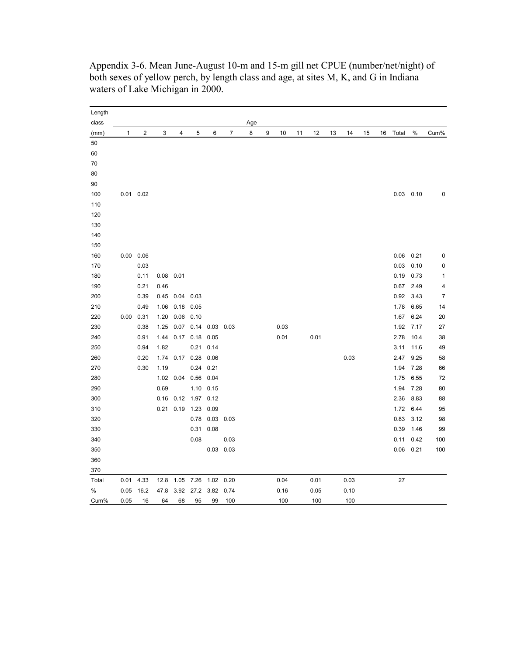| Length |              |               |      |               |                     |                |             |     |   |      |    |      |    |      |    |    |       |               |                |
|--------|--------------|---------------|------|---------------|---------------------|----------------|-------------|-----|---|------|----|------|----|------|----|----|-------|---------------|----------------|
| class  |              |               |      |               |                     |                |             | Age |   |      |    |      |    |      |    |    |       |               |                |
| (mm)   | $\mathbf{1}$ | $\mathbf 2$   | 3    | 4             | 5                   | 6              | 7           | 8   | 9 | 10   | 11 | 12   | 13 | 14   | 15 | 16 | Total | %             | Cum%           |
| 50     |              |               |      |               |                     |                |             |     |   |      |    |      |    |      |    |    |       |               |                |
| 60     |              |               |      |               |                     |                |             |     |   |      |    |      |    |      |    |    |       |               |                |
| 70     |              |               |      |               |                     |                |             |     |   |      |    |      |    |      |    |    |       |               |                |
| 80     |              |               |      |               |                     |                |             |     |   |      |    |      |    |      |    |    |       |               |                |
| 90     |              |               |      |               |                     |                |             |     |   |      |    |      |    |      |    |    |       |               |                |
| 100    |              | $0.01$ 0.02   |      |               |                     |                |             |     |   |      |    |      |    |      |    |    |       | $0.03$ $0.10$ | 0              |
| 110    |              |               |      |               |                     |                |             |     |   |      |    |      |    |      |    |    |       |               |                |
| 120    |              |               |      |               |                     |                |             |     |   |      |    |      |    |      |    |    |       |               |                |
| 130    |              |               |      |               |                     |                |             |     |   |      |    |      |    |      |    |    |       |               |                |
| 140    |              |               |      |               |                     |                |             |     |   |      |    |      |    |      |    |    |       |               |                |
| 150    |              |               |      |               |                     |                |             |     |   |      |    |      |    |      |    |    |       |               |                |
| 160    |              | $0.00$ 0.06   |      |               |                     |                |             |     |   |      |    |      |    |      |    |    |       | $0.06$ 0.21   | 0              |
| 170    |              | 0.03          |      |               |                     |                |             |     |   |      |    |      |    |      |    |    | 0.03  | 0.10          | 0              |
| 180    |              | 0.11          |      | $0.08$ 0.01   |                     |                |             |     |   |      |    |      |    |      |    |    | 0.19  | 0.73          | $\mathbf{1}$   |
| 190    |              | 0.21          | 0.46 |               |                     |                |             |     |   |      |    |      |    |      |    |    | 0.67  | 2.49          | 4              |
| 200    |              | 0.39          | 0.45 | $0.04$ 0.03   |                     |                |             |     |   |      |    |      |    |      |    |    | 0.92  | 3.43          | $\overline{7}$ |
| 210    |              | 0.49          | 1.06 |               | $0.18$ 0.05         |                |             |     |   |      |    |      |    |      |    |    | 1.78  | 6.65          | 14             |
| 220    |              | $0.00$ $0.31$ | 1.20 |               | $0.06$ 0.10         |                |             |     |   |      |    |      |    |      |    |    | 1.67  | 6.24          | 20             |
| 230    |              | 0.38          | 1.25 |               | 0.07 0.14 0.03 0.03 |                |             |     |   | 0.03 |    |      |    |      |    |    | 1.92  | 7.17          | 27             |
| 240    |              | 0.91          | 1.44 |               | 0.17 0.18 0.05      |                |             |     |   | 0.01 |    | 0.01 |    |      |    |    | 2.78  | 10.4          | 38             |
| 250    |              | 0.94          | 1.82 |               | 0.21                | 0.14           |             |     |   |      |    |      |    |      |    |    | 3.11  | 11.6          | 49             |
| 260    |              | 0.20          | 1.74 |               | 0.17 0.28 0.06      |                |             |     |   |      |    |      |    | 0.03 |    |    | 2.47  | 9.25          | 58             |
| 270    |              | 0.30          | 1.19 |               |                     | $0.24$ 0.21    |             |     |   |      |    |      |    |      |    |    | 1.94  | 7.28          | 66             |
| 280    |              |               | 1.02 |               | 0.04 0.56 0.04      |                |             |     |   |      |    |      |    |      |    |    | 1.75  | 6.55          | 72             |
| 290    |              |               | 0.69 |               |                     | 1.10 0.15      |             |     |   |      |    |      |    |      |    |    | 1.94  | 7.28          | 80             |
| 300    |              |               |      | $0.16$ $0.12$ | 1.97 0.12           |                |             |     |   |      |    |      |    |      |    |    | 2.36  | 8.83          | 88             |
| 310    |              |               |      | $0.21$ 0.19   |                     | 1.23 0.09      |             |     |   |      |    |      |    |      |    |    | 1.72  | 6.44          | 95             |
| 320    |              |               |      |               |                     | 0.78 0.03 0.03 |             |     |   |      |    |      |    |      |    |    | 0.83  | 3.12          | 98             |
| 330    |              |               |      |               | 0.31                | 0.08           |             |     |   |      |    |      |    |      |    |    | 0.39  | 1.46          | 99             |
| 340    |              |               |      |               | 0.08                |                | 0.03        |     |   |      |    |      |    |      |    |    | 0.11  | 0.42          | 100            |
| 350    |              |               |      |               |                     |                | $0.03$ 0.03 |     |   |      |    |      |    |      |    |    |       | $0.06$ 0.21   | 100            |
| 360    |              |               |      |               |                     |                |             |     |   |      |    |      |    |      |    |    |       |               |                |
| 370    |              |               |      |               |                     |                |             |     |   |      |    |      |    |      |    |    |       |               |                |
| Total  | 0.01         | 4.33          | 12.8 | 1.05          | 7.26                | 1.02 0.20      |             |     |   | 0.04 |    | 0.01 |    | 0.03 |    |    | 27    |               |                |
| %      | 0.05         | 16.2          | 47.8 | 3.92          | 27.2                | 3.82           | 0.74        |     |   | 0.16 |    | 0.05 |    | 0.10 |    |    |       |               |                |
| Cum%   | 0.05         | 16            | 64   | 68            | 95                  | 99             | 100         |     |   | 100  |    | 100  |    | 100  |    |    |       |               |                |

Appendix 3-6. Mean June-August 10-m and 15-m gill net CPUE (number/net/night) of both sexes of yellow perch, by length class and age, at sites M, K, and G in Indiana waters of Lake Michigan in 2000.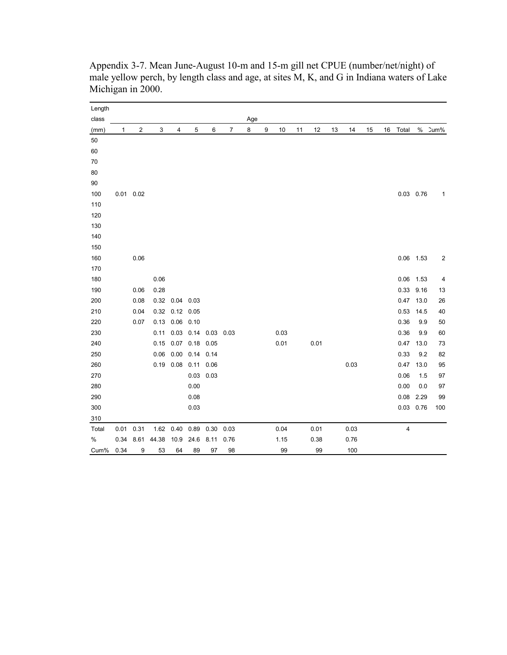| Length   |      |               |       |                  |      |      |      |     |   |      |    |      |    |      |    |    |             |      |      |
|----------|------|---------------|-------|------------------|------|------|------|-----|---|------|----|------|----|------|----|----|-------------|------|------|
| class    |      |               |       |                  |      |      |      | Age |   |      |    |      |    |      |    |    |             |      |      |
| (mm)     | 1    | 2             | 3     | 4                | 5    | 6    | 7    | 8   | 9 | 10   | 11 | 12   | 13 | 14   | 15 | 16 | Total       | $\%$ | Cum% |
| 50       |      |               |       |                  |      |      |      |     |   |      |    |      |    |      |    |    |             |      |      |
| 60       |      |               |       |                  |      |      |      |     |   |      |    |      |    |      |    |    |             |      |      |
| 70       |      |               |       |                  |      |      |      |     |   |      |    |      |    |      |    |    |             |      |      |
| 80<br>90 |      |               |       |                  |      |      |      |     |   |      |    |      |    |      |    |    |             |      |      |
| 100      |      | $0.01$ $0.02$ |       |                  |      |      |      |     |   |      |    |      |    |      |    |    | $0.03$ 0.76 |      |      |
| 110      |      |               |       |                  |      |      |      |     |   |      |    |      |    |      |    |    |             |      | 1    |
| 120      |      |               |       |                  |      |      |      |     |   |      |    |      |    |      |    |    |             |      |      |
| 130      |      |               |       |                  |      |      |      |     |   |      |    |      |    |      |    |    |             |      |      |
| 140      |      |               |       |                  |      |      |      |     |   |      |    |      |    |      |    |    |             |      |      |
| 150      |      |               |       |                  |      |      |      |     |   |      |    |      |    |      |    |    |             |      |      |
| 160      |      | 0.06          |       |                  |      |      |      |     |   |      |    |      |    |      |    |    | $0.06$ 1.53 |      | 2    |
| 170      |      |               |       |                  |      |      |      |     |   |      |    |      |    |      |    |    |             |      |      |
| 180      |      |               | 0.06  |                  |      |      |      |     |   |      |    |      |    |      |    |    | 0.06        | 1.53 | 4    |
| 190      |      | 0.06          | 0.28  |                  |      |      |      |     |   |      |    |      |    |      |    |    | 0.33        | 9.16 | 13   |
| 200      |      | 0.08          |       | 0.32 0.04 0.03   |      |      |      |     |   |      |    |      |    |      |    |    | 0.47        | 13.0 | 26   |
| 210      |      | 0.04          | 0.32  | 0.12             | 0.05 |      |      |     |   |      |    |      |    |      |    |    | 0.53        | 14.5 | 40   |
| 220      |      | 0.07          |       | 0.13  0.06  0.10 |      |      |      |     |   |      |    |      |    |      |    |    | 0.36        | 9.9  | 50   |
| 230      |      |               | 0.11  | 0.03             | 0.14 | 0.03 | 0.03 |     |   | 0.03 |    |      |    |      |    |    | 0.36        | 9.9  | 60   |
| 240      |      |               | 0.15  | 0.07             | 0.18 | 0.05 |      |     |   | 0.01 |    | 0.01 |    |      |    |    | 0.47        | 13.0 | 73   |
| 250      |      |               | 0.06  | 0.00             | 0.14 | 0.14 |      |     |   |      |    |      |    |      |    |    | 0.33        | 9.2  | 82   |
| 260      |      |               | 0.19  | 0.08             | 0.11 | 0.06 |      |     |   |      |    |      |    | 0.03 |    |    | 0.47        | 13.0 | 95   |
| 270      |      |               |       |                  | 0.03 | 0.03 |      |     |   |      |    |      |    |      |    |    | 0.06        | 1.5  | 97   |
| 280      |      |               |       |                  | 0.00 |      |      |     |   |      |    |      |    |      |    |    | 0.00        | 0.0  | 97   |
| 290      |      |               |       |                  | 0.08 |      |      |     |   |      |    |      |    |      |    |    | 0.08        | 2.29 | 99   |
| 300      |      |               |       |                  | 0.03 |      |      |     |   |      |    |      |    |      |    |    | 0.03        | 0.76 | 100  |
| 310      |      |               |       |                  |      |      |      |     |   |      |    |      |    |      |    |    |             |      |      |
| Total    | 0.01 | 0.31          |       | 1.62 0.40        | 0.89 | 0.30 | 0.03 |     |   | 0.04 |    | 0.01 |    | 0.03 |    |    | 4           |      |      |
| $\%$     | 0.34 | 8.61          | 44.38 | 10.9             | 24.6 | 8.11 | 0.76 |     |   | 1.15 |    | 0.38 |    | 0.76 |    |    |             |      |      |
| Cum%     | 0.34 | 9             | 53    | 64               | 89   | 97   | 98   |     |   | 99   |    | 99   |    | 100  |    |    |             |      |      |

Appendix 3-7. Mean June-August 10-m and 15-m gill net CPUE (number/net/night) of male yellow perch, by length class and age, at sites M, K, and G in Indiana waters of Lake Michigan in 2000.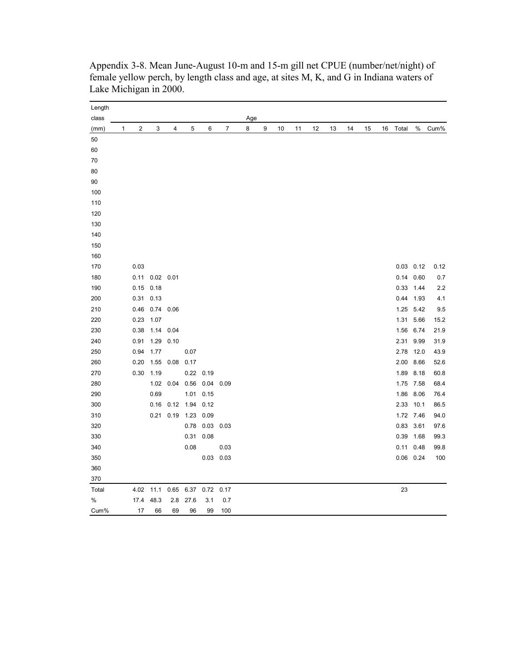| Length        |   |      |      |             |                        |                  |                |          |   |    |    |    |    |    |    |    |           |               |      |
|---------------|---|------|------|-------------|------------------------|------------------|----------------|----------|---|----|----|----|----|----|----|----|-----------|---------------|------|
| class<br>(mm) | 1 | 2    | 3    | 4           | 5                      | 6                | $\overline{7}$ | Age<br>8 | 9 | 10 | 11 | 12 | 13 | 14 | 15 | 16 | Total     | %             | Cum% |
| 50            |   |      |      |             |                        |                  |                |          |   |    |    |    |    |    |    |    |           |               |      |
| 60            |   |      |      |             |                        |                  |                |          |   |    |    |    |    |    |    |    |           |               |      |
| 70            |   |      |      |             |                        |                  |                |          |   |    |    |    |    |    |    |    |           |               |      |
| 80            |   |      |      |             |                        |                  |                |          |   |    |    |    |    |    |    |    |           |               |      |
| 90            |   |      |      |             |                        |                  |                |          |   |    |    |    |    |    |    |    |           |               |      |
| 100           |   |      |      |             |                        |                  |                |          |   |    |    |    |    |    |    |    |           |               |      |
| 110           |   |      |      |             |                        |                  |                |          |   |    |    |    |    |    |    |    |           |               |      |
| 120           |   |      |      |             |                        |                  |                |          |   |    |    |    |    |    |    |    |           |               |      |
| 130           |   |      |      |             |                        |                  |                |          |   |    |    |    |    |    |    |    |           |               |      |
| 140           |   |      |      |             |                        |                  |                |          |   |    |    |    |    |    |    |    |           |               |      |
| 150           |   |      |      |             |                        |                  |                |          |   |    |    |    |    |    |    |    |           |               |      |
| 160           |   |      |      |             |                        |                  |                |          |   |    |    |    |    |    |    |    |           |               |      |
| 170           |   | 0.03 |      |             |                        |                  |                |          |   |    |    |    |    |    |    |    |           | $0.03$ $0.12$ | 0.12 |
| 180           |   | 0.11 |      | $0.02$ 0.01 |                        |                  |                |          |   |    |    |    |    |    |    |    |           | $0.14$ 0.60   | 0.7  |
| 190           |   | 0.15 | 0.18 |             |                        |                  |                |          |   |    |    |    |    |    |    |    |           | 0.33 1.44     | 2.2  |
| 200           |   | 0.31 | 0.13 |             |                        |                  |                |          |   |    |    |    |    |    |    |    |           | 0.44 1.93     | 4.1  |
| 210           |   | 0.46 |      | 0.74 0.06   |                        |                  |                |          |   |    |    |    |    |    |    |    | 1.25 5.42 |               | 9.5  |
| 220           |   | 0.23 | 1.07 |             |                        |                  |                |          |   |    |    |    |    |    |    |    | 1.31      | 5.66          | 15.2 |
| 230           |   | 0.38 |      | 1.14 0.04   |                        |                  |                |          |   |    |    |    |    |    |    |    | 1.56      | 6.74          | 21.9 |
| 240           |   | 0.91 |      | 1.29 0.10   |                        |                  |                |          |   |    |    |    |    |    |    |    | 2.31      | 9.99          | 31.9 |
| 250           |   | 0.94 | 1.77 |             | 0.07                   |                  |                |          |   |    |    |    |    |    |    |    |           | 2.78 12.0     | 43.9 |
| 260           |   | 0.20 | 1.55 | 0.08        | 0.17                   |                  |                |          |   |    |    |    |    |    |    |    |           | 2.00 8.66     | 52.6 |
| 270           |   | 0.30 | 1.19 |             | 0.22                   | 0.19             |                |          |   |    |    |    |    |    |    |    | 1.89      | 8.18          | 60.8 |
| 280           |   |      | 1.02 |             | 0.04  0.56  0.04  0.09 |                  |                |          |   |    |    |    |    |    |    |    |           | 1.75 7.58     | 68.4 |
| 290           |   |      | 0.69 |             | 1.01                   | 0.15             |                |          |   |    |    |    |    |    |    |    | 1.86      | 8.06          | 76.4 |
| 300           |   |      | 0.16 | 0.12        | 1.94                   | 0.12             |                |          |   |    |    |    |    |    |    |    |           | 2.33 10.1     | 86.5 |
| 310           |   |      |      | $0.21$ 0.19 |                        | 1.23 0.09        |                |          |   |    |    |    |    |    |    |    |           | 1.72 7.46     | 94.0 |
| 320           |   |      |      |             |                        | 0.78  0.03  0.03 |                |          |   |    |    |    |    |    |    |    | 0.83 3.61 |               | 97.6 |
| 330           |   |      |      |             | 0.31                   | 0.08             |                |          |   |    |    |    |    |    |    |    | 0.39      | 1.68          | 99.3 |
| 340           |   |      |      |             | 0.08                   |                  | 0.03           |          |   |    |    |    |    |    |    |    | 0.11      | 0.48          | 99.8 |
| 350           |   |      |      |             |                        |                  | $0.03$ 0.03    |          |   |    |    |    |    |    |    |    |           | $0.06$ 0.24   | 100  |
| 360           |   |      |      |             |                        |                  |                |          |   |    |    |    |    |    |    |    |           |               |      |
| 370           |   |      |      |             |                        |                  |                |          |   |    |    |    |    |    |    |    |           |               |      |
| Total         |   | 4.02 | 11.1 | 0.65        | 6.37                   | 0.72             | 0.17           |          |   |    |    |    |    |    |    |    | 23        |               |      |
| $\%$          |   | 17.4 | 48.3 | 2.8         | 27.6                   | 3.1              | 0.7            |          |   |    |    |    |    |    |    |    |           |               |      |
| Cum%          |   | 17   | 66   | 69          | 96                     | 99               | 100            |          |   |    |    |    |    |    |    |    |           |               |      |

Appendix 3-8. Mean June-August 10-m and 15-m gill net CPUE (number/net/night) of female yellow perch, by length class and age, at sites M, K, and G in Indiana waters of Lake Michigan in 2000.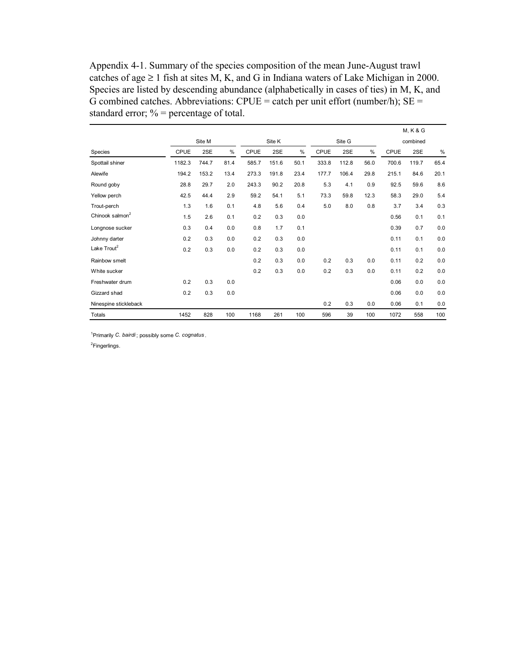Appendix 4-1. Summary of the species composition of the mean June-August trawl catches of age  $\geq 1$  fish at sites M, K, and G in Indiana waters of Lake Michigan in 2000. Species are listed by descending abundance (alphabetically in cases of ties) in M, K, and G combined catches. Abbreviations:  $CPUE =$  catch per unit effort (number/h);  $SE =$ standard error;  $\%$  = percentage of total.

|                             |             |        |      |             |        |      |       |        |      |       | <b>M, K &amp; G</b> |      |
|-----------------------------|-------------|--------|------|-------------|--------|------|-------|--------|------|-------|---------------------|------|
|                             |             | Site M |      |             | Site K |      |       | Site G |      |       | combined            |      |
| Species                     | <b>CPUE</b> | 2SE    | $\%$ | <b>CPUE</b> | 2SE    | $\%$ | CPUE  | 2SE    | $\%$ | CPUE  | 2SE                 | $\%$ |
| Spottail shiner             | 1182.3      | 744.7  | 81.4 | 585.7       | 151.6  | 50.1 | 333.8 | 112.8  | 56.0 | 700.6 | 119.7               | 65.4 |
| Alewife                     | 194.2       | 153.2  | 13.4 | 273.3       | 191.8  | 23.4 | 177.7 | 106.4  | 29.8 | 215.1 | 84.6                | 20.1 |
| Round goby                  | 28.8        | 29.7   | 2.0  | 243.3       | 90.2   | 20.8 | 5.3   | 4.1    | 0.9  | 92.5  | 59.6                | 8.6  |
| Yellow perch                | 42.5        | 44.4   | 2.9  | 59.2        | 54.1   | 5.1  | 73.3  | 59.8   | 12.3 | 58.3  | 29.0                | 5.4  |
| Trout-perch                 | 1.3         | 1.6    | 0.1  | 4.8         | 5.6    | 0.4  | 5.0   | 8.0    | 0.8  | 3.7   | 3.4                 | 0.3  |
| Chinook salmon <sup>2</sup> | 1.5         | 2.6    | 0.1  | 0.2         | 0.3    | 0.0  |       |        |      | 0.56  | 0.1                 | 0.1  |
| Longnose sucker             | 0.3         | 0.4    | 0.0  | 0.8         | 1.7    | 0.1  |       |        |      | 0.39  | 0.7                 | 0.0  |
| Johnny darter               | 0.2         | 0.3    | 0.0  | 0.2         | 0.3    | 0.0  |       |        |      | 0.11  | 0.1                 | 0.0  |
| Lake Trout <sup>2</sup>     | 0.2         | 0.3    | 0.0  | 0.2         | 0.3    | 0.0  |       |        |      | 0.11  | 0.1                 | 0.0  |
| Rainbow smelt               |             |        |      | 0.2         | 0.3    | 0.0  | 0.2   | 0.3    | 0.0  | 0.11  | 0.2                 | 0.0  |
| White sucker                |             |        |      | 0.2         | 0.3    | 0.0  | 0.2   | 0.3    | 0.0  | 0.11  | 0.2                 | 0.0  |
| Freshwater drum             | 0.2         | 0.3    | 0.0  |             |        |      |       |        |      | 0.06  | 0.0                 | 0.0  |
| Gizzard shad                | 0.2         | 0.3    | 0.0  |             |        |      |       |        |      | 0.06  | 0.0                 | 0.0  |
| Ninespine stickleback       |             |        |      |             |        |      | 0.2   | 0.3    | 0.0  | 0.06  | 0.1                 | 0.0  |
| Totals                      | 1452        | 828    | 100  | 1168        | 261    | 100  | 596   | 39     | 100  | 1072  | 558                 | 100  |

1 Primarily *C. bairdi* ; possibly some *C. cognatus* .

<sup>2</sup>Fingerlings.